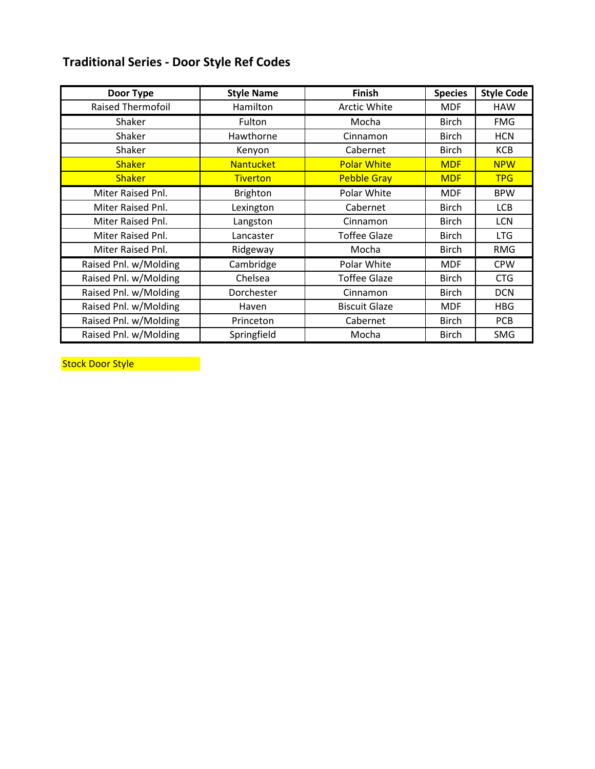# **Traditional Series - Door Style Ref Codes**

| Door Type                | <b>Style Name</b> | <b>Finish</b>        | <b>Species</b> | <b>Style Code</b> |
|--------------------------|-------------------|----------------------|----------------|-------------------|
| <b>Raised Thermofoil</b> | Hamilton          | Arctic White         | <b>MDF</b>     | <b>HAW</b>        |
| Shaker                   | Fulton            | Mocha                | <b>Birch</b>   | <b>FMG</b>        |
| Shaker                   | Hawthorne         | Cinnamon             | <b>Birch</b>   | <b>HCN</b>        |
| Shaker                   | Kenyon            | Cabernet             | <b>Birch</b>   | <b>KCB</b>        |
| <b>Shaker</b>            | <b>Nantucket</b>  | <b>Polar White</b>   | <b>MDF</b>     | <b>NPW</b>        |
| <b>Shaker</b>            | <b>Tiverton</b>   | <b>Pebble Gray</b>   | <b>MDF</b>     | <b>TPG</b>        |
| Miter Raised Pnl.        | <b>Brighton</b>   | Polar White          | <b>MDF</b>     | <b>BPW</b>        |
| Miter Raised Pnl.        | Lexington         | Cabernet             | <b>Birch</b>   | <b>LCB</b>        |
| Miter Raised Pnl.        | Langston          | Cinnamon             | <b>Birch</b>   | LCN               |
| Miter Raised Pnl.        | Lancaster         | <b>Toffee Glaze</b>  | <b>Birch</b>   | <b>LTG</b>        |
| Miter Raised Pnl.        | Ridgeway          | Mocha                | <b>Birch</b>   | <b>RMG</b>        |
| Raised Pnl. w/Molding    | Cambridge         | Polar White          | <b>MDF</b>     | <b>CPW</b>        |
| Raised Pnl. w/Molding    | Chelsea           | <b>Toffee Glaze</b>  | <b>Birch</b>   | <b>CTG</b>        |
| Raised Pnl. w/Molding    | Dorchester        | Cinnamon             | <b>Birch</b>   | <b>DCN</b>        |
| Raised Pnl. w/Molding    | Haven             | <b>Biscuit Glaze</b> | <b>MDF</b>     | <b>HBG</b>        |
| Raised Pnl. w/Molding    | Princeton         | Cabernet             | <b>Birch</b>   | <b>PCB</b>        |
| Raised Pnl. w/Molding    | Springfield       | Mocha                | <b>Birch</b>   | SMG               |

Stock Door Style **Stock Door Style**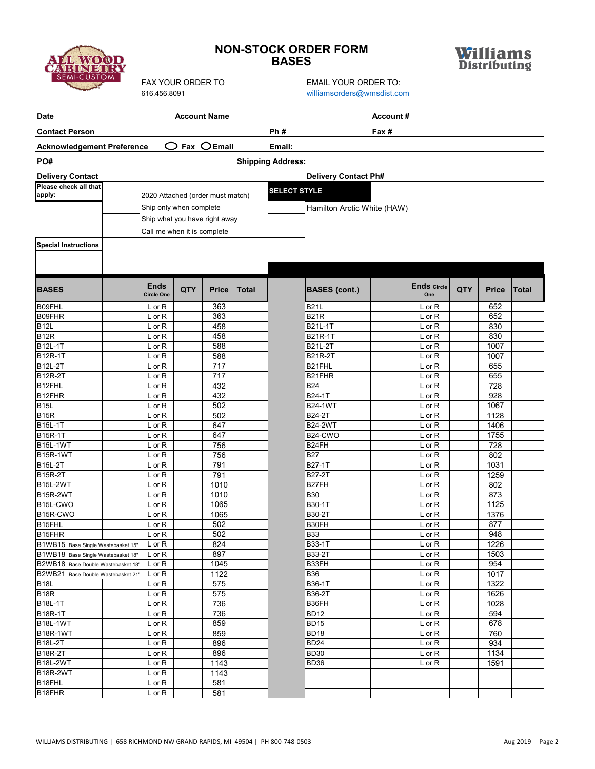# **NON-STOCK ORDER FORM BASES**



**SEMI-CUSTON** 

| <b>Date</b>                                                              |                                  | <b>Account Name</b>             |                  |              | Account#                 |                             |       |                           |            |              |              |
|--------------------------------------------------------------------------|----------------------------------|---------------------------------|------------------|--------------|--------------------------|-----------------------------|-------|---------------------------|------------|--------------|--------------|
| <b>Contact Person</b>                                                    |                                  |                                 |                  |              | Ph#                      |                             | Fax # |                           |            |              |              |
| <b>Acknowledgement Preference</b>                                        |                                  | $\bigcirc$ Fax $\bigcirc$ Email |                  |              | Email:                   |                             |       |                           |            |              |              |
| PO#                                                                      |                                  |                                 |                  |              | <b>Shipping Address:</b> |                             |       |                           |            |              |              |
| <b>Delivery Contact</b>                                                  |                                  |                                 |                  |              |                          | <b>Delivery Contact Ph#</b> |       |                           |            |              |              |
| Please check all that                                                    |                                  |                                 |                  |              | <b>SELECT STYLE</b>      |                             |       |                           |            |              |              |
| apply:                                                                   | 2020 Attached (order must match) |                                 |                  |              |                          |                             |       |                           |            |              |              |
|                                                                          | Ship only when complete          |                                 |                  |              |                          | Hamilton Arctic White (HAW) |       |                           |            |              |              |
|                                                                          | Ship what you have right away    |                                 |                  |              |                          |                             |       |                           |            |              |              |
|                                                                          | Call me when it is complete      |                                 |                  |              |                          |                             |       |                           |            |              |              |
| <b>Special Instructions</b>                                              |                                  |                                 |                  |              |                          |                             |       |                           |            |              |              |
|                                                                          |                                  |                                 |                  |              |                          |                             |       |                           |            |              |              |
| <b>BASES</b>                                                             | <b>Ends</b><br><b>Circle One</b> | QTY                             | <b>Price</b>     | <b>Total</b> |                          | <b>BASES (cont.)</b>        |       | <b>Ends Circle</b><br>One | <b>QTY</b> | <b>Price</b> | <b>Total</b> |
| B09FHL                                                                   | L or R                           |                                 | 363              |              |                          | <b>B21L</b>                 |       | L or R                    |            | 652          |              |
| B09FHR                                                                   | L or R                           |                                 | 363              |              |                          | <b>B21R</b>                 |       | L or R                    |            | 652          |              |
| B <sub>12</sub> L                                                        | $L$ or $R$                       |                                 | 458              |              |                          | B21L-1T                     |       | L or R                    |            | 830          |              |
| <b>B12R</b>                                                              | L or R                           |                                 | 458              |              |                          | B21R-1T                     |       | L or R                    |            | 830          |              |
| B12L-1T                                                                  | L or R                           |                                 | 588<br>588       |              |                          | <b>B21L-2T</b>              |       | L or R                    |            | 1007<br>1007 |              |
| B12R-1T<br><b>B12L-2T</b>                                                | L or R<br>L or R                 |                                 | 717              |              |                          | <b>B21R-2T</b><br>B21FHL    |       | L or R<br>L or R          |            | 655          |              |
| B12R-2T                                                                  | $L$ or $R$                       |                                 | $\overline{717}$ |              |                          | B21FHR                      |       | L or R                    |            | 655          |              |
| B12FHL                                                                   | L or R                           |                                 | 432              |              |                          | <b>B24</b>                  |       | L or R                    |            | 728          |              |
| B12FHR                                                                   | L or R                           |                                 | 432              |              |                          | B24-1T                      |       | L or R                    |            | 928          |              |
| <b>B15L</b>                                                              | L or R                           |                                 | 502              |              |                          | <b>B24-1WT</b>              |       | $L$ or $R$                |            | 1067         |              |
| <b>B15R</b>                                                              | L or R                           |                                 | 502              |              |                          | <b>B24-2T</b>               |       | L or R                    |            | 1128         |              |
| <b>B15L-1T</b>                                                           | $L$ or $R$                       |                                 | 647              |              |                          | <b>B24-2WT</b>              |       | L or R                    |            | 1406         |              |
| <b>B15R-1T</b>                                                           | L or R                           |                                 | 647              |              |                          | B24-CWO                     |       | L or R                    |            | 1755         |              |
| <b>B15L-1WT</b>                                                          | L or R                           |                                 | 756<br>756       |              |                          | B24FH<br><b>B27</b>         |       | $L$ or $R$                |            | 728<br>802   |              |
| <b>B15R-1WT</b><br><b>B15L-2T</b>                                        | L or R<br>L or R                 |                                 | 791              |              |                          | B27-1T                      |       | $L$ or $R$<br>L or R      |            | 1031         |              |
| <b>B15R-2T</b>                                                           | L or R                           |                                 | 791              |              |                          | <b>B27-2T</b>               |       | L or R                    |            | 1259         |              |
| <b>B15L-2WT</b>                                                          | L or R                           |                                 | 1010             |              |                          | B27FH                       |       | L or R                    |            | 802          |              |
| <b>B15R-2WT</b>                                                          | L or R                           |                                 | 1010             |              |                          | <b>B30</b>                  |       | L or R                    |            | 873          |              |
| B15L-CWO                                                                 | L or R                           |                                 | 1065             |              |                          | B30-1T                      |       | $L$ or $R$                |            | 1125         |              |
| B15R-CWO                                                                 | L or R                           |                                 | 1065             |              |                          | B30-2T                      |       | L or R                    |            | 1376         |              |
| B15FHL                                                                   | $L$ or $R$                       |                                 | 502              |              |                          | B30FH                       |       | L or R                    |            | 877          |              |
| B <sub>15FHR</sub>                                                       | L or R                           |                                 | 502              |              |                          | <b>B33</b>                  |       | L or R                    |            | 948          |              |
| B1WB15 Base Single Wastebasket 15"<br>B1WB18 Base Single Wastebasket 18" | L or R<br>$L$ or $R$             |                                 | 824<br>897       |              |                          | B33-1T<br>B33-2T            |       | L or R<br>$L$ or $R$      |            | 1226<br>1503 |              |
| B2WB18 Base Double Wastebasket 18'                                       | $L$ or $R$                       |                                 | 1045             |              |                          | B33FH                       |       | L or R                    |            | 954          |              |
| B2WB21 Base Double Wastebasket 21'                                       | $L$ or $R$                       |                                 | 1122             |              |                          | <b>B36</b>                  |       | L or R                    |            | 1017         |              |
| <b>B18L</b>                                                              | $L$ or $R$                       |                                 | 575              |              |                          | B36-1T                      |       | $L$ or $R$                |            | 1322         |              |
| <b>B18R</b>                                                              | $L$ or $R$                       |                                 | 575              |              |                          | B36-2T                      |       | $L$ or $R$                |            | 1626         |              |
| <b>B18L-1T</b>                                                           | L or R                           |                                 | 736              |              |                          | B36FH                       |       | L or R                    |            | 1028         |              |
| B18R-1T                                                                  | $L$ or $R$                       |                                 | 736              |              |                          | <b>BD12</b>                 |       | $L$ or $R$                |            | 594          |              |
| <b>B18L-1WT</b>                                                          | $L$ or $R$                       |                                 | 859              |              |                          | <b>BD15</b>                 |       | $L$ or $R$                |            | 678          |              |
| <b>B18R-1WT</b>                                                          | $L$ or $R$                       |                                 | 859              |              |                          | <b>BD18</b>                 |       | L or R                    |            | 760          |              |
| <b>B18L-2T</b><br><b>B18R-2T</b>                                         | L or R                           |                                 | 896<br>896       |              |                          | <b>BD24</b><br><b>BD30</b>  |       | $L$ or $R$                |            | 934          |              |
| <b>B18L-2WT</b>                                                          | L or R<br>L or R                 |                                 | 1143             |              |                          | BD36                        |       | L or R<br>$L$ or $R$      |            | 1134<br>1591 |              |
| <b>B18R-2WT</b>                                                          | L or R                           |                                 | 1143             |              |                          |                             |       |                           |            |              |              |
| B18FHL                                                                   | L or R                           |                                 | 581              |              |                          |                             |       |                           |            |              |              |
| B18FHR                                                                   | L or R                           |                                 | 581              |              |                          |                             |       |                           |            |              |              |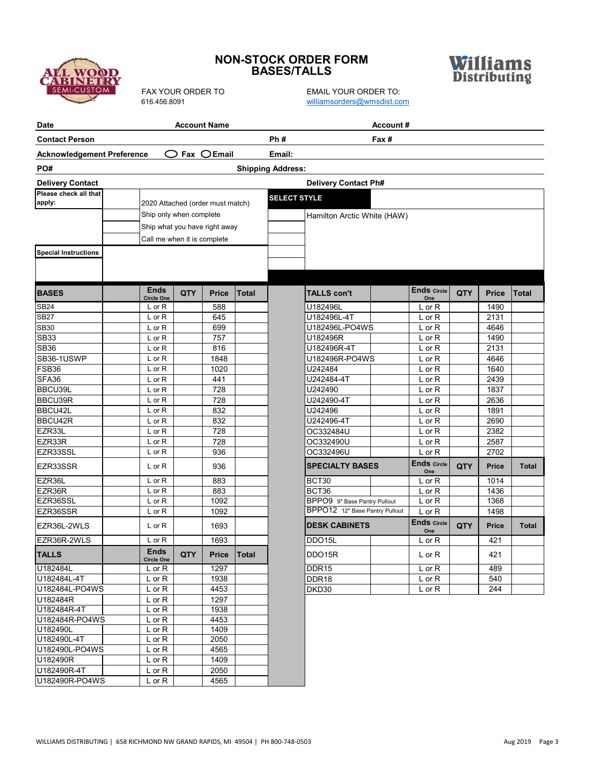

# **NON-STOCK ORDER FORM BASES/TALLS**

FAX YOUR ORDER TO<br>616.456.8091 email@example.org/williamsorders@wmsdist.com [williamsorders@wmsdist.com](mailto:williamsorders@wmsdist.com)



| <b>Date</b>                       |                                  | <b>Account Name</b> |              |              |                          |                                | Account# |                           |     |              |       |
|-----------------------------------|----------------------------------|---------------------|--------------|--------------|--------------------------|--------------------------------|----------|---------------------------|-----|--------------|-------|
| <b>Contact Person</b>             |                                  |                     |              |              | Ph#                      |                                | Fax #    |                           |     |              |       |
| <b>Acknowledgement Preference</b> | ( )                              |                     | Fax $OEmail$ |              | Email:                   |                                |          |                           |     |              |       |
| PO#                               |                                  |                     |              |              | <b>Shipping Address:</b> |                                |          |                           |     |              |       |
| <b>Delivery Contact</b>           |                                  |                     |              |              |                          | <b>Delivery Contact Ph#</b>    |          |                           |     |              |       |
| Please check all that             |                                  |                     |              |              |                          |                                |          |                           |     |              |       |
| apply:                            | 2020 Attached (order must match) |                     |              |              | <b>SELECT STYLE</b>      |                                |          |                           |     |              |       |
|                                   | Ship only when complete          |                     |              |              |                          | Hamilton Arctic White (HAW)    |          |                           |     |              |       |
|                                   | Ship what you have right away    |                     |              |              |                          |                                |          |                           |     |              |       |
|                                   | Call me when it is complete      |                     |              |              |                          |                                |          |                           |     |              |       |
| <b>Special Instructions</b>       |                                  |                     |              |              |                          |                                |          |                           |     |              |       |
|                                   |                                  |                     |              |              |                          |                                |          |                           |     |              |       |
|                                   |                                  |                     |              |              |                          |                                |          |                           |     |              |       |
|                                   |                                  |                     |              |              |                          |                                |          |                           |     |              |       |
| <b>BASES</b>                      | <b>Ends</b><br><b>Circle One</b> | QTY                 | <b>Price</b> | <b>Total</b> |                          | <b>TALLS con't</b>             |          | <b>Ends Circle</b><br>One | QTY | <b>Price</b> | Total |
| SB24                              | L or R                           |                     | 588          |              |                          | U182496L                       |          | $L$ or $R$                |     | 1490         |       |
| <b>SB27</b>                       | L or R                           |                     | 645          |              |                          | U182496L-4T                    |          | $L$ or $R$                |     | 2131         |       |
| <b>SB30</b>                       | $L$ or $R$                       |                     | 699          |              |                          | U182496L-PO4WS                 |          | L or R                    |     | 4646         |       |
| <b>SB33</b>                       | L or R                           |                     | 757          |              |                          | U182496R                       |          | L or R                    |     | 1490         |       |
| <b>SB36</b>                       | L or R                           |                     | 816          |              |                          | U182496R-4T                    |          | L or R                    |     | 2131         |       |
| SB36-1USWP                        | $L$ or $R$                       |                     | 1848         |              |                          | U182496R-PO4WS                 |          | $L$ or $R$                |     | 4646         |       |
| FSB36                             | L or R                           |                     | 1020         |              |                          | U242484                        |          | L or R                    |     | 1640         |       |
| SFA36                             | L or R                           |                     | 441          |              |                          | U242484-4T                     |          | L or R                    |     | 2439         |       |
| BBCU39L                           | L or R                           |                     | 728          |              |                          | U242490                        |          | L or R                    |     | 1837         |       |
| BBCU39R                           | L or R                           |                     | 728          |              |                          | U242490-4T                     |          | L or R                    |     | 2636         |       |
| BBCU42L                           | L or R                           |                     | 832          |              |                          | U242496                        |          | L or R                    |     | 1891         |       |
| BBCU42R                           | $L$ or $R$                       |                     | 832          |              |                          | U242496-4T                     |          | L or R                    |     | 2690         |       |
| EZR33L                            | L or R                           |                     | 728          |              |                          | OC332484U                      |          | L or R                    |     | 2382         |       |
| EZR33R                            | L or R                           |                     | 728          |              |                          | OC332490U                      |          | L or R                    |     | 2587         |       |
| EZR33SSL                          | $L$ or R                         |                     | 936          |              |                          | OC332496U                      |          | L or R                    |     | 2702         |       |
| EZR33SSR                          | L or R                           |                     | 936          |              |                          | <b>SPECIALTY BASES</b>         |          | <b>Ends Circle</b><br>One | QTY | <b>Price</b> | Total |
| EZR36L                            | L or R                           |                     | 883          |              |                          | BCT30                          |          | $L$ or $R$                |     | 1014         |       |
| EZR36R                            | $L$ or $R$                       |                     | 883          |              |                          | BCT36                          |          | L or R                    |     | 1436         |       |
| EZR36SSL                          | L or R                           |                     | 1092         |              |                          | BPPO9 9" Base Pantry Pullout   |          | L or R                    |     | 1368         |       |
| EZR36SSR                          | L or R                           |                     | 1092         |              |                          | BPPO12 12" Base Pantry Pullout |          | $L$ or $R$                |     | 1498         |       |
| EZR36L-2WLS                       | $L$ or $R$                       |                     | 1693         |              |                          | <b>DESK CABINETS</b>           |          | <b>Ends Circle</b><br>One | QTY | Price        | Total |
| EZR36R-2WLS                       | L or R                           |                     | 1693         |              |                          | DDO15L                         |          | L or R                    |     | 421          |       |
| <b>TALLS</b>                      | <b>Ends</b><br><b>Circle One</b> | <b>QTY</b>          |              | Price Total  |                          | DDO15R                         |          | L or R                    |     | 421          |       |
| U182484L                          | $L$ or $R$                       |                     | 1297         |              |                          | DDR <sub>15</sub>              |          | L or R                    |     | 489          |       |
| U182484L-4T                       | $L$ or $R$                       |                     | 1938         |              |                          | DDR <sub>18</sub>              |          | L or R                    |     | 540          |       |
| U182484L-PO4WS                    | L or R                           |                     | 4453         |              |                          | DKD30                          |          | $L$ or $R$                |     | 244          |       |
| U182484R                          | $L$ or $R$                       |                     | 1297         |              |                          |                                |          |                           |     |              |       |
| U182484R-4T                       | L or R                           |                     | 1938         |              |                          |                                |          |                           |     |              |       |
| U182484R-PO4WS                    | L or R                           |                     | 4453         |              |                          |                                |          |                           |     |              |       |
| U182490L                          | L or R                           |                     | 1409         |              |                          |                                |          |                           |     |              |       |
| U182490L-4T                       | L or R                           |                     | 2050         |              |                          |                                |          |                           |     |              |       |
| U182490L-PO4WS                    | $L$ or $R$                       |                     | 4565         |              |                          |                                |          |                           |     |              |       |
| U182490R                          | $L$ or $R$                       |                     | 1409         |              |                          |                                |          |                           |     |              |       |
| U182490R-4T                       | $L$ or $R$                       |                     | 2050         |              |                          |                                |          |                           |     |              |       |

U182490R-4T Lor R 2050<br>U182490R-PO4WS Lor R 4565

U182490R-PO4WS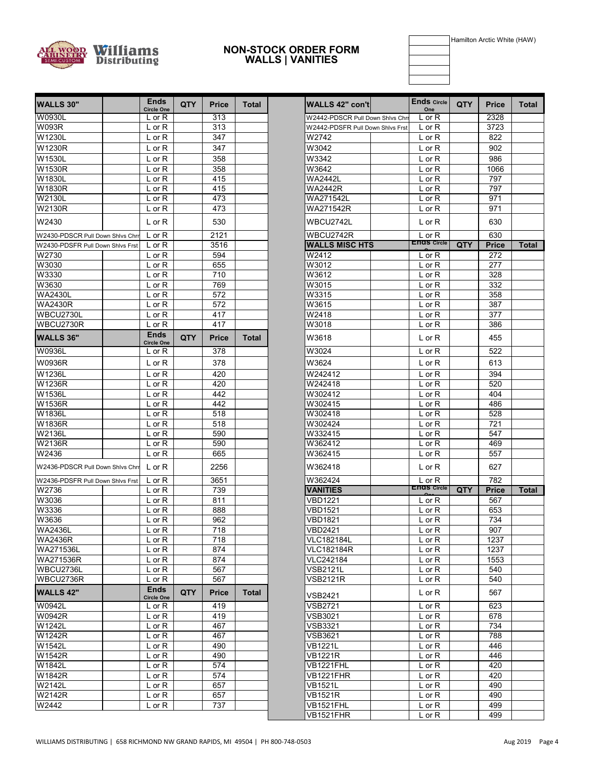

#### **WALLS | VANITIES NON-STOCK ORDER FORM**

Hamilton Arctic White (HAW)

| <b>WALLS 30"</b>                   | <b>Ends</b><br><b>Circle One</b> | <b>QTY</b> | <b>Price</b> | <b>Total</b> | <b>WALLS 42" con't</b>             | <b>Ends Circle</b><br>One      | <b>QTY</b> | <b>Price</b>        | To |
|------------------------------------|----------------------------------|------------|--------------|--------------|------------------------------------|--------------------------------|------------|---------------------|----|
| W0930L                             | $L$ or $R$                       |            | 313          |              | W2442-PDSCR Pull Down Shivs Chri   | L or R                         |            | 2328                |    |
| <b>W093R</b>                       | $L$ or $R$                       |            | 313          |              | W2442-PDSFR Pull Down Shivs Frst   | L or R                         |            | 3723                |    |
| W1230L                             | $L$ or $R$                       |            | 347          |              | W2742                              | $L$ or $R$                     |            | 822                 |    |
| W1230R                             | $L$ or $R$                       |            | 347          |              | W3042                              | $L$ or $R$                     |            | 902                 |    |
| W1530L                             | $L$ or $R$                       |            | 358          |              | W3342                              | L or R                         |            | 986                 |    |
| W1530R                             | $L$ or $R$                       |            | 358          |              | W3642                              | $L$ or $R$                     |            | 1066                |    |
| W1830L                             | $L$ or $R$                       |            | 415          |              | <b>WA2442L</b>                     | L or R                         |            | 797                 |    |
| W1830R                             | $L$ or $R$                       |            | 415          |              | <b>WA2442R</b>                     | $L$ or $R$                     |            | 797                 |    |
| W2130L                             | $L$ or $R$                       |            | 473          |              | WA271542L                          | L or R                         |            | 971                 |    |
| <b>W2130R</b>                      | $L$ or $R$                       |            | 473          |              | WA271542R                          | $L$ or $R$                     |            | 971                 |    |
| W2430                              | L or $R$                         |            | 530          |              | WBCU2742L                          | $L$ or $R$                     |            | 630                 |    |
| W2430-PDSCR Pull Down Shlvs Chrr   | L or $R$                         |            | 2121         |              | WBCU2742R                          | $L$ or R                       |            | 630                 |    |
| W2430-PDSFR Pull Down Shivs Frst   | $L$ or $R$                       |            | 3516         |              | <b>WALLS MISC HTS</b>              | <b>ENGS Circle</b>             | <b>QTY</b> | <b>Price</b>        | To |
| W2730                              | $L$ or $R$                       |            | 594          |              | W2412                              | $L$ or $R$                     |            | 272                 |    |
| W3030                              | $L$ or $R$                       |            | 655          |              | W3012                              | $L$ or $R$                     |            | 277                 |    |
| W3330                              | $L$ or $R$                       |            | 710          |              | W3612                              | $L$ or $R$                     |            | 328                 |    |
| W3630                              | L or R                           |            | 769          |              | W3015                              | L or R                         |            | 332                 |    |
| <b>WA2430L</b>                     | $L$ or $R$                       |            | 572          |              | W3315                              | $L$ or $R$                     |            | 358                 |    |
| <b>WA2430R</b>                     | $L$ or $R$                       |            | 572          |              | W3615                              | $L$ or $R$                     |            | 387                 |    |
| WBCU2730L                          | $L$ or $R$                       |            | 417          |              | W2418                              | $L$ or $R$                     |            | 377                 |    |
| WBCU2730R                          | L or R                           |            | 417          |              | W3018                              | L or R                         |            | 386                 |    |
| <b>WALLS 36"</b>                   | <b>Ends</b><br><b>Circle One</b> | <b>QTY</b> | Price        | Total        | W3618                              | L or R                         |            | 455                 |    |
| W0936L                             | L or R                           |            | 378          |              | W3024                              | $L$ or $R$                     |            | 522                 |    |
| <b>W0936R</b>                      | $L$ or $R$                       |            | 378          |              | W3624                              | L or R                         |            | 613                 |    |
| W1236L                             | $L$ or $R$                       |            | 420          |              | W242412                            | $L$ or $R$                     |            | 394                 |    |
| W1236R                             |                                  |            | 420          |              | W242418                            |                                |            | 520                 |    |
| W1536L                             | $L$ or $R$                       |            | 442          |              | W302412                            | $L$ or $R$                     |            | 404                 |    |
| W1536R                             | $L$ or $R$                       |            |              |              |                                    | $L$ or $R$                     |            |                     |    |
| W1836L                             | $L$ or $R$                       |            | 442          |              | W302415                            | $L$ or $R$                     |            | 486<br>528          |    |
| W1836R                             | $L$ or $R$                       |            | 518<br>518   |              | W302418<br>W302424                 | L or R                         |            | 721                 |    |
| <b>W2136L</b>                      | $L$ or $R$                       |            |              |              |                                    | $L$ or $R$                     |            |                     |    |
| <b>W2136R</b>                      | $L$ or $R$                       |            | 590          |              | W332415                            | $L$ or $R$                     |            | 547                 |    |
| W2436                              | $L$ or $R$                       |            | 590<br>665   |              | W362412<br>W362415                 | L or R                         |            | 469<br>557          |    |
| W2436-PDSCR Pull Down Shivs Chri   | $L$ or $R$<br>$L$ or R           |            | 2256         |              | W362418                            | L or R<br>$L$ or $R$           |            | 627                 |    |
|                                    |                                  |            |              |              |                                    |                                |            |                     |    |
| W2436-PDSFR Pull Down Shivs Frst   | $L$ or $R$                       |            | 3651         |              | W362424                            | $L$ or R<br><b>ENGS Circle</b> |            | 782                 |    |
| W2736<br>W3036                     | $L$ or $R$                       |            | 739<br>811   |              | <b>VANITIES</b>                    |                                | QTY        | <b>Price</b><br>567 | To |
| W3336                              | $L$ or $R$                       |            |              |              | VBD1221<br>VBD1521                 | $L$ or $R$                     |            |                     |    |
|                                    | $L$ or $R$                       |            | 888          |              |                                    | $L$ or $R$                     |            | 653                 |    |
| W3636<br><b>WA2436L</b>            | $L$ or $R$<br>$L$ or $R$         |            | 962<br>718   |              | VBD1821<br><b>VBD2421</b>          | $L$ or R<br>$L$ or $R$         |            | 734<br>907          |    |
|                                    |                                  |            |              |              |                                    |                                |            |                     |    |
| <b>WA2436R</b><br><b>WA271536L</b> | $L$ or $R$                       |            | 718          |              | <b>VLC182184L</b>                  | $L$ or $R$                     |            | 1237                |    |
|                                    | L or R                           |            | 874          |              | <b>VLC182184R</b><br>VLC242184     | L or R                         |            | 1237                |    |
| WA271536R<br>WBCU2736L             | L or R                           |            | 874          |              |                                    | L or R                         |            | 1553                |    |
|                                    | L or R                           |            | 567          |              | <b>VSB2121L</b><br><b>VSB2121R</b> | $L$ or $R$                     |            | 540<br>540          |    |
| WBCU2736R<br><b>WALLS 42"</b>      | $L$ or $R$<br><b>Ends</b>        | <b>QTY</b> | 567<br>Price | Total        |                                    | L or R<br>$L$ or $R$           |            | 567                 |    |
| W0942L                             | <b>Circle One</b><br>$L$ or $R$  |            | 419          |              | VSB2421<br><b>VSB2721</b>          | L or R                         |            | 623                 |    |
| W0942R                             | L or R                           |            | 419          |              | <b>VSB3021</b>                     | $L$ or $R$                     |            | 678                 |    |
| W1242L                             | L or R                           |            | 467          |              | <b>VSB3321</b>                     | L or R                         |            | 734                 |    |
| W1242R                             | $L$ or $R$                       |            | 467          |              | <b>VSB3621</b>                     | L or R                         |            | 788                 |    |
| W1542L                             | $L$ or $R$                       |            | 490          |              | VB1221L                            | $L$ or $R$                     |            | 446                 |    |
| W1542R                             | L or R                           |            | 490          |              | <b>VB1221R</b>                     | L or R                         |            | 446                 |    |
| W1842L                             | L or R                           |            | 574          |              | <b>VB1221FHL</b>                   | L or R                         |            | 420                 |    |
| W1842R                             | L or R                           |            | 574          |              | <b>VB1221FHR</b>                   | L or R                         |            | 420                 |    |
| W2142L                             | L or R                           |            | 657          |              | <b>VB1521L</b>                     | L or R                         |            | 490                 |    |
| W2142R                             | $L$ or $R$                       |            | 657          |              | <b>VB1521R</b>                     | $L$ or $R$                     |            | 490                 |    |
| W2442                              | L or R                           |            | 737          |              | VB1521FHL                          | L or R                         |            | 499                 |    |
|                                    |                                  |            |              |              |                                    |                                |            |                     |    |

| <b>Ends</b>                      | <b>QTY</b> | <b>Price</b> | Total        | <b>WALLS 42" con'tl</b>            | <b>Ends</b> Circle       | QTY. | <b>Price</b> | Total        |
|----------------------------------|------------|--------------|--------------|------------------------------------|--------------------------|------|--------------|--------------|
| <b>Circle One</b><br>$L$ or $R$  |            | 313          |              | W2442-PDSCR Pull Down Shivs Chri   | One<br>L or R            |      | 2328         |              |
| L or R                           |            | 313          |              | W2442-PDSFR Pull Down Shlvs Frst   | L or R                   |      | 3723         |              |
| $L$ or $R$                       |            | 347          |              | W2742                              | L or R                   |      | 822          |              |
| $L$ or $R$                       |            | 347          |              | W3042                              | L or R                   |      | 902          |              |
| L or R                           |            | 358          |              | W3342                              | L or R                   |      | 986          |              |
| $L$ or $R$                       |            | 358          |              | W3642                              | $L$ or $R$               |      | 1066         |              |
| $L$ or $R$                       |            | 415          |              | <b>WA2442L</b>                     | L or R                   |      | 797          |              |
| $L$ or $R$                       |            | 415          |              | <b>WA2442R</b>                     | L or R                   |      | 797          |              |
| $L$ or $R$                       |            | 473          |              | WA271542L                          | L or R                   |      | 971          |              |
| L or R                           |            | 473          |              | WA271542R                          | L or R                   |      | 971          |              |
| L or $R$                         |            | 530          |              | WBCU2742L                          | L or R                   |      | 630          |              |
| $L$ or $R$                       |            | 2121         |              | WBCU2742R                          | $L$ or $R$               |      | 630          |              |
| $L$ or $R$                       |            | 3516         |              | <b>WALLS MISC HTS</b>              | <b>ENGS Circle</b>       | QTY  | Price        | <b>Total</b> |
| L or R                           |            | 594          |              | W2412                              | L or R                   |      | 272          |              |
| $L$ or $R$                       |            | 655          |              | W3012                              | $L$ or $R$               |      | 277          |              |
| $L$ or $R$                       |            | 710          |              | W3612                              | L or R                   |      | 328          |              |
| L or R                           |            | 769          |              | W3015                              | L or R                   |      | 332          |              |
| $L$ or $R$                       |            | 572          |              | W3315                              | L or R                   |      | 358          |              |
| $L$ or R                         |            | 572          |              | W3615                              | L or R                   |      | 387          |              |
| $L$ or $R$                       |            | 417          |              | W2418                              | $L$ or $R$               |      | 377          |              |
| L or R                           |            | 417          |              | W3018                              | $L$ or $R$               |      | 386          |              |
| <b>Ends</b><br><b>Circle One</b> | QTY        | <b>Price</b> | Total        | W3618                              | $L$ or $R$               |      | 455          |              |
| $L$ or $R$                       |            | 378          |              | W3024                              | L or R                   |      | 522          |              |
| $L$ or $R$                       |            | 378          |              | W3624                              | $L$ or $R$               |      | 613          |              |
| L or R                           |            | 420          |              | W242412                            | L or R                   |      | 394          |              |
| $L$ or $R$                       |            | 420          |              | W242418                            | L or R                   |      | 520          |              |
| L or R                           |            | 442          |              | W302412                            | L or R                   |      | 404          |              |
| L or R                           |            | 442          |              | W302415                            | L or R                   |      | 486          |              |
| $L$ or $R$                       |            | 518          |              | W302418                            | L or R                   |      | 528          |              |
| $L$ or $R$                       |            | 518          |              | W302424                            | L or R                   |      | 721          |              |
| $L$ or $R$                       |            | 590          |              | W332415                            | $L$ or $R$               |      | 547          |              |
| $L$ or $R$                       |            | 590          |              | W362412                            | L or R                   |      | 469          |              |
| $L$ or $R$                       |            | 665          |              | W362415                            | L or R                   |      | 557          |              |
| $L$ or $R$                       |            | 2256         |              | W362418                            | L or R                   |      | 627          |              |
| $L$ or $R$                       |            | 3651         |              | W362424                            | $L$ or R                 |      | 782          |              |
| $L$ or $R$                       |            | 739          |              | <b>VANITIES</b>                    | <b>ENOS Circle</b>       | QTY  | Price        | <b>Total</b> |
| L or R                           |            | 811          |              | VBD1221                            | L or R                   |      | 567          |              |
| $L$ or R                         |            | 888          |              | VBD1521                            | $L$ or R                 |      | 653          |              |
| $L$ or $R$                       |            | 962          |              | VBD1821                            | L or R                   |      | 734          |              |
| $L$ or $R$                       |            | 718          |              | VBD2421                            | L or R                   |      | 907          |              |
| $L$ or $R$                       |            | 718          |              | <b>VLC182184L</b>                  | $L$ or R                 |      | 1237         |              |
| $\overline{L}$ or $\overline{R}$ |            | 874          |              | VLC182184R                         | $L$ or $R$               |      | 1237         |              |
| L or R                           |            | 874          |              | VLC242184                          | $L$ or $R$               |      | 1553<br>540  |              |
| $L$ or $R$<br>$L$ or $R$         |            | 567<br>567   |              | <b>VSB2121L</b><br><b>VSB2121R</b> | L or R<br>$L$ or $R$     |      | 540          |              |
| <b>Ends</b>                      |            |              |              |                                    |                          |      |              |              |
| <b>Circle One</b>                | QTY        | <b>Price</b> | <b>Total</b> | VSB2421                            | $L$ or $R$               |      | 567          |              |
| L or R                           |            | 419          |              | VSB2721                            | $L$ or $R$               |      | 623          |              |
| $L$ or $R$                       |            | 419          |              | VSB3021                            | L or R                   |      | 678          |              |
| $L$ or $R$<br>L or R             |            | 467<br>467   |              | VSB3321<br><b>VSB3621</b>          | $L$ or $R$<br>$L$ or $R$ |      | 734<br>788   |              |
| L or R                           |            | 490          |              | <b>VB1221L</b>                     | L or R                   |      | 446          |              |
| $L$ or $R$                       |            | 490          |              | <b>VB1221R</b>                     | L or R                   |      | 446          |              |
| $\overline{L}$ or R              |            | 574          |              | VB1221FHL                          | $L$ or $R$               |      | 420          |              |
| $L$ or $R$                       |            | 574          |              | VB1221FHR                          | $L$ or $R$               |      | 420          |              |
| L or R                           |            | 657          |              | <b>VB1521L</b>                     | L or R                   |      | 490          |              |
| $L$ or $R$                       |            | 657          |              | VB1521R                            | L or R                   |      | 490          |              |
| $L$ or $R$                       |            | 737          |              | VB1521FHL                          | $L$ or $R$               |      | 499          |              |
|                                  |            |              |              | VB1521FHR                          | L or R                   |      | 499          |              |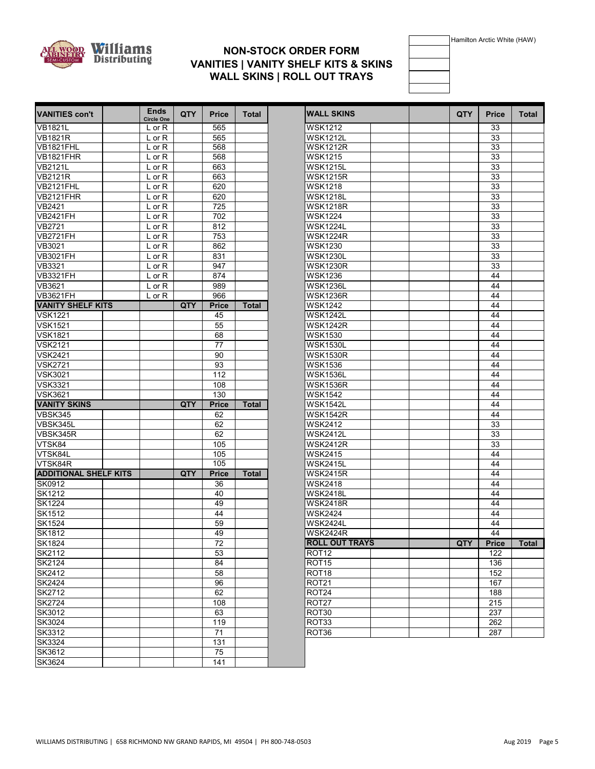

# **WALL SKINS | ROLL OUT TRAYS NON-STOCK ORDER FORM VANITIES | VANITY SHELF KITS & SKINS**



| <b>VANITIES con't</b>        | <b>Ends</b><br>Circle One | <b>QTY</b> | Price        | Total        |
|------------------------------|---------------------------|------------|--------------|--------------|
| <b>VB1821L</b>               | L or R                    |            | 565          |              |
| <b>VB1821R</b>               | $L$ or $R$                |            | 565          |              |
| VB1821FHL                    | L or R                    |            | 568          |              |
| VB1821FHR                    | $L$ or R                  |            | 568          |              |
| <b>VB2121L</b>               | $L$ or $R$                |            | 663          |              |
| <b>VB2121R</b>               | $L$ or $R$                |            | 663          |              |
| <b>VB2121FHL</b>             | $L$ or $R$                |            | 620          |              |
| <b>VB2121FHR</b>             | $L$ or $R$                |            | 620          |              |
| $\overline{\text{VB2}}$ 421  | $L$ or $R$                |            | 725          |              |
| <b>VB2421FH</b>              | $L$ or $R$                |            | 702          |              |
| VB2721                       | $L$ or $R$                |            | 812          |              |
| <b>VB2721FH</b>              | $L$ or $R$                |            | 753          |              |
| VB3021                       | $L$ or $R$                |            | 862          |              |
| <b>VB3021FH</b>              | $L$ or R                  |            | 831          |              |
| VB3321                       |                           |            | 947          |              |
|                              | $L$ or $R$                |            |              |              |
| <b>VB3321FH</b>              | $L$ or $R$                |            | 874          |              |
| VB3621                       | $L$ or $R$                |            | 989          |              |
| <b>VB3621FH</b>              | L or R                    |            | 966          |              |
| <b>VANITY SHELF KITS</b>     |                           | <b>QTY</b> | <b>Price</b> | <b>Total</b> |
| <b>VSK1221</b>               |                           |            | 45           |              |
| <b>VSK1521</b>               |                           |            | 55           |              |
| <b>VSK1821</b>               |                           |            | 68           |              |
| VSK2121                      |                           |            | 77           |              |
| <b>VSK2421</b>               |                           |            | 90           |              |
| <b>VSK2721</b>               |                           |            | 93           |              |
| VSK3021                      |                           |            | 112          |              |
| <b>VSK3321</b>               |                           |            | 108          |              |
| <b>VSK3621</b>               |                           |            | 130          |              |
| <b>VANITY SKINS</b>          |                           | <b>QTY</b> | <b>Price</b> | <b>Total</b> |
| <b>VBSK345</b>               |                           |            | 62           |              |
| VBSK345L                     |                           |            | 62           |              |
| VBSK345R                     |                           |            | 62           |              |
| VTSK84                       |                           |            | 105          |              |
| VTSK84L                      |                           |            | 105          |              |
| VTSK84R                      |                           |            | 105          |              |
| <b>ADDITIONAL SHELF KITS</b> |                           | <b>QTY</b> | <b>Price</b> | <b>Total</b> |
| SK0912                       |                           |            | 36           |              |
|                              |                           |            |              |              |
| SK1212                       |                           |            | 40           |              |
| SK1224                       |                           |            | 49           |              |
| SK1512                       |                           |            | 44           |              |
| SK1524                       |                           |            | 59           |              |
| SK1812                       |                           |            | 49           |              |
| <b>SK1824</b>                |                           |            | 72           |              |
| SK2112                       |                           |            | 53           |              |
| SK2124                       |                           |            | 84           |              |
| SK2412                       |                           |            | 58           |              |
| SK2424                       |                           |            | 96           |              |
| SK2712                       |                           |            | 62           |              |
| SK2724                       |                           |            | 108          |              |
| $\overline{\text{SK3012}}$   |                           |            | 63           |              |
| SK3024                       |                           |            | 119          |              |
|                              |                           |            |              |              |
| SK3312                       |                           |            | 71           |              |
| SK3324                       |                           |            | 131          |              |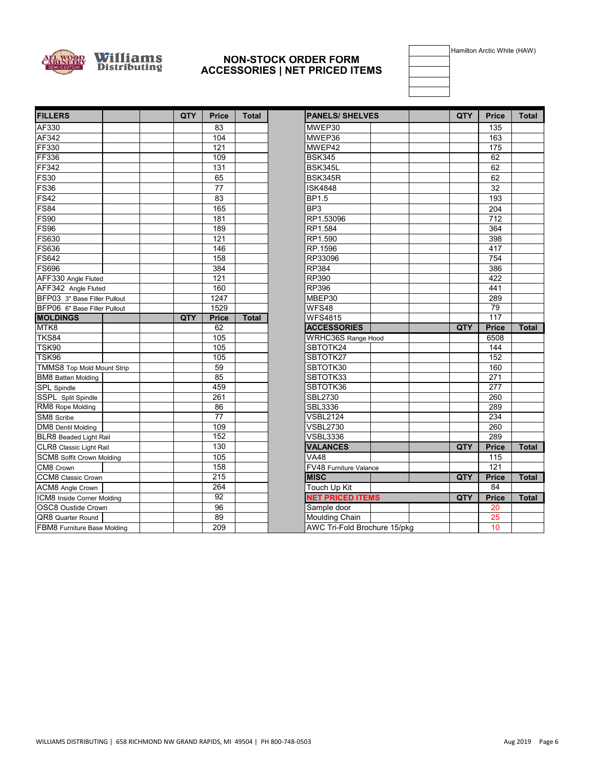

#### **NON-STOCK ORDER FORM ACCESSORIES | NET PRICED ITEMS**

Hamilton Arctic White (HAW)

| <b>FILLERS</b>                   | <b>QTY</b> | <b>Price</b>    | <b>Total</b> | <b>PANELS/SHELVES</b>        | QTY | <b>Price</b>    | Total |
|----------------------------------|------------|-----------------|--------------|------------------------------|-----|-----------------|-------|
| AF330                            |            | 83              |              | MWEP30                       |     | 135             |       |
| AF342                            |            | 104             |              | MWEP36                       |     | 163             |       |
| FF330                            |            | 121             |              | MWEP42                       |     | 175             |       |
| <b>FF336</b>                     |            | 109             |              | <b>BSK345</b>                |     | 62              |       |
| FF342                            |            | 131             |              | BSK345L                      |     | 62              |       |
| <b>FS30</b>                      |            | 65              |              | BSK345R                      |     | 62              |       |
| <b>FS36</b>                      |            | $\overline{77}$ |              | <b>ISK4848</b>               |     | 32              |       |
| <b>FS42</b>                      |            | 83              |              | BP1.5                        |     | 193             |       |
| <b>FS84</b>                      |            | 165             |              | BP <sub>3</sub>              |     | 204             |       |
| <b>FS90</b>                      |            | 181             |              | RP1.53096                    |     | 712             |       |
| <b>FS96</b>                      |            | 189             |              | RP1.584                      |     | 364             |       |
| <b>FS630</b>                     |            | 121             |              | RP1.590                      |     | 398             |       |
| FS636                            |            | 146             |              | RP.1596                      |     | 417             |       |
| <b>FS642</b>                     |            | 158             |              | RP33096                      |     | 754             |       |
| <b>FS696</b>                     |            | 384             |              | RP384                        |     | 386             |       |
| AFF330 Angle Fluted              |            | 121             |              | RP390                        |     | 422             |       |
| AFF342 Angle Fluted              |            | 160             |              | <b>RP396</b>                 |     | 441             |       |
| BFP03 3" Base Filler Pullout     |            | 1247            |              | MBEP30                       |     | 289             |       |
| BFP06 6" Base Filler Pullout     |            | 1529            |              | WFS48                        |     | $\overline{79}$ |       |
| <b>MOLDINGS</b>                  | QTY        | <b>Price</b>    | <b>Total</b> | <b>WFS4815</b>               |     | 117             |       |
| MTK8                             |            | 62              |              | <b>ACCESSORIES</b>           | QTY | <b>Price</b>    | Total |
| <b>TKS84</b>                     |            | 105             |              | WRHC36S Range Hood           |     | 6508            |       |
| <b>TSK90</b>                     |            | 105             |              | SBTOTK24                     |     | 144             |       |
| TSK96                            |            | 105             |              | SBTOTK27                     |     | 152             |       |
| TMMS8 Top Mold Mount Strip       |            | 59              |              | SBTOTK30                     |     | 160             |       |
| <b>BM8</b> Batten Molding        |            | 85              |              | SBTOTK33                     |     | 271             |       |
| SPL Spindle                      |            | 459             |              | SBTOTK36                     |     | 277             |       |
| SSPL Split Spindle               |            | 261             |              | <b>SBL2730</b>               |     | 260             |       |
| RM8 Rope Molding                 |            | 86              |              | SBL3336                      |     | 289             |       |
| SM8 Scribe                       |            | $\overline{77}$ |              | <b>VSBL2124</b>              |     | 234             |       |
| <b>DM8</b> Dentil Molding        |            | 109             |              | <b>VSBL2730</b>              |     | 260             |       |
| BLR8 Beaded Light Rail           |            | 152             |              | <b>VSBL3336</b>              |     | 289             |       |
| CLR8 Classic Light Rail          |            | 130             |              | <b>VALANCES</b>              | QTY | <b>Price</b>    | Total |
| <b>SCM8 Soffit Crown Molding</b> |            | 105             |              | V <sub>A48</sub>             |     | 115             |       |
| CM8 Crown                        |            | 158             |              | FV48 Furniture Valance       |     | 121             |       |
| CCM8 Classic Crown               |            | 215             |              | <b>MISC</b>                  | QTY | <b>Price</b>    | Total |
| ACM8 Angle Crown                 |            | 264             |              | Touch Up Kit                 |     | 84              |       |
| ICM8 Inside Corner Molding       |            | $\overline{92}$ |              | <b>NET PRICED ITEMS</b>      | QTY | <b>Price</b>    | Total |
| OSC8 Oustide Crown               |            | 96              |              | Sample door                  |     | 20              |       |
| QR8 Quarter Round                |            | 89              |              | Moulding Chain               |     | 25              |       |
| FBM8 Furniture Base Molding      |            | 209             |              | AWC Tri-Fold Brochure 15/pkg |     | 10              |       |

| <b>FILLERS</b>                   | QTY | <b>Price</b>    | <b>Total</b> | <b>PANELS/ SHELVES</b>       | QTY | <b>Price</b>     | <b>Total</b> |
|----------------------------------|-----|-----------------|--------------|------------------------------|-----|------------------|--------------|
| AF330                            |     | 83              |              | MWEP30                       |     | 135              |              |
| AF342                            |     | 104             |              | MWEP36                       |     | 163              |              |
| FF330                            |     | 121             |              | MWEP42                       |     | 175              |              |
| FF336                            |     | 109             |              | <b>BSK345</b>                |     | 62               |              |
| FF342                            |     | 131             |              | BSK345L                      |     | 62               |              |
| <b>FS30</b>                      |     | 65              |              | <b>BSK345R</b>               |     | 62               |              |
| $\overline{\text{F}$ S36         |     | 77              |              | <b>ISK4848</b>               |     | 32               |              |
| FS42                             |     | 83              |              | <b>BP1.5</b>                 |     | 193              |              |
| FS84                             |     | 165             |              | BP3                          |     | 204              |              |
| FS90                             |     | 181             |              | RP1.53096                    |     | 712              |              |
| $\overline{\text{F}$ S96         |     | 189             |              | RP1.584                      |     | 364              |              |
| FS630                            |     | 121             |              | RP1.590                      |     | 398              |              |
| <b>FS636</b>                     |     | 146             |              | RP.1596                      |     | 417              |              |
| <b>FS642</b>                     |     | 158             |              | RP33096                      |     | 754              |              |
| FS696                            |     | 384             |              | <b>RP384</b>                 |     | 386              |              |
| AFF330 Angle Fluted              |     | 121             |              | <b>RP390</b>                 |     | 422              |              |
| AFF342 Angle Fluted              |     | 160             |              | <b>RP396</b>                 |     | 441              |              |
| BFP03 3" Base Filler Pullout     |     | 1247            |              | MBEP30                       |     | 289              |              |
| BFP06 6" Base Filler Pullout     |     | 1529            |              | WFS48                        |     | 79               |              |
| <b>MOLDINGS</b>                  | QTY | <b>Price</b>    | <b>Total</b> | <b>WFS4815</b>               |     | $\overline{117}$ |              |
| MTK8                             |     | 62              |              | <b>ACCESSORIES</b>           | QTY | <b>Price</b>     | <b>Total</b> |
| TKS84                            |     | 105             |              | WRHC36S Range Hood           |     | 6508             |              |
| TSK90                            |     | 105             |              | SBTOTK24                     |     | 144              |              |
| TSK96                            |     | 105             |              | SBTOTK27                     |     | 152              |              |
| TMMS8 Top Mold Mount Strip       |     | 59              |              | SBTOTK30                     |     | 160              |              |
| BM8 Batten Molding               |     | 85              |              | SBTOTK33                     |     | 271              |              |
| <b>SPL</b> Spindle               |     | 459             |              | SBTOTK36                     |     | 277              |              |
| SSPL Split Spindle               |     | 261             |              | <b>SBL2730</b>               |     | 260              |              |
| RM8 Rope Molding                 |     | 86              |              | SBL3336                      |     | 289              |              |
| SM8 Scribe                       |     | $\overline{77}$ |              | <b>VSBL2124</b>              |     | 234              |              |
| DM8 Dentil Molding               |     | 109             |              | <b>VSBL2730</b>              |     | 260              |              |
| BLR8 Beaded Light Rail           |     | 152             |              | <b>VSBL3336</b>              |     | 289              |              |
| CLR8 Classic Light Rail          |     | 130             |              | <b>VALANCES</b>              | QTY | <b>Price</b>     | Total        |
| <b>SCM8 Soffit Crown Molding</b> |     | 105             |              | V <sub>A48</sub>             |     | 115              |              |
| CM8 Crown                        |     | 158             |              | FV48 Furniture Valance       |     | 121              |              |
| CCM8 Classic Crown               |     | 215             |              | <b>MISC</b>                  | QTY | <b>Price</b>     | <b>Total</b> |
| <b>ACM8</b> Angle Crown          |     | 264             |              | <b>Touch Up Kit</b>          |     | 84               |              |
| ICM8 Inside Corner Molding       |     | $\overline{92}$ |              | <b>NET PRICED ITEMS</b>      | QTY | <b>Price</b>     | <b>Total</b> |
| OSC8 Oustide Crown               |     | 96              |              | Sample door                  |     | 20               |              |
| QR8 Quarter Round                |     | 89              |              | Moulding Chain               |     | 25               |              |
| FBM8 Furniture Base Molding      |     | 209             |              | AWC Tri-Fold Brochure 15/pkg |     | 10               |              |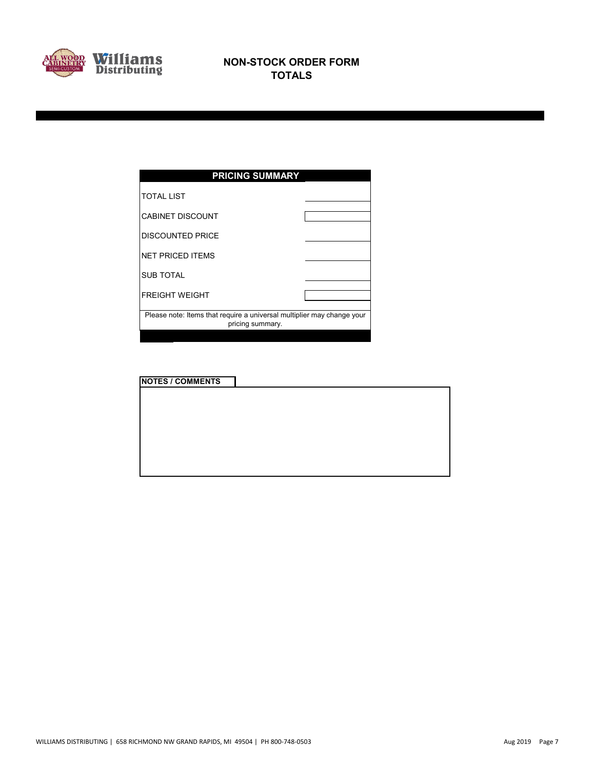

| <b>PRICING SUMMARY</b>                                                                     |  |
|--------------------------------------------------------------------------------------------|--|
| <b>TOTAL LIST</b>                                                                          |  |
| <b>CABINET DISCOUNT</b>                                                                    |  |
| <b>DISCOUNTED PRICE</b>                                                                    |  |
| <b>NET PRICED ITEMS</b>                                                                    |  |
| <b>SUB TOTAL</b>                                                                           |  |
| <b>FREIGHT WEIGHT</b>                                                                      |  |
| Please note: Items that require a universal multiplier may change your<br>pricing summary. |  |
|                                                                                            |  |

| <b>NOTES / COMMENTS</b> |  |  |  |
|-------------------------|--|--|--|
|                         |  |  |  |
|                         |  |  |  |
|                         |  |  |  |
|                         |  |  |  |
|                         |  |  |  |
|                         |  |  |  |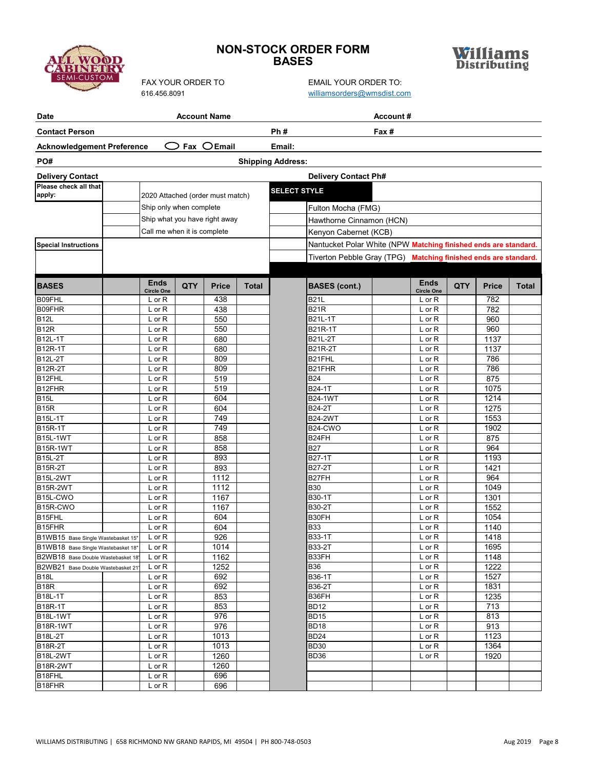# **SEMI-CUST**

# **NON-STOCK ORDER FORM BASES**



| <b>Date</b>                        |                                  |     | <b>Account Name</b> |              | <b>Account #</b>                                                |                                  |            |              |              |  |  |  |  |  |
|------------------------------------|----------------------------------|-----|---------------------|--------------|-----------------------------------------------------------------|----------------------------------|------------|--------------|--------------|--|--|--|--|--|
| <b>Contact Person</b>              |                                  |     |                     |              | Ph#<br>Fax #                                                    |                                  |            |              |              |  |  |  |  |  |
| <b>Acknowledgement Preference</b>  |                                  |     | Fax $O$ Email       |              | Email:                                                          |                                  |            |              |              |  |  |  |  |  |
| PO#                                |                                  |     |                     |              | <b>Shipping Address:</b>                                        |                                  |            |              |              |  |  |  |  |  |
| <b>Delivery Contact</b>            |                                  |     |                     |              | <b>Delivery Contact Ph#</b>                                     |                                  |            |              |              |  |  |  |  |  |
| Please check all that              |                                  |     |                     |              |                                                                 |                                  |            |              |              |  |  |  |  |  |
| apply:                             | 2020 Attached (order must match) |     |                     |              | <b>SELECT STYLE</b>                                             |                                  |            |              |              |  |  |  |  |  |
|                                    | Ship only when complete          |     |                     |              | Fulton Mocha (FMG)                                              |                                  |            |              |              |  |  |  |  |  |
|                                    | Ship what you have right away    |     |                     |              |                                                                 | Hawthorne Cinnamon (HCN)         |            |              |              |  |  |  |  |  |
|                                    | Call me when it is complete      |     |                     |              | Kenyon Cabernet (KCB)                                           |                                  |            |              |              |  |  |  |  |  |
| <b>Special Instructions</b>        |                                  |     |                     |              | Nantucket Polar White (NPW Matching finished ends are standard. |                                  |            |              |              |  |  |  |  |  |
|                                    |                                  |     |                     |              | Tiverton Pebble Gray (TPG) Matching finished ends are standard. |                                  |            |              |              |  |  |  |  |  |
|                                    |                                  |     |                     |              |                                                                 |                                  |            |              |              |  |  |  |  |  |
|                                    |                                  |     |                     |              |                                                                 |                                  |            |              |              |  |  |  |  |  |
| <b>BASES</b>                       | <b>Ends</b><br><b>Circle One</b> | QTY | <b>Price</b>        | <b>Total</b> | <b>BASES</b> (cont.)                                            | <b>Ends</b><br><b>Circle One</b> | <b>QTY</b> | <b>Price</b> | <b>Total</b> |  |  |  |  |  |
| B09FHL                             | L or R                           |     | 438                 |              | <b>B21L</b>                                                     | L or R                           |            | 782          |              |  |  |  |  |  |
| B09FHR                             | L or R                           |     | 438                 |              | <b>B21R</b>                                                     | L or R                           |            | 782          |              |  |  |  |  |  |
| <b>B12L</b>                        | L or R                           |     | 550                 |              | B21L-1T                                                         | L or R                           |            | 960          |              |  |  |  |  |  |
| B <sub>12R</sub>                   | L or R                           |     | 550                 |              | <b>B21R-1T</b>                                                  | L or R                           |            | 960          |              |  |  |  |  |  |
| <b>B12L-1T</b>                     | L or R                           |     | 680                 |              | <b>B21L-2T</b>                                                  | L or R                           |            | 1137         |              |  |  |  |  |  |
| <b>B12R-1T</b>                     | L or R                           |     | 680                 |              | <b>B21R-2T</b>                                                  | L or R                           |            | 1137         |              |  |  |  |  |  |
| <b>B12L-2T</b>                     | L or R                           |     | 809                 |              | B <sub>21</sub> FHL                                             | L or R                           |            | 786          |              |  |  |  |  |  |
| <b>B12R-2T</b>                     | L or R                           |     | 809                 |              | B21FHR                                                          | L or R                           |            | 786          |              |  |  |  |  |  |
| B12FHL                             | L or R                           |     | 519                 |              | <b>B24</b>                                                      | L or R                           |            | 875          |              |  |  |  |  |  |
| B12FHR                             | L or R                           |     | 519                 |              | B24-1T                                                          | L or R                           |            | 1075         |              |  |  |  |  |  |
| <b>B15L</b><br><b>B15R</b>         | L or R                           |     | 604<br>604          |              | <b>B24-1WT</b><br>B24-2T                                        | L or R                           |            | 1214<br>1275 |              |  |  |  |  |  |
| <b>B15L-1T</b>                     | L or R<br>L or R                 |     | 749                 |              | <b>B24-2WT</b>                                                  | $L$ or $R$<br>L or R             |            | 1553         |              |  |  |  |  |  |
| <b>B15R-1T</b>                     | L or R                           |     | 749                 |              | B24-CWO                                                         | L or R                           |            | 1902         |              |  |  |  |  |  |
| <b>B15L-1WT</b>                    | L or R                           |     | 858                 |              | B24FH                                                           | L or R                           |            | 875          |              |  |  |  |  |  |
| B <sub>15R-1</sub> WT              | L or R                           |     | 858                 |              | <b>B27</b>                                                      | L or R                           |            | 964          |              |  |  |  |  |  |
| <b>B15L-2T</b>                     | L or R                           |     | 893                 |              | B27-1T                                                          | L or R                           |            | 1193         |              |  |  |  |  |  |
| <b>B15R-2T</b>                     | L or R                           |     | 893                 |              | B27-2T                                                          | L or R                           |            | 1421         |              |  |  |  |  |  |
| <b>B15L-2WT</b>                    | L or R                           |     | 1112                |              | B27FH                                                           | L or R                           |            | 964          |              |  |  |  |  |  |
| B15R-2WT                           | L or R                           |     | 1112                |              | <b>B30</b>                                                      | L or R                           |            | 1049         |              |  |  |  |  |  |
| B <sub>15L-CWO</sub>               | L or R                           |     | 1167                |              | B30-1T                                                          | L or R                           |            | 1301         |              |  |  |  |  |  |
| B <sub>15R-CWO</sub>               | L or R                           |     | 1167                |              | B30-2T                                                          | L or R                           |            | 1552         |              |  |  |  |  |  |
| B15FHL                             | L or R                           |     | 604                 |              | B30FH                                                           | L or R                           |            | 1054         |              |  |  |  |  |  |
| B <sub>15</sub> FHR                | L or R                           |     | 604                 |              | <b>B33</b>                                                      | L or R                           |            | 1140         |              |  |  |  |  |  |
| B1WB15 Base Single Wastebasket 15" | L or R                           |     | 926                 |              | B33-1T                                                          | L or R                           |            | 1418         |              |  |  |  |  |  |
| B1WB18 Base Single Wastebasket 18" | $L$ or $R$                       |     | 1014                |              | <b>B33-2T</b>                                                   | $L$ or $R$                       |            | 1695         |              |  |  |  |  |  |
| B2WB18 Base Double Wastebasket 18' | L or R                           |     | 1162                |              | B33FH                                                           | $L$ or $R$                       |            | 1148         |              |  |  |  |  |  |
| B2WB21 Base Double Wastebasket 21' | $L$ or $R$                       |     | 1252                |              | B36                                                             | $L$ or $R$                       |            | 1222         |              |  |  |  |  |  |
| <b>B18L</b><br><b>B18R</b>         | L or R<br>$L$ or $R$             |     | 692<br>692          |              | B36-1T<br>B36-2T                                                | L or R                           |            | 1527         |              |  |  |  |  |  |
|                                    |                                  |     | 853                 |              | B36FH                                                           | L or R                           |            | 1831<br>1235 |              |  |  |  |  |  |
| B18L-1T<br><b>B18R-1T</b>          | L or R<br>L or R                 |     | 853                 |              | <b>BD12</b>                                                     | L or R<br>L or R                 |            | 713          |              |  |  |  |  |  |
| <b>B18L-1WT</b>                    | L or R                           |     | 976                 |              | <b>BD15</b>                                                     | L or R                           |            | 813          |              |  |  |  |  |  |
| B18R-1WT                           | L or R                           |     | 976                 |              | BD <sub>18</sub>                                                | L or R                           |            | 913          |              |  |  |  |  |  |
| B18L-2T                            | L or R                           |     | 1013                |              | <b>BD24</b>                                                     | L or R                           |            | 1123         |              |  |  |  |  |  |
| <b>B18R-2T</b>                     | L or R                           |     | 1013                |              | <b>BD30</b>                                                     | L or R                           |            | 1364         |              |  |  |  |  |  |
| <b>B18L-2WT</b>                    | L or R                           |     | 1260                |              | BD <sub>36</sub>                                                | $L$ or $R$                       |            | 1920         |              |  |  |  |  |  |
| <b>B18R-2WT</b>                    | $L$ or $R$                       |     | 1260                |              |                                                                 |                                  |            |              |              |  |  |  |  |  |
| B18FHL                             | L or R                           |     | 696                 |              |                                                                 |                                  |            |              |              |  |  |  |  |  |
| B18FHR                             | $L$ or $R$                       |     | 696                 |              |                                                                 |                                  |            |              |              |  |  |  |  |  |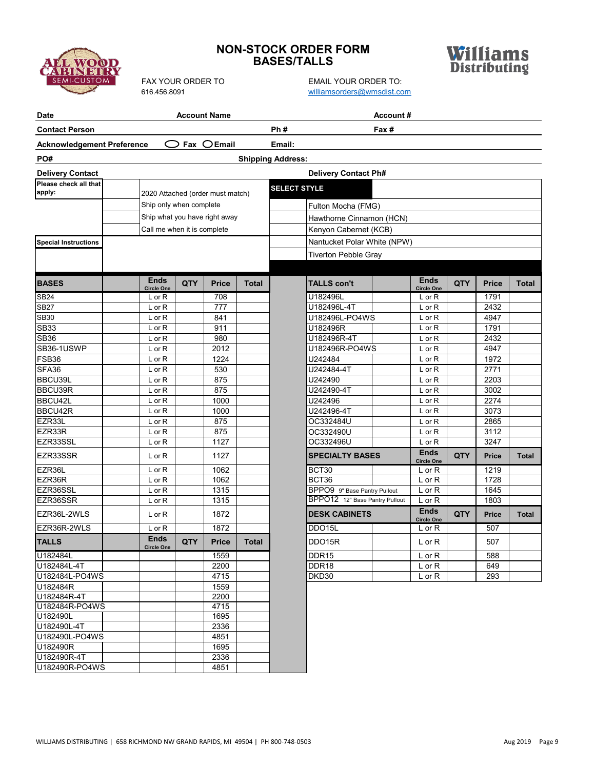

# **NON-STOCK ORDER FORM BASES/TALLS**



FAX YOUR ORDER TO EMAIL YOUR ORDER TO: [williamsorders@wmsdist.com](mailto:williamsorders@wmsdist.com)

| Date                              |                                  |     | <b>Account Name</b> |              |                                                                | Account# |                                  |            |              |              |
|-----------------------------------|----------------------------------|-----|---------------------|--------------|----------------------------------------------------------------|----------|----------------------------------|------------|--------------|--------------|
| <b>Contact Person</b>             |                                  |     |                     |              | Ph#                                                            | Fax #    |                                  |            |              |              |
| <b>Acknowledgement Preference</b> |                                  |     | Fax $O$ Email       |              | Email:                                                         |          |                                  |            |              |              |
| PO#                               |                                  |     |                     |              | <b>Shipping Address:</b>                                       |          |                                  |            |              |              |
| <b>Delivery Contact</b>           |                                  |     |                     |              | <b>Delivery Contact Ph#</b>                                    |          |                                  |            |              |              |
| Please check all that             |                                  |     |                     |              | <b>SELECT STYLE</b>                                            |          |                                  |            |              |              |
| apply:                            | 2020 Attached (order must match) |     |                     |              |                                                                |          |                                  |            |              |              |
|                                   | Ship only when complete          |     |                     |              | Fulton Mocha (FMG)                                             |          |                                  |            |              |              |
|                                   | Ship what you have right away    |     |                     |              | Hawthorne Cinnamon (HCN)                                       |          |                                  |            |              |              |
|                                   | Call me when it is complete      |     |                     |              | Kenyon Cabernet (KCB)                                          |          |                                  |            |              |              |
| <b>Special Instructions</b>       |                                  |     |                     |              | Nantucket Polar White (NPW)                                    |          |                                  |            |              |              |
|                                   |                                  |     |                     |              | <b>Tiverton Pebble Gray</b>                                    |          |                                  |            |              |              |
|                                   |                                  |     |                     |              |                                                                |          |                                  |            |              |              |
| <b>BASES</b>                      | <b>Ends</b><br>Circle One        | QTY | <b>Price</b>        | <b>Total</b> | <b>TALLS con't</b>                                             |          | <b>Ends</b><br><b>Circle One</b> | <b>QTY</b> | <b>Price</b> | Total        |
| <b>SB24</b>                       | L or R                           |     | 708                 |              | U182496L                                                       |          | L or R                           |            | 1791         |              |
| <b>SB27</b>                       | L or R                           |     | 777                 |              | U182496L-4T                                                    |          | L or R                           |            | 2432         |              |
| <b>SB30</b>                       | L or R                           |     | 841                 |              | U182496L-PO4WS                                                 |          | L or R                           |            | 4947         |              |
| <b>SB33</b>                       | L or R                           |     | 911                 |              | U182496R                                                       |          | L or R                           |            | 1791         |              |
| <b>SB36</b>                       | L or R                           |     | 980                 |              | U182496R-4T                                                    |          | L or R                           |            | 2432         |              |
| SB36-1USWP                        | L or R                           |     | 2012                |              | U182496R-PO4WS                                                 |          | L or R                           |            | 4947         |              |
| FSB36                             | L or R                           |     | 1224                |              | U242484                                                        |          | L or R                           |            | 1972         |              |
| SFA36                             | L or R                           |     | 530                 |              | U242484-4T                                                     |          | $L$ or $R$                       |            | 2771         |              |
| BBCU39L                           | L or R                           |     | 875                 |              | U242490                                                        |          | L or R                           |            | 2203         |              |
| BBCU39R                           | L or R                           |     | 875                 |              | U242490-4T                                                     |          | L or R                           |            | 3002         |              |
| BBCU42L                           | L or R                           |     | 1000                |              | U242496                                                        |          | L or R                           |            | 2274         |              |
| BBCU42R                           | L or R                           |     | 1000                |              | U242496-4T                                                     |          | L or R                           |            | 3073         |              |
| EZR33L                            | L or R                           |     | 875                 |              | OC332484U                                                      |          | L or R                           |            | 2865         |              |
| EZR33R                            | L or R                           |     | 875                 |              | OC332490U                                                      |          | L or R                           |            | 3112         |              |
| EZR33SSL                          | L or R                           |     | 1127                |              | OC332496U                                                      |          | L or R<br><b>Ends</b>            |            | 3247         |              |
| EZR33SSR                          | L or R                           |     | 1127                |              | <b>SPECIALTY BASES</b>                                         |          | <b>Circle One</b>                | QTY        | <b>Price</b> | <b>Total</b> |
| EZR36L                            | $L$ or $R$                       |     | 1062                |              | BCT30                                                          |          | $L$ or $R$                       |            | 1219         |              |
| EZR36R                            | L or R                           |     | 1062                |              | BCT36                                                          |          | L or R                           |            | 1728         |              |
| EZR36SSL                          | L or R                           |     | 1315                |              | BPPO9 9" Base Pantry Pullout<br>BPPO12 12" Base Pantry Pullout |          | L or R                           |            | 1645         |              |
| EZR36SSR                          | L or R                           |     | 1315                |              |                                                                |          | $L$ or $R$<br><b>Ends</b>        |            | 1803         |              |
| EZR36L-2WLS                       | L or R                           |     | 1872                |              | <b>DESK CABINETS</b>                                           |          | <b>Circle One</b>                | QTY        | <b>Price</b> | <b>Total</b> |
| EZR36R-2WLS                       | L or R                           |     | 1872                |              | DDO15L                                                         |          | $L$ or $R$                       |            | 507          |              |
| <b>TALLS</b>                      | <b>Ends</b><br>Circle One        | QTY | <b>Price</b>        | <b>Total</b> | DDO15R                                                         |          | L or R                           |            | 507          |              |
| U182484L                          |                                  |     | 1559                |              | DDR <sub>15</sub>                                              |          | $L$ or $R$                       |            | 588          |              |
| U182484L-4T                       |                                  |     | 2200                |              | DDR18                                                          |          | $L$ or $R$                       |            | 649          |              |
| U182484L-PO4WS                    |                                  |     | 4715                |              | DKD30                                                          |          | $L$ or $R$                       |            | 293          |              |
| U182484R                          |                                  |     | 1559                |              |                                                                |          |                                  |            |              |              |
| U182484R-4T                       |                                  |     | 2200                |              |                                                                |          |                                  |            |              |              |
| U182484R-PO4WS<br>U182490L        |                                  |     | 4715<br>1695        |              |                                                                |          |                                  |            |              |              |
| U182490L-4T                       |                                  |     | 2336                |              |                                                                |          |                                  |            |              |              |
| U182490L-PO4WS                    |                                  |     | 4851                |              |                                                                |          |                                  |            |              |              |
| U182490R                          |                                  |     | 1695                |              |                                                                |          |                                  |            |              |              |
| U182490R-4T                       |                                  |     | 2336                |              |                                                                |          |                                  |            |              |              |
|                                   |                                  |     |                     |              |                                                                |          |                                  |            |              |              |

U182490R-PO4WS 4851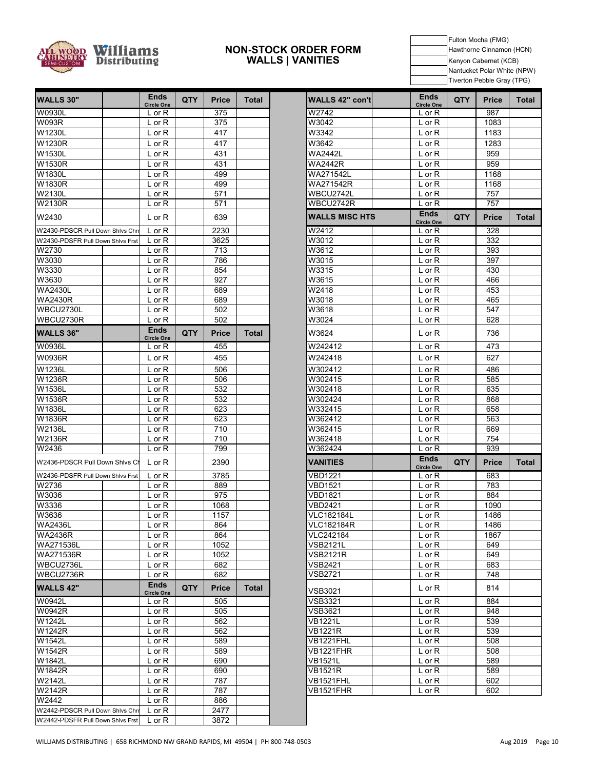

#### **NON-STOCK ORDER FORM WALLS | VANITIES**

Fulton Mocha (FMG) Hawthorne Cinnamon (HCN) Kenyon Cabernet (KCB) Nantucket Polar White (NPW) Tiverton Pebble Gray (TPG)

| <b>WALLS 30"</b>                 | <b>Ends</b><br>Circle One        | <b>QTY</b> | <b>Price</b> | <b>Total</b> | WALLS 42" con't       | <b>Ends</b><br><b>Circle One</b> | <b>QTY</b> | <b>Price</b> | To |
|----------------------------------|----------------------------------|------------|--------------|--------------|-----------------------|----------------------------------|------------|--------------|----|
| W0930L                           | $L$ or $R$                       |            | 375          |              | W2742                 | $L$ or $R$                       |            | 987          |    |
| <b>W093R</b>                     | $L$ or $R$                       |            | 375          |              | W3042                 | L or R                           |            | 1083         |    |
| W1230L                           | $L$ or $R$                       |            | 417          |              | W3342                 | L or R                           |            | 1183         |    |
| W1230R                           | $L$ or $R$                       |            | 417          |              | W3642                 | $L$ or $R$                       |            | 1283         |    |
| W1530L                           | $L$ or $R$                       |            | 431          |              | <b>WA2442L</b>        | $L$ or $R$                       |            | 959          |    |
| W1530R                           | $L$ or $R$                       |            | 431          |              | <b>WA2442R</b>        | $L$ or $R$                       |            | 959          |    |
| W1830L                           | $L$ or $R$                       |            | 499          |              | WA271542L             | $L$ or $R$                       |            | 1168         |    |
| W1830R                           | $L$ or $R$                       |            | 499          |              | WA271542R             | $L$ or $R$                       |            | 1168         |    |
| W2130L                           | L or R                           |            | 571          |              | WBCU2742L             | $L$ or $R$                       |            | 757          |    |
| <b>W2130R</b>                    | $L$ or $R$                       |            | 571          |              | WBCU2742R             | L or R                           |            | 757          |    |
| W2430                            | L or R                           |            | 639          |              | <b>WALLS MISC HTS</b> | <b>Ends</b><br><b>Circle One</b> | QTY        | <b>Price</b> | To |
| W2430-PDSCR Pull Down Shlvs Chrr | $L$ or $R$                       |            | 2230         |              | W2412                 | $L$ or $R$                       |            | 328          |    |
| W2430-PDSFR Pull Down Shivs Frst | $L$ or $R$                       |            | 3625         |              | W3012                 | $L$ or $R$                       |            | 332          |    |
| W2730                            | $L$ or $R$                       |            | 713          |              | W3612                 | L or R                           |            | 393          |    |
| W3030                            | $L$ or $R$                       |            | 786          |              | W3015                 | L or R                           |            | 397          |    |
| W3330                            | $L$ or $R$                       |            | 854          |              | W3315                 | $L$ or $R$                       |            | 430          |    |
| W3630                            | $L$ or $R$                       |            | 927          |              | W3615                 | $L$ or $R$                       |            | 466          |    |
| <b>WA2430L</b>                   | $L$ or $R$                       |            | 689          |              | W2418                 | $L$ or $R$                       |            | 453          |    |
| <b>WA2430R</b>                   | $L$ or $R$                       |            | 689          |              | W3018                 | $L$ or $R$                       |            | 465          |    |
| WBCU2730L                        | L or R                           |            | 502          |              | W3618                 | $L$ or $R$                       |            | 547          |    |
| WBCU2730R                        | $L$ or $R$                       |            | 502          |              | W3024                 | $L$ or $R$                       |            | 628          |    |
| <b>WALLS 36"</b>                 | <b>Ends</b><br><b>Circle One</b> | <b>QTY</b> | <b>Price</b> | <b>Total</b> | W3624                 | $L$ or $R$                       |            | 736          |    |
| <b>W0936L</b>                    | L or R                           |            | 455          |              | W242412               | L or R                           |            | 473          |    |
| W0936R                           | $L$ or $R$                       |            | 455          |              | W242418               | $L$ or $R$                       |            | 627          |    |
| W1236L                           | $L$ or $R$                       |            | 506          |              | W302412               | $L$ or $R$                       |            | 486          |    |
| W1236R                           | $L$ or $R$                       |            | 506          |              | W302415               | $L$ or $R$                       |            | 585          |    |
| W1536L                           | $L$ or $R$                       |            | 532          |              | W302418               | L or R                           |            | 635          |    |
| W1536R                           | $L$ or $R$                       |            | 532          |              | W302424               | $L$ or $R$                       |            | 868          |    |
| W1836L                           | $L$ or $R$                       |            | 623          |              | W332415               | $L$ or $R$                       |            | 658          |    |
| W1836R                           | $L$ or $R$                       |            | 623          |              | W362412               | L or R                           |            | 563          |    |
| W2136L                           | L or R                           |            | 710          |              | W362415               | $L$ or $R$                       |            | 669          |    |
| <b>W2136R</b>                    | L or R                           |            | 710          |              | W362418               | $L$ or $R$                       |            | 754          |    |
| W2436                            | $L$ or $R$                       |            | 799          |              | W362424               | L or R                           |            | 939          |    |
| W2436-PDSCR Pull Down Shivs Ch   | $L$ or $R$                       |            | 2390         |              | <b>VANITIES</b>       | <b>Ends</b><br><b>Circle One</b> | QTY        | <b>Price</b> | To |
| W2436-PDSFR Pull Down Shlvs Frst | $L$ or $R$                       |            | 3785         |              | <b>VBD1221</b>        | $L$ or $R$                       |            | 683          |    |
| W2736                            | $L$ or $R$                       |            | 889          |              | <b>VBD1521</b>        | $L$ or R                         |            | 783          |    |
| W3036                            | $L$ or $R$                       |            | 975          |              | <b>VBD1821</b>        | $L$ or $R$                       |            | 884          |    |
| W3336                            | L or R                           |            | 1068         |              | <b>VBD2421</b>        | L or R                           |            | 1090         |    |
| W3636                            | $L$ or $R$                       |            | 1157         |              | VLC182184L            | $L$ or $R$                       |            | 1486         |    |
| <b>WA2436L</b>                   | L or R                           |            | 864          |              | <b>VLC182184R</b>     | $L$ or $R$                       |            | 1486         |    |
| <b>WA2436R</b>                   | L or R                           |            | 864          |              | VLC242184             | $L$ or $R$                       |            | 1867         |    |
| WA271536L                        | L or R                           |            | 1052         |              | VSB2121L              | $L$ or $R$                       |            | 649          |    |
| WA271536R                        | L or R                           |            | 1052         |              | <b>VSB2121R</b>       | $L$ or $R$                       |            | 649          |    |
| WBCU2736L                        | $L$ or $R$                       |            | 682          |              | VSB2421               | $L$ or R                         |            | 683          |    |
| WBCU2736R                        | L or R                           |            | 682          |              | <b>VSB2721</b>        | $L$ or $R$                       |            | 748          |    |
| <b>WALLS 42"</b>                 | <b>Ends</b><br><b>Circle One</b> | <b>QTY</b> | <b>Price</b> | <b>Total</b> | <b>VSB3021</b>        | $L$ or $R$                       |            | 814          |    |
| W0942L                           | $L$ or $R$                       |            | 505          |              | <b>VSB3321</b>        | $L$ or $R$                       |            | 884          |    |
| W0942R                           | $L$ or $R$                       |            | 505          |              | VSB3621               | $L$ or $R$                       |            | 948          |    |
| W1242L                           | $L$ or $R$                       |            | 562          |              | <b>VB1221L</b>        | L or R                           |            | 539          |    |
| W1242R                           | L or R                           |            | 562          |              | VB1221R               | L or R                           |            | 539          |    |
| W1542L                           | L or R                           |            | 589          |              | VB1221FHL             | $L$ or $R$                       |            | 508          |    |
| W1542R                           | $L$ or $R$                       |            | 589          |              | <b>VB1221FHR</b>      | $L$ or $R$                       |            | 508          |    |
| W1842L                           | L or R                           |            | 690          |              | <b>VB1521L</b>        | $L$ or $R$                       |            | 589          |    |
| W1842R                           | $L$ or $R$                       |            | 690          |              | <b>VB1521R</b>        | $L$ or $R$                       |            | 589          |    |
| W2142L                           | L or R                           |            | 787          |              | VB1521FHL             | $L$ or $R$                       |            | 602          |    |
| W2142R                           | $L$ or $R$                       |            | 787          |              | VB1521FHR             | $L$ or $R$                       |            | 602          |    |
| W2442                            | L or R                           |            | 886          |              |                       |                                  |            |              |    |
| W2442-PDSCR Pull Down Shivs Chrr | $L$ or $R$                       |            | 2477         |              |                       |                                  |            |              |    |
| W2442-PDSFR Pull Down Shivs Frst | $L$ or $R$                       |            | 3872         |              |                       |                                  |            |              |    |

| <b>Ends</b><br><b>Circle One</b>  | <b>QTY</b> | <b>Price</b>     | Total        | <b>WALLS 42" con't</b>     | <b>Ends</b><br><b>Circle One</b> | QTY        | <b>Price</b> | <b>Total</b> |
|-----------------------------------|------------|------------------|--------------|----------------------------|----------------------------------|------------|--------------|--------------|
| L or R                            |            | $\overline{375}$ |              | W2742                      | L or R                           |            | 987          |              |
| $\overline{L}$ or R               |            | 375              |              | W3042                      | $L$ or $R$                       |            | 1083         |              |
| L or R                            |            | 417              |              | W3342                      | L or R                           |            | 1183         |              |
| $L$ or $R$                        |            | 417              |              | W3642                      | L or R                           |            | 1283         |              |
| L or R                            |            | 431              |              | $\overline{W}$ A2442L      | L or R                           |            | 959          |              |
| L or R                            |            | 431              |              | <b>WA2442R</b>             | L or R                           |            | 959          |              |
| $L$ or $R$                        |            | 499              |              | WA271542L                  | L or R                           |            | 1168         |              |
| $L$ or $R$                        |            | 499              |              | WA271542R                  | $L$ or $R$                       |            | 1168         |              |
| $L$ or R                          |            | 571              |              | WBCU2742L                  | L or R                           |            | 757          |              |
| L or R                            |            | 571              |              | WBCU2742R                  | L or R                           |            | 757          |              |
| $L$ or $R$                        |            | 639              |              | <b>WALLS MISC HTS</b>      | <b>Ends</b><br><b>Circle One</b> | <b>QTY</b> | <b>Price</b> | <b>Total</b> |
| $L$ or $R$                        |            | 2230             |              | W2412                      | L or R                           |            | 328          |              |
| L or R                            |            | 3625             |              | W3012                      | L or R                           |            | 332          |              |
| L or R                            |            | 713              |              | W3612                      | L or R                           |            | 393          |              |
| L or R                            |            | 786              |              | W3015                      | $L$ or $R$                       |            | 397          |              |
| $L$ or $R$                        |            | 854              |              | W3315                      | L or R                           |            | 430          |              |
| $L$ or $R$                        |            | 927              |              | W3615                      | L or R                           |            | 466          |              |
| $L$ or $R$                        |            | 689              |              | W2418                      | L or R                           |            | 453          |              |
| L or R                            |            | 689              |              | W3018                      | L or R                           |            | 465          |              |
| L or R                            |            | 502              |              | W3618                      | L or R                           |            | 547          |              |
| L or R                            |            | 502              |              | W3024                      | L or R                           |            | 628          |              |
| <b>Ends</b><br><b>Circle One</b>  | <b>QTY</b> | <b>Price</b>     | <b>Total</b> | W3624                      | L or R                           |            | 736          |              |
| L or R                            |            | 455              |              | W242412                    | L or R                           |            | 473          |              |
| L or R                            |            | 455              |              | W242418                    | L or R                           |            | 627          |              |
| L or R                            |            | 506              |              | W302412                    | L or R                           |            | 486          |              |
| $L$ or $R$                        |            | 506              |              | W302415                    | L or R                           |            | 585          |              |
| $L$ or $R$                        |            | 532              |              | W302418                    | L or R                           |            | 635          |              |
| L or R                            |            | 532              |              | W302424                    | $L$ or $R$                       |            | 868          |              |
| $L$ or $R$                        |            | 623              |              | W332415                    | L or R                           |            | 658          |              |
| $L$ or $R$                        |            | 623              |              | W362412                    | L or R                           |            | 563          |              |
| $L$ or $R$                        |            | 710              |              | W362415                    | L or R                           |            | 669          |              |
| $L$ or $R$                        |            | 710              |              | W362418                    | L or R                           |            | 754          |              |
| L or R                            |            | 799              |              | W362424                    | L or R                           |            | 939          |              |
| $L$ or $R$                        |            | 2390             |              | VANITIES                   | <b>Ends</b><br><b>Circle One</b> | <b>QTY</b> | <b>Price</b> | <b>Total</b> |
| L or R                            |            | 3785             |              | VBD1221                    | L or R                           |            | 683          |              |
| $L$ or R                          |            | 889              |              | VBD1521                    | L or R                           |            | 783          |              |
| $\overline{L}$ or R               |            | 975              |              | <b>VBD1821</b>             | $L$ or $R$                       |            | 884          |              |
| $L$ or $R$                        |            | 1068             |              | <b>VBD2421</b>             | L or R                           |            | 1090         |              |
| $L$ or $R$                        |            | 1157             |              | <b>VLC182184L</b>          | $L$ or $R$                       |            | 1486         |              |
| $L$ or $R$                        |            | 864              |              | <b>VLC182184R</b>          | $L$ or $R$                       |            | 1486         |              |
| L or R                            |            | 864              |              | VLC242184                  | $L$ or $R$                       |            | 1867         |              |
| $L$ or $R$                        |            | 1052             |              | <b>VSB2121L</b>            | $L$ or $R$                       |            | 649          |              |
| $L$ or $R$<br>$\overline{L}$ or R |            | 1052<br>682      |              | VSB2121R<br><b>VSB2421</b> | $L$ or $R$<br>L or R             |            | 649<br>683   |              |
| L or R                            |            | 682              |              | <b>VSB2721</b>             | $L$ or $R$                       |            | 748          |              |
| Ends                              |            |                  |              |                            |                                  |            |              |              |
| <b>Circle One</b>                 | <b>QTY</b> | Price            | <b>Total</b> | VSB3021                    | L or R                           |            | 814          |              |
| L or R                            |            | 505              |              | VSB3321<br><b>VSB3621</b>  | L or R                           |            | 884          |              |
| L or R                            |            | 505              |              |                            | $L$ or $R$                       |            | 948          |              |
| $L$ or $R$<br>L or R              |            | 562<br>562       |              | <b>VB1221L</b><br>VB1221R  | $L$ or $R$<br>$L$ or $R$         |            | 539<br>539   |              |
| $\overline{L}$ or R               |            | 589              |              | VB1221FHL                  | L or R                           |            | 508          |              |
| L or R                            |            | 589              |              | VB1221FHR                  | L or R                           |            | 508          |              |
| L or R                            |            | 690              |              | VB1521L                    | $L$ or $R$                       |            | 589          |              |
| $L$ or $R$                        |            | 690              |              | <b>VB1521R</b>             | $L$ or $R$                       |            | 589          |              |
| L or R                            |            | 787              |              | VB1521FHL                  | L or R                           |            | 602          |              |
| $L$ or $R$                        |            | 787              |              | VB1521FHR                  | $L$ or $R$                       |            | 602          |              |
| $I_{\alpha r}D$                   |            | 00C              |              |                            |                                  |            |              |              |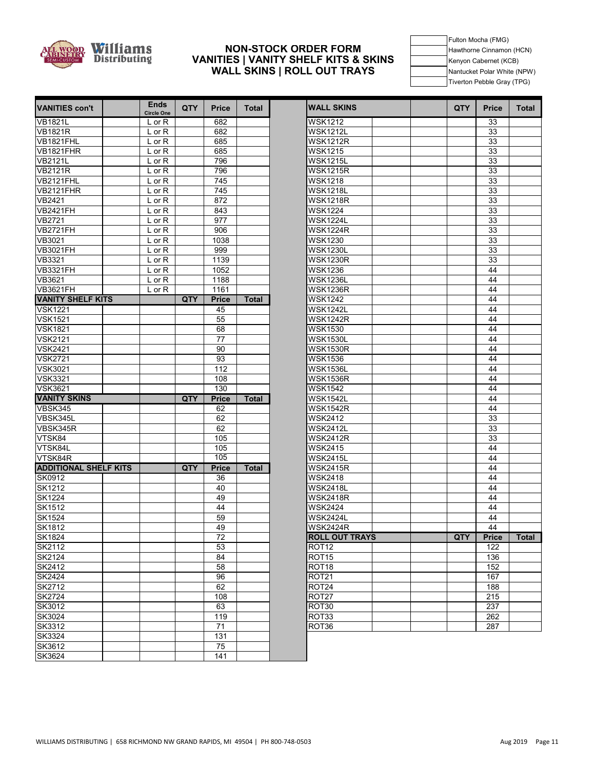

#### **NON-STOCK ORDER FORM VANITIES | VANITY SHELF KITS & SKINS WALL SKINS | ROLL OUT TRAYS**

Fulton Mocha (FMG) Hawthorne Cinnamon (HCN) Kenyon Cabernet (KCB) Nantucket Polar White (NPW) Tiverton Pebble Gray (TPG)

т

T

| VANITIES con't               | <b>Ends</b><br><b>Circle One</b> | <b>QTY</b> | <b>Price</b>     | <b>Total</b> | <b>WALL SKINS</b>     | QTY | <b>Price</b> | Total |
|------------------------------|----------------------------------|------------|------------------|--------------|-----------------------|-----|--------------|-------|
| <b>VB1821L</b>               | $L$ or $R$                       |            | 682              |              | <b>WSK1212</b>        |     | 33           |       |
| <b>VB1821R</b>               | $L$ or $R$                       |            | 682              |              | <b>WSK1212L</b>       |     | 33           |       |
| VB1821FHL                    | $L$ or $R$                       |            | 685              |              | <b>WSK1212R</b>       |     | 33           |       |
| VB1821FHR                    | $L$ or $R$                       |            | 685              |              | <b>WSK1215</b>        |     | 33           |       |
| <b>VB2121L</b>               | $L$ or $R$                       |            | 796              |              | <b>WSK1215L</b>       |     | 33           |       |
| <b>VB2121R</b>               | $L$ or $R$                       |            | 796              |              | <b>WSK1215R</b>       |     | 33           |       |
| VB2121FHL                    | L or R                           |            | 745              |              | <b>WSK1218</b>        |     | 33           |       |
| <b>VB2121FHR</b>             | L or R                           |            | 745              |              | <b>WSK1218L</b>       |     | 33           |       |
| VB2421                       | $L$ or $R$                       |            | 872              |              | <b>WSK1218R</b>       |     | 33           |       |
| <b>VB2421FH</b>              | $L$ or $R$                       |            | 843              |              | <b>WSK1224</b>        |     | 33           |       |
| <b>VB2721</b>                | $L$ or $R$                       |            | 977              |              | <b>WSK1224L</b>       |     | 33           |       |
| <b>VB2721FH</b>              | $L$ or $R$                       |            | 906              |              | <b>WSK1224R</b>       |     | 33           |       |
| VB3021                       | $L$ or $R$                       |            | 1038             |              | <b>WSK1230</b>        |     | 33           |       |
| <b>VB3021FH</b>              | $L$ or $R$                       |            | 999              |              | <b>WSK1230L</b>       |     | 33           |       |
| VB3321                       | $L$ or $R$                       |            | 1139             |              | <b>WSK1230R</b>       |     | 33           |       |
| <b>VB3321FH</b>              | $L$ or R                         |            | 1052             |              | <b>WSK1236</b>        |     | 44           |       |
| VB3621                       | L or R                           |            | 1188             |              | <b>WSK1236L</b>       |     | 44           |       |
| <b>VB3621FH</b>              | L or R                           |            | 1161             |              | <b>WSK1236R</b>       |     | 44           |       |
| <b>VANITY SHELF KITS</b>     |                                  | <b>QTY</b> | <b>Price</b>     | <b>Total</b> | <b>WSK1242</b>        |     | 44           |       |
| <b>VSK1221</b>               |                                  |            | 45               |              | <b>WSK1242L</b>       |     | 44           |       |
| <b>VSK1521</b>               |                                  |            | 55               |              | <b>WSK1242R</b>       |     | 44           |       |
| <b>VSK1821</b>               |                                  |            | 68               |              | <b>WSK1530</b>        |     | 44           |       |
| <b>VSK2121</b>               |                                  |            | 77               |              | <b>WSK1530L</b>       |     | 44           |       |
| <b>VSK2421</b>               |                                  |            | 90               |              | <b>WSK1530R</b>       |     | 44           |       |
| <b>VSK2721</b>               |                                  |            | 93               |              | <b>WSK1536</b>        |     | 44           |       |
| <b>VSK3021</b>               |                                  |            | 112              |              | <b>WSK1536L</b>       |     | 44           |       |
| <b>VSK3321</b>               |                                  |            | 108              |              | <b>WSK1536R</b>       |     | 44           |       |
| <b>VSK3621</b>               |                                  |            | 130              |              | <b>WSK1542</b>        |     | 44           |       |
| <b>VANITY SKINS</b>          |                                  | QTY        | <b>Price</b>     | <b>Total</b> | <b>WSK1542L</b>       |     | 44           |       |
| VBSK345                      |                                  |            | 62               |              | <b>WSK1542R</b>       |     | 44           |       |
| VBSK345L                     |                                  |            | 62               |              | <b>WSK2412</b>        |     | 33           |       |
| VBSK345R                     |                                  |            | 62               |              | <b>WSK2412L</b>       |     | 33           |       |
| VTSK84                       |                                  |            | 105              |              | <b>WSK2412R</b>       |     | 33           |       |
| VTSK84L                      |                                  |            | 105              |              | <b>WSK2415</b>        |     | 44           |       |
| VTSK84R                      |                                  |            | 105              |              | <b>WSK2415L</b>       |     | 44           |       |
| <b>ADDITIONAL SHELF KITS</b> |                                  | QTY        | <b>Price</b>     | <b>Total</b> | <b>WSK2415R</b>       |     | 44           |       |
| SK0912                       |                                  |            | 36               |              | <b>WSK2418</b>        |     | 44           |       |
| SK1212                       |                                  |            | 40               |              | <b>WSK2418L</b>       |     | 44           |       |
| <b>SK1224</b>                |                                  |            | 49               |              | <b>WSK2418R</b>       |     | 44           |       |
| <b>SK1512</b>                |                                  |            | 44               |              | <b>WSK2424</b>        |     | 44           |       |
| <b>SK1524</b>                |                                  |            | 59               |              | <b>WSK2424L</b>       |     | 44           |       |
| SK1812                       |                                  |            | 49               |              | <b>WSK2424R</b>       |     | 44           |       |
| <b>SK1824</b>                |                                  |            | 72               |              | <b>ROLL OUT TRAYS</b> | QTY | Price        | Total |
| SK2112                       |                                  |            | 53               |              | ROT <sub>12</sub>     |     | 122          |       |
| SK2124                       |                                  |            | 84               |              | ROT <sub>15</sub>     |     | 136          |       |
| SK2412                       |                                  |            | $\overline{58}$  |              | ROT <sub>18</sub>     |     | 152          |       |
| <b>SK2424</b>                |                                  |            | 96               |              | ROT <sub>21</sub>     |     | 167          |       |
| <b>SK2712</b>                |                                  |            | 62               |              | ROT <sub>24</sub>     |     | 188          |       |
| <b>SK2724</b>                |                                  |            | 108              |              | ROT <sub>27</sub>     |     | 215          |       |
| <b>SK3012</b>                |                                  |            | 63               |              | ROT30                 |     | 237          |       |
| SK3024                       |                                  |            | 119              |              | ROT33                 |     | 262          |       |
| SK3312                       |                                  |            | 71               |              | ROT36                 |     | 287          |       |
| <b>SK3324</b>                |                                  |            | $\overline{131}$ |              |                       |     |              |       |
| SK3612                       |                                  |            | $\overline{75}$  |              |                       |     |              |       |
| <b>SK3624</b>                |                                  |            | 141              |              |                       |     |              |       |

| ышэ<br><b>Circle One</b> | QTY.       | <b>Price</b> | Total        | <b>WALL SKINS</b>     | QTY | <b>Price</b> | Total        |
|--------------------------|------------|--------------|--------------|-----------------------|-----|--------------|--------------|
| $L$ or R                 |            | 682          |              | <b>WSK1212</b>        |     | 33           |              |
| L or R                   |            | 682          |              | <b>WSK1212L</b>       |     | 33           |              |
| L or R                   |            | 685          |              | <b>WSK1212R</b>       |     | 33           |              |
| $L$ or $R$               |            | 685          |              | <b>WSK1215</b>        |     | 33           |              |
| $L$ or $R$               |            | 796          |              | <b>WSK1215L</b>       |     | 33           |              |
| L or R                   |            | 796          |              | <b>WSK1215R</b>       |     | 33           |              |
| $L$ or $\overline{R}$    |            | 745          |              | <b>WSK1218</b>        |     | 33           |              |
| $\overline{L}$ or R      |            | 745          |              | <b>WSK1218L</b>       |     | 33           |              |
| $L$ or $R$               |            | 872          |              | <b>WSK1218R</b>       |     | 33           |              |
| L or R                   |            | 843          |              | <b>WSK1224</b>        |     | 33           |              |
| L or $\overline{R}$      |            | 977          |              | <b>WSK1224L</b>       |     | 33           |              |
| L or R                   |            | 906          |              | <b>WSK1224R</b>       |     | 33           |              |
| L or R                   |            | 1038         |              | <b>WSK1230</b>        |     | 33           |              |
| $L$ or $R$               |            | 999          |              | <b>WSK1230L</b>       |     | 33           |              |
| $L$ or $R$               |            | 1139         |              | <b>WSK1230R</b>       |     | 33           |              |
| L or R                   |            | 1052         |              | <b>WSK1236</b>        |     | 44           |              |
| L or R                   |            | 1188         |              | <b>WSK1236L</b>       |     | 44           |              |
| $\overline{L}$ or R      |            | 1161         |              | <b>WSK1236R</b>       |     | 44           |              |
|                          | QTY        | <b>Price</b> | <b>Total</b> | <b>WSK1242</b>        |     | 44           |              |
|                          |            | 45           |              | <b>WSK1242L</b>       |     | 44           |              |
|                          |            | 55           |              | <b>WSK1242R</b>       |     | 44           |              |
|                          |            | 68           |              | <b>WSK1530</b>        |     | 44           |              |
|                          |            | 77           |              | <b>WSK1530L</b>       |     | 44           |              |
|                          |            | 90           |              | <b>WSK1530R</b>       |     | 44           |              |
|                          |            | 93           |              | <b>WSK1536</b>        |     | 44           |              |
|                          |            | 112          |              | <b>WSK1536L</b>       |     | 44           |              |
|                          |            | 108          |              | <b>WSK1536R</b>       |     | 44           |              |
|                          |            | 130          |              | <b>WSK1542</b>        |     | 44           |              |
|                          | <b>QTY</b> | <b>Price</b> | <b>Total</b> | <b>WSK1542L</b>       |     | 44           |              |
|                          |            | 62           |              | <b>WSK1542R</b>       |     | 44           |              |
|                          |            | 62           |              | <b>WSK2412</b>        |     | 33           |              |
|                          |            | 62           |              | <b>WSK2412L</b>       |     | 33           |              |
|                          |            | 105          |              | <b>WSK2412R</b>       |     | 33           |              |
|                          |            | 105          |              | <b>WSK2415</b>        |     | 44           |              |
|                          |            | 105          |              | <b>WSK2415L</b>       |     | 44           |              |
|                          | QTY        | <b>Price</b> | <b>Total</b> | <b>WSK2415R</b>       |     | 44           |              |
|                          |            | 36           |              | <b>WSK2418</b>        |     | 44           |              |
|                          |            | 40           |              | <b>WSK2418L</b>       |     | 44           |              |
|                          |            | 49           |              | <b>WSK2418R</b>       |     | 44           |              |
|                          |            | 44           |              | <b>WSK2424</b>        |     | 44           |              |
|                          |            | 59           |              | <b>WSK2424L</b>       |     | 44           |              |
|                          |            | 49           |              | <b>WSK2424R</b>       |     | 44           |              |
|                          |            | 72           |              | <b>ROLL OUT TRAYS</b> | QTY | <b>Price</b> | <b>Total</b> |
|                          |            | 53           |              | ROT <sub>12</sub>     |     | 122          |              |
|                          |            | 84           |              | ROT <sub>15</sub>     |     | 136          |              |
|                          |            | 58           |              | ROT18                 |     | 152          |              |
|                          |            | 96           |              | <b>ROT21</b>          |     | 167          |              |
|                          |            | 62           |              | ROT24                 |     | 188          |              |
|                          |            | 108          |              | ROT <sub>27</sub>     |     | 215          |              |
|                          |            | 63           |              | ROT30                 |     | 237          |              |
|                          |            | 119          |              | ROT33                 |     | 262          |              |
|                          |            | 71<br>121    |              | ROT36                 |     | 287          |              |
|                          |            |              |              |                       |     |              |              |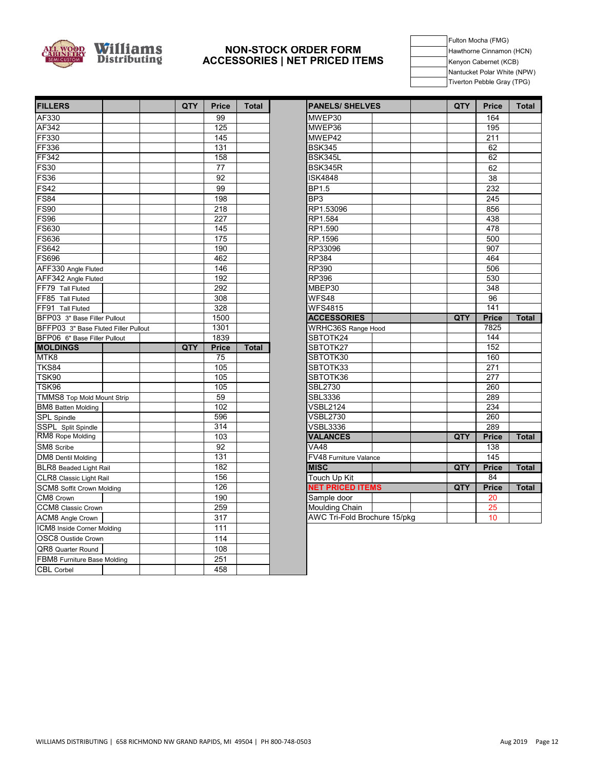

#### **NON-STOCK ORDER FORM ACCESSORIES | NET PRICED ITEMS**

Fulton Mocha (FMG) Hawthorne Cinnamon (HCN) Kenyon Cabernet (KCB) Nantucket Polar White (NPW) Tiverton Pebble Gray (TPG)

| <b>FILLERS</b>                       | QTY | <b>Price</b>     | <b>Total</b> | <b>PANELS/ SHELVES</b>       | QTY | <b>Price</b>    | Total |
|--------------------------------------|-----|------------------|--------------|------------------------------|-----|-----------------|-------|
| AF330                                |     | 99               |              | MWEP30                       |     | 164             |       |
| AF342                                |     | 125              |              | MWEP36                       |     | 195             |       |
| FF330                                |     | 145              |              | MWEP42                       |     | 211             |       |
| <b>FF336</b>                         |     | 131              |              | <b>BSK345</b>                |     | 62              |       |
| <b>FF342</b>                         |     | 158              |              | BSK345L                      |     | 62              |       |
| <b>FS30</b>                          |     | 77               |              | BSK345R                      |     | 62              |       |
| <b>FS36</b>                          |     | 92               |              | <b>ISK4848</b>               |     | 38              |       |
| FS42                                 |     | 99               |              | BP1.5                        |     | 232             |       |
| <b>FS84</b>                          |     | 198              |              | BP <sub>3</sub>              |     | 245             |       |
| <b>FS90</b>                          |     | 218              |              | RP1.53096                    |     | 856             |       |
| <b>FS96</b>                          |     | 227              |              | RP1.584                      |     | 438             |       |
| <b>FS630</b>                         |     | 145              |              | RP1.590                      |     | 478             |       |
| <b>FS636</b>                         |     | 175              |              | RP.1596                      |     | 500             |       |
| <b>FS642</b>                         |     | 190              |              | RP33096                      |     | 907             |       |
| <b>FS696</b>                         |     | 462              |              | <b>RP384</b>                 |     | 464             |       |
| AFF330 Angle Fluted                  |     | 146              |              | RP390                        |     | 506             |       |
| AFF342 Angle Fluted                  |     | 192              |              | <b>RP396</b>                 |     | 530             |       |
| FF79 Tall Fluted                     |     | 292              |              | MBEP30                       |     | 348             |       |
| FF85 Tall Fluted                     |     | 308              |              | WFS48                        |     | 96              |       |
| FF91 Tall Fluted                     |     | 328              |              | <b>WFS4815</b>               |     | 141             |       |
| BFP03 3" Base Filler Pullout         |     | 1500             |              | <b>ACCESSORIES</b>           | QTY | <b>Price</b>    | Total |
| BFFP03 3" Base Fluted Filler Pullout |     | 1301             |              | <b>WRHC36S Range Hood</b>    |     | 7825            |       |
| BFP06 6" Base Filler Pullout         |     | 1839             |              | SBTOTK24                     |     | 144             |       |
| <b>MOLDINGS</b>                      | QTY | <b>Price</b>     | <b>Total</b> | SBTOTK27                     |     | 152             |       |
| MTK8                                 |     | 75               |              | SBTOTK30                     |     | 160             |       |
| <b>TKS84</b>                         |     | 105              |              | SBTOTK33                     |     | 271             |       |
| TSK90                                |     | 105              |              | SBTOTK36                     |     | 277             |       |
| TSK96                                |     | 105              |              | <b>SBL2730</b>               |     | 260             |       |
| <b>TMMS8 Top Mold Mount Strip</b>    |     | 59               |              | SBL3336                      |     | 289             |       |
| <b>BM8</b> Batten Molding            |     | 102              |              | <b>VSBL2124</b>              |     | 234             |       |
| <b>SPL</b> Spindle                   |     | 596              |              | <b>VSBL2730</b>              |     | 260             |       |
| SSPL Split Spindle                   |     | $\overline{314}$ |              | <b>VSBL3336</b>              |     | 289             |       |
| RM8 Rope Molding                     |     | 103              |              | <b>VALANCES</b>              | QTY | <b>Price</b>    | Total |
| SM8 Scribe                           |     | 92               |              | V <sub>A48</sub>             |     | 138             |       |
| <b>DM8</b> Dentil Molding            |     | 131              |              | FV48 Furniture Valance       |     | 145             |       |
| BLR8 Beaded Light Rail               |     | 182              |              | <b>MISC</b>                  | QTY | <b>Price</b>    | Total |
| CLR8 Classic Light Rail              |     | 156              |              | Touch Up Kit                 |     | $\overline{84}$ |       |
| SCM8 Soffit Crown Molding            |     | 126              |              | <b>NET PRICED ITEMS</b>      | QTY | <b>Price</b>    | Total |
| CM8 Crown                            |     | 190              |              | Sample door                  |     | 20              |       |
| CCM8 Classic Crown                   |     | 259              |              | Moulding Chain               |     | 25              |       |
| ACM8 Angle Crown                     |     | 317              |              | AWC Tri-Fold Brochure 15/pkg |     | 10              |       |
| ICM8 Inside Corner Molding           |     | 111              |              |                              |     |                 |       |
| OSC8 Oustide Crown                   |     | 114              |              |                              |     |                 |       |
| QR8 Quarter Round                    |     | 108              |              |                              |     |                 |       |
| FBM8 Furniture Base Molding          |     | 251              |              |                              |     |                 |       |
| <b>CBL</b> Corbel                    |     | 458              |              |                              |     |                 |       |

| <b>PANELS/ SHELVES</b>       |  | QTY | <b>Price</b>     | <b>Total</b> |
|------------------------------|--|-----|------------------|--------------|
| MWEP30                       |  |     | 164              |              |
| MWEP36                       |  |     | 195              |              |
| MWEP42                       |  |     | $\overline{211}$ |              |
| <b>BSK345</b>                |  |     | 62               |              |
| BSK345L                      |  |     | 62               |              |
| BSK345R                      |  |     | 62               |              |
| <b>ISK4848</b>               |  |     | 38               |              |
| <b>BP1.5</b>                 |  |     | 232              |              |
| BP3                          |  |     | 245              |              |
| RP1.53096                    |  |     | 856              |              |
| RP1.584                      |  |     | 438              |              |
| RP1.590                      |  |     | 478              |              |
| RP.1596                      |  |     | 500              |              |
| RP33096                      |  |     | 907              |              |
| <b>RP384</b>                 |  |     | 464              |              |
| RP390                        |  |     | 506              |              |
| <b>RP396</b>                 |  |     | 530              |              |
| MBEP30                       |  |     | 348              |              |
| WFS48                        |  |     | 96               |              |
| <b>WFS4815</b>               |  |     | $\overline{141}$ |              |
| <b>ACCESSORIES</b>           |  | QTY | <b>Price</b>     | <b>Total</b> |
| WRHC36S Range Hood           |  |     | 7825             |              |
| SBTOTK24                     |  |     | 144              |              |
| SBTOTK27                     |  |     | 152              |              |
| SBTOTK30                     |  |     | 160              |              |
| SBTOTK33                     |  |     | 271              |              |
| SBTOTK36                     |  |     | 277              |              |
| <b>SBL2730</b>               |  |     | 260              |              |
| <b>SBL3336</b>               |  |     | 289              |              |
| <b>VSBL2124</b>              |  |     | 234              |              |
| <b>VSBL2730</b>              |  |     | 260              |              |
| <b>VSBL3336</b>              |  |     | 289              |              |
| <b>VALANCES</b>              |  | QTY | <b>Price</b>     | <b>Total</b> |
| <b>VA48</b>                  |  |     | 138              |              |
| FV48 Furniture Valance       |  |     | 145              |              |
| <b>MISC</b>                  |  | QTY | <b>Price</b>     | <b>Total</b> |
| Touch Up Kit                 |  |     | 84               |              |
| <b>NET PRICED ITEMS</b>      |  | QTY | <b>Price</b>     | <b>Total</b> |
| Sample door                  |  |     | 20               |              |
| Moulding Chain               |  |     | 25               |              |
| AWC Tri-Fold Brochure 15/pkg |  |     | 10               |              |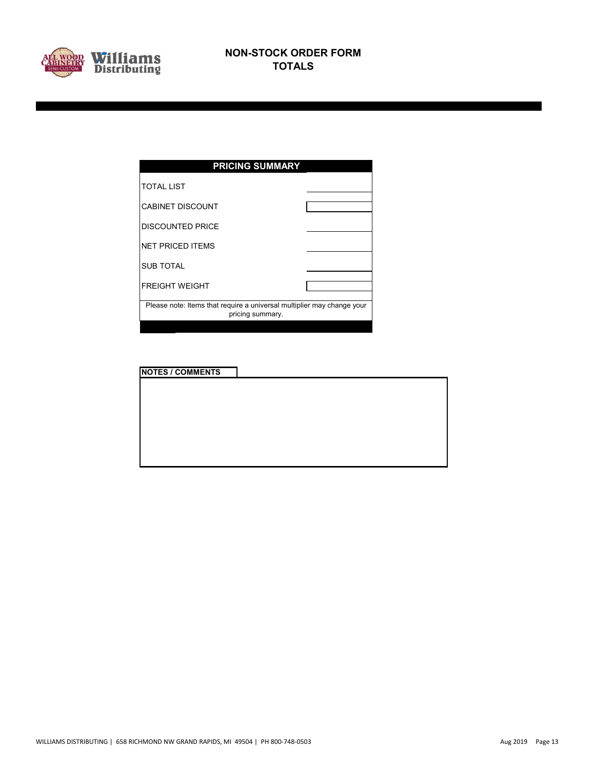

| <b>PRICING SUMMARY</b>                                                                     |  |  |  |  |  |  |  |  |  |
|--------------------------------------------------------------------------------------------|--|--|--|--|--|--|--|--|--|
| <b>TOTAL LIST</b>                                                                          |  |  |  |  |  |  |  |  |  |
| <b>CABINET DISCOUNT</b>                                                                    |  |  |  |  |  |  |  |  |  |
| <b>DISCOUNTED PRICE</b>                                                                    |  |  |  |  |  |  |  |  |  |
| <b>NET PRICED ITEMS</b>                                                                    |  |  |  |  |  |  |  |  |  |
| <b>SUB TOTAL</b>                                                                           |  |  |  |  |  |  |  |  |  |
| <b>FREIGHT WEIGHT</b>                                                                      |  |  |  |  |  |  |  |  |  |
| Please note: Items that require a universal multiplier may change your<br>pricing summary. |  |  |  |  |  |  |  |  |  |
|                                                                                            |  |  |  |  |  |  |  |  |  |

| <b>NOTES / COMMENTS</b> |  |
|-------------------------|--|
|                         |  |
|                         |  |
|                         |  |
|                         |  |
|                         |  |
|                         |  |
|                         |  |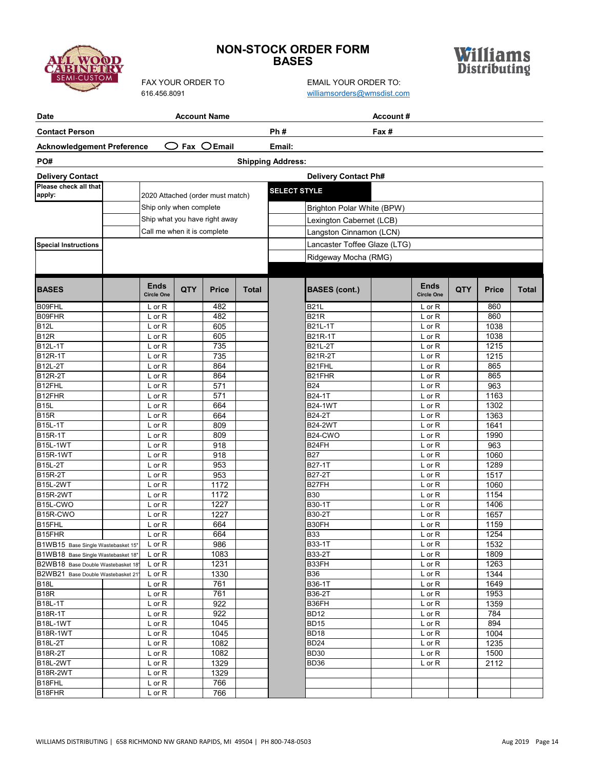# **MI-CUST**

# **NON-STOCK ORDER FORM BASES**



| Date                                |                                  |     | <b>Account Name</b>             |              |                                 | Account#                         |            |              |       |
|-------------------------------------|----------------------------------|-----|---------------------------------|--------------|---------------------------------|----------------------------------|------------|--------------|-------|
| <b>Contact Person</b>               |                                  |     |                                 |              | Ph#                             | Fax #                            |            |              |       |
| <b>Acknowledgement Preference</b>   |                                  |     | $\bigcirc$ Fax $\bigcirc$ Email |              | Email:                          |                                  |            |              |       |
| PO#                                 |                                  |     |                                 |              | <b>Shipping Address:</b>        |                                  |            |              |       |
| <b>Delivery Contact</b>             |                                  |     |                                 |              | <b>Delivery Contact Ph#</b>     |                                  |            |              |       |
| Please check all that               |                                  |     |                                 |              |                                 |                                  |            |              |       |
| apply:                              | 2020 Attached (order must match) |     |                                 |              | <b>SELECT STYLE</b>             |                                  |            |              |       |
|                                     | Ship only when complete          |     |                                 |              | Brighton Polar White (BPW)      |                                  |            |              |       |
|                                     | Ship what you have right away    |     |                                 |              | Lexington Cabernet (LCB)        |                                  |            |              |       |
|                                     | Call me when it is complete      |     |                                 |              | Langston Cinnamon (LCN)         |                                  |            |              |       |
| <b>Special Instructions</b>         |                                  |     |                                 |              | Lancaster Toffee Glaze (LTG)    |                                  |            |              |       |
|                                     |                                  |     |                                 |              |                                 |                                  |            |              |       |
|                                     |                                  |     |                                 |              | Ridgeway Mocha (RMG)            |                                  |            |              |       |
|                                     |                                  |     |                                 |              |                                 |                                  |            |              |       |
| <b>BASES</b>                        | <b>Ends</b><br><b>Circle One</b> | QTY | <b>Price</b>                    | <b>Total</b> | <b>BASES (cont.)</b>            | <b>Ends</b><br><b>Circle One</b> | <b>QTY</b> | <b>Price</b> | Total |
| B09FHL                              | $L$ or $R$                       |     | 482                             |              | <b>B21L</b>                     | $L$ or $R$                       |            | 860          |       |
| B09FHR                              | L or R                           |     | 482                             |              | <b>B21R</b>                     | $L$ or $R$                       |            | 860          |       |
| <b>B12L</b>                         | L or R                           |     | 605                             |              | <b>B21L-1T</b>                  | $L$ or $R$                       |            | 1038         |       |
| <b>B12R</b>                         | L or R                           |     | 605                             |              | B21R-1T                         | $L$ or $R$                       |            | 1038         |       |
| <b>B12L-1T</b>                      | $L$ or $R$                       |     | 735                             |              | B21L-2T                         | $L$ or $R$                       |            | 1215         |       |
| B12R-1T                             | $L$ or $R$                       |     | 735                             |              | <b>B21R-2T</b>                  | $L$ or $R$                       |            | 1215         |       |
| <b>B12L-2T</b>                      | L or R                           |     | 864                             |              | B21FHL                          | $L$ or $R$                       |            | 865          |       |
| <b>B12R-2T</b>                      | L or R                           |     | 864                             |              | B21FHR                          | $L$ or $R$                       |            | 865          |       |
| B12FHL                              | $L$ or $R$                       |     | 571                             |              | <b>B24</b>                      | $L$ or $R$                       |            | 963          |       |
| B12FHR                              | $L$ or $R$                       |     | 571                             |              | B24-1T                          | $L$ or $R$                       |            | 1163         |       |
| <b>B15L</b>                         | $L$ or $R$                       |     | 664                             |              | <b>B24-1WT</b>                  | $L$ or $R$                       |            | 1302         |       |
| $\overline{B15R}$<br><b>B15L-1T</b> | L or R<br>L or R                 |     | 664<br>809                      |              | <b>B24-2T</b><br><b>B24-2WT</b> | $L$ or $R$                       |            | 1363<br>1641 |       |
| <b>B15R-1T</b>                      | L or R                           |     | 809                             |              | B24-CWO                         | $L$ or $R$<br>$L$ or $R$         |            | 1990         |       |
| <b>B15L-1WT</b>                     | L or R                           |     | 918                             |              | B24FH                           | $L$ or $R$                       |            | 963          |       |
| B15R-1WT                            | $L$ or $R$                       |     | 918                             |              | <b>B27</b>                      | $L$ or $R$                       |            | 1060         |       |
| <b>B15L-2T</b>                      | L or R                           |     | 953                             |              | B27-1T                          | $L$ or $R$                       |            | 1289         |       |
| <b>B15R-2T</b>                      | L or R                           |     | 953                             |              | <b>B27-2T</b>                   | $L$ or $R$                       |            | 1517         |       |
| <b>B15L-2WT</b>                     | $L$ or $R$                       |     | 1172                            |              | B27FH                           | $L$ or $R$                       |            | 1060         |       |
| <b>B15R-2WT</b>                     | $L$ or $R$                       |     | 1172                            |              | <b>B30</b>                      | $L$ or $R$                       |            | 1154         |       |
| B15L-CWO                            | L or R                           |     | 1227                            |              | B30-1T                          | $L$ or $R$                       |            | 1406         |       |
| B15R-CWO                            | L or R                           |     | 1227                            |              | B30-2T                          | $L$ or $R$                       |            | 1657         |       |
| B <sub>15FHL</sub>                  | L or R                           |     | 664                             |              | B30FH                           | $L$ or $R$                       |            | 1159         |       |
| B15FHR                              | L or R                           |     | 664                             |              | <b>B33</b>                      | $L$ or $R$                       |            | 1254         |       |
| B1WB15 Base Single Wastebasket 15"  | L or R                           |     | 986                             |              | <b>B33-1T</b>                   | $L$ or R                         |            | 1532         |       |
| B1WB18 Base Single Wastebasket 18"  | $L$ or $R$                       |     | 1083                            |              | <b>B33-2T</b>                   | $L$ or $R$                       |            | 1809         |       |
| B2WB18 Base Double Wastebasket 18'  | $L$ or $R$                       |     | 1231                            |              | B33FH                           | $L$ or $R$                       |            | 1263         |       |
| B2WB21 Base Double Wastebasket 21'  | $L$ or $R$                       |     | 1330                            |              | <b>B36</b>                      | $L$ or $R$                       |            | 1344         |       |
| B <sub>18</sub> L<br><b>B18R</b>    | $L$ or $R$                       |     | 761<br>761                      |              | B36-1T<br>B36-2T                | $L$ or $R$                       |            | 1649<br>1953 |       |
| <b>B18L-1T</b>                      | L or R<br>$L$ or $R$             |     | 922                             |              | B36FH                           | L or R<br>$L$ or $R$             |            | 1359         |       |
| <b>B18R-1T</b>                      | L or R                           |     | 922                             |              | <b>BD12</b>                     | L or R                           |            | 784          |       |
| <b>B18L-1WT</b>                     | L or R                           |     | 1045                            |              | <b>BD15</b>                     | L or R                           |            | 894          |       |
| <b>B18R-1WT</b>                     | L or R                           |     | 1045                            |              | <b>BD18</b>                     | $L$ or $R$                       |            | 1004         |       |
| B18L-2T                             | $L$ or $R$                       |     | 1082                            |              | <b>BD24</b>                     | $L$ or $R$                       |            | 1235         |       |
| <b>B18R-2T</b>                      | L or R                           |     | 1082                            |              | <b>BD30</b>                     | $L$ or $R$                       |            | 1500         |       |
| <b>B18L-2WT</b>                     | L or R                           |     | 1329                            |              | BD36                            | L or R                           |            | 2112         |       |
| <b>B18R-2WT</b>                     | $L$ or $R$                       |     | 1329                            |              |                                 |                                  |            |              |       |
| B18FHL                              | L or R                           |     | 766                             |              |                                 |                                  |            |              |       |
| B <sub>18</sub> FHR                 | L or R                           |     | 766                             |              |                                 |                                  |            |              |       |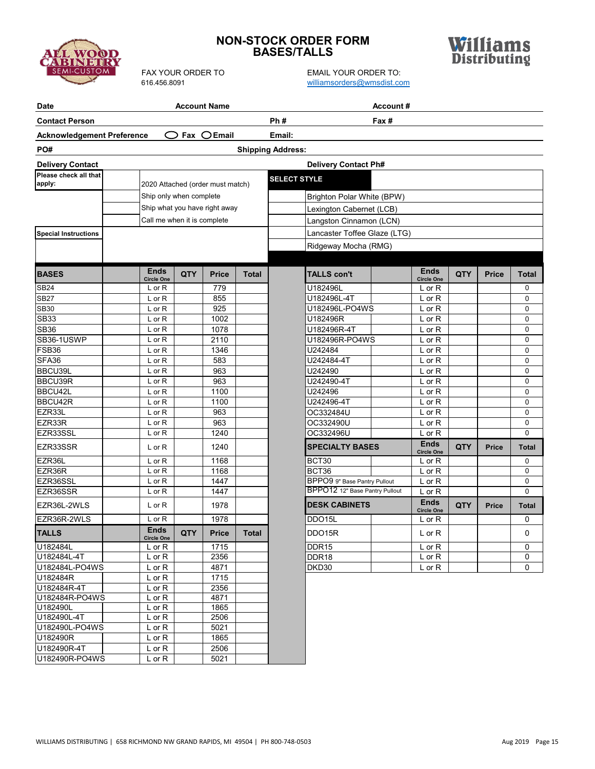

# **NON-STOCK ORDER FORM BASES/TALLS**

| <b>Date</b>                       |                                  |     | <b>Account Name</b>              |              | Account#                       |                                  |            |              |          |
|-----------------------------------|----------------------------------|-----|----------------------------------|--------------|--------------------------------|----------------------------------|------------|--------------|----------|
| <b>Contact Person</b>             |                                  |     |                                  |              | Ph#<br>Fax #                   |                                  |            |              |          |
| <b>Acknowledgement Preference</b> |                                  |     | $\bigcirc$ Fax $\bigcirc$ Email  |              | Email:                         |                                  |            |              |          |
| PO#                               |                                  |     |                                  |              | <b>Shipping Address:</b>       |                                  |            |              |          |
| <b>Delivery Contact</b>           |                                  |     |                                  |              | <b>Delivery Contact Ph#</b>    |                                  |            |              |          |
| Please check all that             |                                  |     |                                  |              |                                |                                  |            |              |          |
| apply:                            |                                  |     | 2020 Attached (order must match) |              | <b>SELECT STYLE</b>            |                                  |            |              |          |
|                                   | Ship only when complete          |     |                                  |              | Brighton Polar White (BPW)     |                                  |            |              |          |
|                                   |                                  |     | Ship what you have right away    |              | Lexington Cabernet (LCB)       |                                  |            |              |          |
|                                   | Call me when it is complete      |     |                                  |              | Langston Cinnamon (LCN)        |                                  |            |              |          |
| <b>Special Instructions</b>       |                                  |     |                                  |              | Lancaster Toffee Glaze (LTG)   |                                  |            |              |          |
|                                   |                                  |     |                                  |              |                                |                                  |            |              |          |
|                                   |                                  |     |                                  |              | Ridgeway Mocha (RMG)           |                                  |            |              |          |
|                                   |                                  |     |                                  |              |                                |                                  |            |              |          |
| <b>BASES</b>                      | <b>Ends</b><br><b>Circle One</b> | QTY | <b>Price</b>                     | <b>Total</b> | <b>TALLS con't</b>             | <b>Ends</b><br><b>Circle One</b> | QTY        | <b>Price</b> | Total    |
| <b>SB24</b>                       | L or R                           |     | 779                              |              | U182496L                       | L or R                           |            |              | 0        |
| <b>SB27</b>                       | $L$ or R                         |     | 855                              |              | U182496L-4T                    | $L$ or $R$                       |            |              | 0        |
| <b>SB30</b>                       | L or R                           |     | 925                              |              | U182496L-PO4WS                 | L or R                           |            |              | 0        |
| <b>SB33</b>                       | L or R                           |     | 1002                             |              | U182496R                       | L or R                           |            |              | 0        |
| <b>SB36</b>                       | L or R                           |     | 1078                             |              | U182496R-4T                    | $L$ or $R$                       |            |              | 0        |
| SB36-1USWP                        | L or R                           |     | 2110                             |              | U182496R-PO4WS                 | L or R                           |            |              | 0        |
| FSB36                             | L or R                           |     | 1346                             |              | U242484                        | L or R                           |            |              | 0        |
| SFA36                             | L or R                           |     | 583                              |              | U242484-4T                     | L or R                           |            |              | 0        |
| BBCU39L                           | L or R                           |     | 963                              |              | U242490                        | L or R                           |            |              | 0        |
| BBCU39R                           | L or R                           |     | 963                              |              | U242490-4T                     | L or R                           |            |              | 0        |
| BBCU42L                           | L or R                           |     | 1100                             |              | U242496                        | L or R                           |            |              | 0        |
| BBCU42R                           | L or R                           |     | 1100                             |              | U242496-4T                     | L or R                           |            |              | 0        |
| EZR33L                            | L or R                           |     | 963                              |              | OC332484U                      | L or R                           |            |              | 0        |
| EZR33R                            | $L$ or $R$                       |     | 963                              |              | OC332490U                      | L or R                           |            |              | 0        |
| EZR33SSL                          | L or R                           |     | 1240                             |              | OC332496U                      | L or R                           |            |              | $\Omega$ |
| EZR33SSR                          | L or R                           |     | 1240                             |              | <b>SPECIALTY BASES</b>         | <b>Ends</b><br><b>Circle One</b> | <b>QTY</b> | <b>Price</b> | Total    |
| EZR36L                            | L or R                           |     | 1168                             |              | BCT30                          | L or R                           |            |              | 0        |
| EZR36R                            | L or R                           |     | 1168                             |              | BCT36                          | $L$ or $R$                       |            |              | 0        |
| EZR36SSL                          | $L$ or $R$                       |     | 1447                             |              | BPPO9 9" Base Pantry Pullout   | L or R                           |            |              | 0        |
| EZR36SSR                          | L or R                           |     | 1447                             |              | BPPO12 12" Base Pantry Pullout | L or R                           |            |              | 0        |
| EZR36L-2WLS                       | $L$ or $R$                       |     | 1978                             |              | <b>DESK CABINETS</b>           | <b>Ends</b><br><b>Circle One</b> | QTY        | <b>Price</b> | Total    |
| EZR36R-2WLS                       | L or R                           |     | 1978                             |              | DDO15L                         | L or R                           |            |              | 0        |
| <b>TALLS</b>                      | <b>Ends</b><br><b>Circle One</b> | QTY | <b>Price</b>                     | <b>Total</b> | DDO15R                         | L or R                           |            |              | 0        |
| U182484L                          | L or R                           |     | 1715                             |              | DDR <sub>15</sub>              | L or R                           |            |              | 0        |
| U182484L-4T                       | L or R                           |     | 2356                             |              | DDR <sub>18</sub>              | L or R                           |            |              | 0        |
| U182484L-PO4WS                    | $L$ or $R$                       |     | 4871                             |              | DKD30                          | L or R                           |            |              | 0        |
| U182484R                          | L or R                           |     | 1715                             |              |                                |                                  |            |              |          |
| U182484R-4T                       | $L$ or $R$                       |     | 2356                             |              |                                |                                  |            |              |          |
| U182484R-PO4WS                    | L or R                           |     | 4871                             |              |                                |                                  |            |              |          |
| U182490L                          | L or R                           |     | 1865                             |              |                                |                                  |            |              |          |
| U182490L-4T                       | $L$ or $R$                       |     | 2506                             |              |                                |                                  |            |              |          |
| U182490L-PO4WS<br>U182490R        | L or R                           |     | 5021                             |              |                                |                                  |            |              |          |
| U182490R-4T                       | $L$ or $R$<br>$L$ or $R$         |     | 1865<br>2506                     |              |                                |                                  |            |              |          |
| U182490R-PO4WS                    | $L$ or $R$                       |     | 5021                             |              |                                |                                  |            |              |          |
|                                   |                                  |     |                                  |              |                                |                                  |            |              |          |

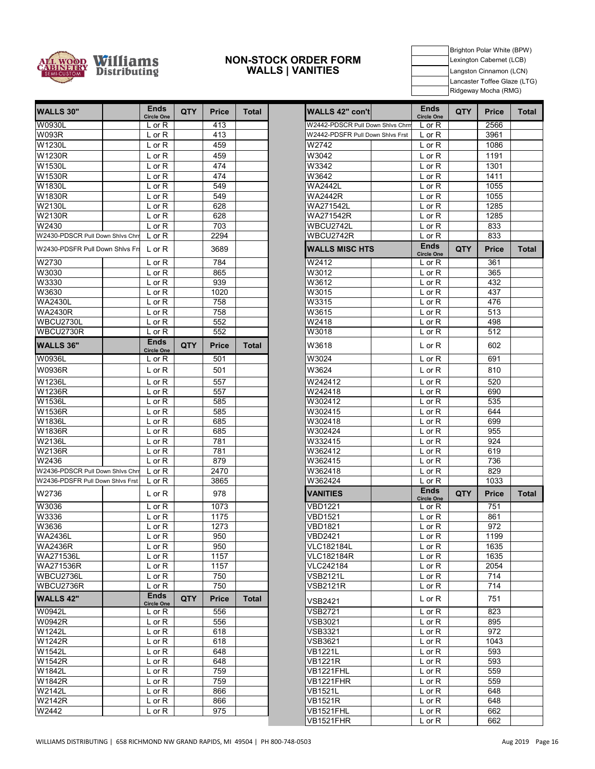

#### **NON-STOCK ORDER FORM WALLS | VANITIES**

Brighton Polar White (BPW) Lexington Cabernet (LCB) Langston Cinnamon (LCN) Lancaster Toffee Glaze (LTG) Ridgeway Mocha (RMG)

| <b>WALLS 30"</b>                 | Ends<br><b>Circle One</b>        | <b>QTY</b> | Price        | Total        | WALLS 42" con't                  | <b>Ends</b><br><b>Circle One</b> | <b>QTY</b> | <b>Price</b> | To |
|----------------------------------|----------------------------------|------------|--------------|--------------|----------------------------------|----------------------------------|------------|--------------|----|
| <b>W0930L</b>                    | $L$ or $R$                       |            | 413          |              | W2442-PDSCR Pull Down Shivs Chrn | $L$ or $R$                       |            | 2566         |    |
| <b>W093R</b>                     | $L$ or $R$                       |            | 413          |              | W2442-PDSFR Pull Down Shivs Frst | L or R                           |            | 3961         |    |
| W1230L                           | $L$ or $R$                       |            | 459          |              | W2742                            | $L$ or $R$                       |            | 1086         |    |
| W1230R                           | $L$ or $R$                       |            | 459          |              | W3042                            | L or R                           |            | 1191         |    |
| W1530L                           | $L$ or $R$                       |            | 474          |              | W3342                            | L or R                           |            | 1301         |    |
| W1530R                           | $L$ or $R$                       |            | 474          |              | W3642                            | $L$ or $R$                       |            | 1411         |    |
| W1830L                           | $L$ or $R$                       |            | 549          |              | <b>WA2442L</b>                   | L or R                           |            | 1055         |    |
| W1830R                           | $L$ or $R$                       |            | 549          |              | <b>WA2442R</b>                   | L or R                           |            | 1055         |    |
| W2130L                           | $L$ or $R$                       |            | 628          |              | WA271542L                        | $L$ or $R$                       |            | 1285         |    |
| W2130R                           | $L$ or $R$                       |            | 628          |              | WA271542R                        | L or R                           |            | 1285         |    |
| W2430                            | $L$ or $R$                       |            | 703          |              | WBCU2742L                        | $L$ or $R$                       |            | 833          |    |
| W2430-PDSCR Pull Down Shlvs Chrr | $L$ or $R$                       |            | 2294         |              | WBCU2742R                        | L or R                           |            | 833          |    |
| W2430-PDSFR Pull Down Shivs Frs  | $L$ or $R$                       |            | 3689         |              | <b>WALLS MISC HTS</b>            | <b>Ends</b><br><b>Circle One</b> | <b>QTY</b> | <b>Price</b> | To |
| W2730                            | $L$ or $R$                       |            | 784          |              | W2412                            | $L$ or $R$                       |            | 361          |    |
| W3030                            | $L$ or $R$                       |            | 865          |              | W3012                            | $L$ or $R$                       |            | 365          |    |
| W3330                            | L or R                           |            | 939          |              | W3612                            | L or R                           |            | 432          |    |
| W3630                            | $L$ or $R$                       |            | 1020         |              | W3015                            | $L$ or $R$                       |            | 437          |    |
| <b>WA2430L</b>                   | L or R                           |            | 758          |              | W3315                            | $L$ or $R$                       |            | 476          |    |
| <b>WA2430R</b>                   | $L$ or $R$                       |            | 758          |              | W3615                            | $L$ or $R$                       |            | 513          |    |
| WBCU2730L                        | $L$ or $R$                       |            | 552          |              | W2418                            | L or R                           |            | 498          |    |
| WBCU2730R                        | $L$ or $R$                       |            | 552          |              | W3018                            | $L$ or $R$                       |            | 512          |    |
| <b>WALLS 36"</b>                 | <b>Ends</b><br><b>Circle One</b> | QTY        | <b>Price</b> | Total        | W3618                            | $L$ or $R$                       |            | 602          |    |
| W0936L                           | $L$ or $R$                       |            | 501          |              | W3024                            | L or R                           |            | 691          |    |
| W0936R                           | $L$ or $R$                       |            | 501          |              | W3624                            | $L$ or $R$                       |            | 810          |    |
| W1236L                           | L or R                           |            | 557          |              | W242412                          | $L$ or $R$                       |            | 520          |    |
| W1236R                           | L or R                           |            | 557          |              | W242418                          | $L$ or $R$                       |            | 690          |    |
| W1536L                           | L or R                           |            | 585          |              | W302412                          | $L$ or $R$                       |            | 535          |    |
| W1536R                           | L or R                           |            | 585          |              | W302415                          | $L$ or $R$                       |            | 644          |    |
| W1836L                           | L or R                           |            | 685          |              | W302418                          | $L$ or $R$                       |            | 699          |    |
| W1836R                           | L or R                           |            | 685          |              | W302424                          | L or R                           |            | 955          |    |
| W2136L                           | L or R                           |            | 781          |              | W332415                          | L or R                           |            | 924          |    |
| W2136R                           | L or R                           |            | 781          |              | W362412                          | L or R                           |            | 619          |    |
| W2436                            | L or R                           |            | 879          |              | W362415                          | $L$ or $R$                       |            | 736          |    |
| W2436-PDSCR Pull Down Shlvs Chrr | $L$ or $R$                       |            | 2470         |              | W362418                          | $L$ or $R$                       |            | 829          |    |
| W2436-PDSFR Pull Down Shivs Frst | $L$ or $R$                       |            | 3865         |              | W362424                          | $L$ or $R$                       |            | 1033         |    |
| W2736                            | $L$ or $R$                       |            | 978          |              | <b>VANITIES</b>                  | <b>Ends</b><br><b>Circle One</b> | <b>QTY</b> | <b>Price</b> | To |
| W3036                            | $L$ or $R$                       |            | 1073         |              | VBD1221                          | $L$ or $R$                       |            | 751          |    |
| W3336                            | $L$ or $R$                       |            | 1175         |              | <b>VBD1521</b>                   | $L$ or $R$                       |            | 861          |    |
| W3636                            | L or R                           |            | 1273         |              | <b>VBD1821</b>                   | L or R                           |            | 972          |    |
| <b>WA2436L</b>                   | L or R                           |            | 950          |              | <b>VBD2421</b>                   | L or R                           |            | 1199         |    |
| <b>WA2436R</b>                   | L or R                           |            | 950          |              | <b>VLC182184L</b>                | $L$ or $R$                       |            | 1635         |    |
| WA271536L                        | L or R                           |            | 1157         |              | VLC182184R                       | L or R                           |            | 1635         |    |
| WA271536R                        | L or R                           |            | 1157         |              | VLC242184                        | $L$ or $R$                       |            | 2054         |    |
| WBCU2736L                        | $L$ or $R$                       |            | 750<br>750   |              | VSB2121L<br><b>VSB2121R</b>      | $L$ or $R$                       |            | 714<br>714   |    |
| WBCU2736R<br><b>WALLS 42"</b>    | $L$ or $R$<br><b>Ends</b>        | QTY        | <b>Price</b> | <b>Total</b> |                                  | L or R<br>L or R                 |            | 751          |    |
| W0942L                           | <b>Circle One</b><br>$L$ or $R$  |            | 556          |              | VSB2421<br><b>VSB2721</b>        | $L$ or $R$                       |            | 823          |    |
| W0942R                           | L or R                           |            | 556          |              | <b>VSB3021</b>                   | L or R                           |            | 895          |    |
| W1242L                           | L or R                           |            | 618          |              | <b>VSB3321</b>                   | L or R                           |            | 972          |    |
| W1242R                           | L or R                           |            | 618          |              | <b>VSB3621</b>                   | $L$ or $R$                       |            | 1043         |    |
| W1542L                           | L or R                           |            | 648          |              | <b>VB1221L</b>                   | L or R                           |            | 593          |    |
| W1542R                           | $L$ or $R$                       |            | 648          |              | <b>VB1221R</b>                   | L or R                           |            | 593          |    |
| W1842L                           | $L$ or $R$                       |            | 759          |              | VB1221FHL                        | L or R                           |            | 559          |    |
| W1842R                           | L or R                           |            | 759          |              | VB1221FHR                        | L or R                           |            | 559          |    |
| W2142L                           | L or R                           |            | 866          |              | <b>VB1521L</b>                   | $L$ or $R$                       |            | 648          |    |
| W2142R                           | L or R                           |            | 866          |              | <b>VB1521R</b>                   | L or R                           |            | 648          |    |
| W2442                            | L or R                           |            | 975          |              | VB1521FHL                        | $L$ or $R$                       |            | 662          |    |
|                                  |                                  |            |              |              | 10154545115                      |                                  |            |              |    |

| <b>Ends</b>                 | <b>QTY</b> | <b>Price</b> | <b>Total</b> | <b>WALLS 42" con't</b>                                               | <b>Ends</b>                      | <b>QTY</b> | <b>Price</b> | Total        |
|-----------------------------|------------|--------------|--------------|----------------------------------------------------------------------|----------------------------------|------------|--------------|--------------|
| <b>Circle One</b>           |            |              |              |                                                                      | <b>Circle One</b>                |            |              |              |
| $L$ or $R$<br>L or R        |            | 413<br>413   |              | W2442-PDSCR Pull Down Shlvs Chrn<br>W2442-PDSFR Pull Down Shivs Frst | L or R                           |            | 2566<br>3961 |              |
| L or R                      |            | 459          |              | W2742                                                                | $L$ or $R$<br>L or R             |            | 1086         |              |
| $L$ or $R$                  |            | 459          |              | W3042                                                                | L or R                           |            | 1191         |              |
|                             |            | 474          |              | W3342                                                                |                                  |            | 1301         |              |
| L or R<br>L or R            |            | 474          |              | W3642                                                                | L or R<br>L or R                 |            | 1411         |              |
| L or R                      |            | 549          |              | <b>WA2442L</b>                                                       | L or R                           |            | 1055         |              |
| $L$ or $R$                  |            | 549          |              | <b>WA2442R</b>                                                       | L or R                           |            | 1055         |              |
| L or R                      |            | 628          |              | WA271542L                                                            | L or R                           |            | 1285         |              |
| L or R                      |            | 628          |              | WA271542R                                                            | L or R                           |            | 1285         |              |
| L or R                      |            | 703          |              | WBCU2742L                                                            | L or R                           |            | 833          |              |
| L or R                      |            | 2294         |              | WBCU2742R                                                            | L or R                           |            | 833          |              |
| $L$ or $R$                  |            | 3689         |              | <b>WALLS MISC HTS</b>                                                | <b>Ends</b>                      | <b>QTY</b> | Price        | Total        |
| L or R                      |            | 784          |              | W2412                                                                | <b>Circle One</b><br>L or R      |            | 361          |              |
| L or R                      |            | 865          |              | W3012                                                                | L or R                           |            | 365          |              |
| L or R                      |            | 939          |              | W3612                                                                | L or R                           |            | 432          |              |
| L or R                      |            | 1020         |              | W3015                                                                | L or R                           |            | 437          |              |
| L or R                      |            | 758          |              | W3315                                                                | L or R                           |            | 476          |              |
| L or $R$                    |            | 758          |              | W3615                                                                | L or R                           |            | 513          |              |
| L or R                      |            | 552          |              | W2418                                                                | L or R                           |            | 498          |              |
| L or R                      |            | 552          |              | W3018                                                                | L or R                           |            | 512          |              |
| <b>Ends</b>                 | QTY        | Price        | Total        | W3618                                                                | L or R                           |            | 602          |              |
| <b>Circle One</b><br>L or R |            | 501          |              | W3024                                                                | L or R                           |            | 691          |              |
| L or R                      |            | 501          |              | W3624                                                                | L or R                           |            | 810          |              |
| L or R                      |            | 557          |              | W242412                                                              | L or R                           |            | 520          |              |
| L or R                      |            | 557          |              | W242418                                                              | L or R                           |            | 690          |              |
| $L$ or $R$                  |            | 585          |              | W302412                                                              | L or R                           |            | 535          |              |
| $L$ or $R$                  |            | 585          |              | W302415                                                              | L or R                           |            | 644          |              |
| L or R                      |            | 685          |              | W302418                                                              | L or R                           |            | 699          |              |
| L or R                      |            | 685          |              | W302424                                                              | L or R                           |            | 955          |              |
| L or R                      |            | 781          |              | W332415                                                              | L or R                           |            | 924          |              |
| L or R                      |            | 781          |              | W362412                                                              | L or R                           |            | 619          |              |
| L or R                      |            | 879          |              | W362415                                                              | L or R                           |            | 736          |              |
| L or R                      |            | 2470         |              | W362418                                                              | L or R                           |            | 829          |              |
| L or R                      |            | 3865         |              | W362424                                                              | L or R                           |            | 1033         |              |
| $L$ or $R$                  |            | 978          |              | VANITIES                                                             | <b>Ends</b><br><b>Circle One</b> | <b>QTY</b> | Price        | <b>Total</b> |
| L or R                      |            | 1073         |              | VBD1221                                                              | L or R                           |            | 751          |              |
| $L$ or $R$                  |            | 1175         |              | VBD1521                                                              | L or R                           |            | 861          |              |
| $L$ or $R$                  |            | 1273         |              | VBD1821                                                              | L or R                           |            | 972          |              |
| $L$ or $R$                  |            | 950          |              | <b>VBD2421</b>                                                       | $L$ or $R$                       |            | 1199         |              |
| $\overline{L}$ or R         |            | 950          |              | VLC182184L                                                           | L or R                           |            | 1635         |              |
| L or R                      |            | 1157         |              | <b>VLC182184R</b>                                                    | L or R                           |            | 1635         |              |
| L or R                      |            | 1157         |              | VLC242184                                                            | L or R                           |            | 2054         |              |
| L or R                      |            | 750          |              | <b>VSB2121L</b>                                                      | $L$ or $R$                       |            | 714          |              |
| $L$ or $R$<br>Ends          |            | 750          |              | VSB2121R                                                             | L or R                           |            | 714          |              |
| Circle One                  | <b>QTY</b> | Price        | Total        | VSB2421<br><b>VSB2721</b>                                            | $L$ or $R$                       |            | 751          |              |
| $L$ or $R$<br>L or R        |            | 556<br>556   |              | VSB3021                                                              | L or R<br>L or R                 |            | 823<br>895   |              |
| L or R                      |            | 618          |              | VSB3321                                                              | L or R                           |            | 972          |              |
| $L$ or $R$                  |            | 618          |              | VSB3621                                                              | L or R                           |            | 1043         |              |
| $\overline{L}$ or R         |            | 648          |              | VB1221L                                                              | L or R                           |            | 593          |              |
| $L$ or $R$                  |            | 648          |              | VB1221R                                                              | L or R                           |            | 593          |              |
| L or R                      |            | 759          |              | VB1221FHL                                                            | L or R                           |            | 559          |              |
| L or R                      |            | 759          |              | VB1221FHR                                                            | L or R                           |            | 559          |              |
| L or R                      |            | 866          |              | VB1521L                                                              | L or R                           |            | 648          |              |
| $L$ or $R$                  |            | 866          |              | <b>VB1521R</b>                                                       | L or R                           |            | 648          |              |
| $L$ or $R$                  |            | 975          |              | VB1521FHL                                                            | L or R                           |            | 662          |              |
|                             |            |              |              | VB1521FHR                                                            | L or R                           |            | 662          |              |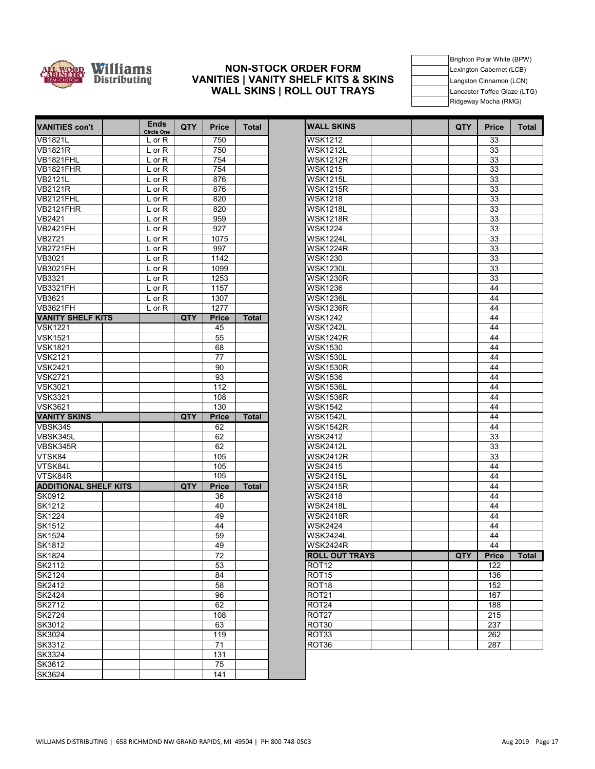

**VANITIES con't Ends** 

#### **VANITIES | VANITY SHELF KITS & SKINS NON-STOCK ORDER FORM WALL SKINS | ROLL OUT TRAYS**

subtotal subtotal subtotal subtotal subtotal subtotal subtotal subtotal subtotal subtotal subtotal subtotal su Brighton Polar White (BPW) Lexington Cabernet (LCB) Langston Cinnamon (LCN) Lancaster Toffee Glaze (LTG) Ridgeway Mocha (RMG)

| <b>VANITIES con't</b>            | низ<br><b>Circle One</b> | <b>QTY</b> | <b>Price</b> | Total        | <b>WALL SKINS</b>                  | <b>QTY</b> | <b>Price</b> | Tota |
|----------------------------------|--------------------------|------------|--------------|--------------|------------------------------------|------------|--------------|------|
| <b>VB1821L</b>                   | $L$ or R                 |            | 750          |              | <b>WSK1212</b>                     |            | 33           |      |
| <b>VB1821R</b>                   | $L$ or $R$               |            | 750          |              | <b>WSK1212L</b>                    |            | 33           |      |
| VB1821FHL                        | L or R                   |            | 754          |              | <b>WSK1212R</b>                    |            | 33           |      |
| VB1821FHR                        | $L$ or $R$               |            | 754          |              | <b>WSK1215</b>                     |            | 33           |      |
| <b>VB2121L</b>                   | $L$ or $R$               |            | 876          |              | <b>WSK1215L</b>                    |            | 33           |      |
| <b>VB2121R</b>                   | $L$ or $R$               |            | 876          |              | <b>WSK1215R</b>                    |            | 33           |      |
| VB2121FHL                        | $L$ or $R$               |            | 820          |              | <b>WSK1218</b>                     |            | 33           |      |
| VB2121FHR                        | $L$ or $R$               |            | 820          |              | <b>WSK1218L</b>                    |            | 33           |      |
| VB2421                           | $L$ or $R$               |            | 959          |              | <b>WSK1218R</b>                    |            | 33           |      |
| VB2421FH                         | $L$ or $R$               |            | 927          |              | <b>WSK1224</b>                     |            | 33           |      |
| <b>VB2721</b>                    | $L$ or $R$               |            | 1075         |              | <b>WSK1224L</b>                    |            | 33           |      |
| <b>VB2721FH</b>                  | $L$ or $R$               |            | 997          |              | <b>WSK1224R</b>                    |            | 33           |      |
| VB3021                           | $L$ or $R$               |            | 1142         |              | <b>WSK1230</b>                     |            | 33           |      |
| <b>VB3021FH</b>                  | $L$ or $R$               |            | 1099         |              | <b>WSK1230L</b>                    |            | 33           |      |
| VB3321                           | $L$ or $R$               |            | 1253         |              | <b>WSK1230R</b>                    |            | 33           |      |
| <b>VB3321FH</b>                  | L or R                   |            | 1157         |              | <b>WSK1236</b>                     |            | 44           |      |
| VB3621                           | $L$ or $R$               |            | 1307         |              | <b>WSK1236L</b>                    |            | 44           |      |
| <b>VB3621FH</b>                  | L or R                   |            | 1277         |              | <b>WSK1236R</b>                    |            | 44           |      |
| <b>VANITY SHELF KITS</b>         |                          | QTY        | <b>Price</b> | <b>Total</b> | <b>WSK1242</b>                     |            | 44           |      |
| <b>VSK1221</b>                   |                          |            | 45           |              | <b>WSK1242L</b>                    |            | 44           |      |
| <b>VSK1521</b>                   |                          |            | 55           |              | WSK1242R                           |            | 44           |      |
| <b>VSK1821</b>                   |                          |            | 68           |              | <b>WSK1530</b>                     |            | 44           |      |
| <b>VSK2121</b>                   |                          |            | 77           |              | <b>WSK1530L</b>                    |            | 44           |      |
| <b>VSK2421</b>                   |                          |            | 90           |              | <b>WSK1530R</b>                    |            | 44           |      |
| <b>VSK2721</b>                   |                          |            | 93           |              | <b>WSK1536</b>                     |            | 44           |      |
| <b>VSK3021</b>                   |                          |            | 112<br>108   |              | <b>WSK1536L</b><br><b>WSK1536R</b> |            | 44           |      |
| <b>VSK3321</b><br><b>VSK3621</b> |                          |            | 130          |              | <b>WSK1542</b>                     |            | 44           |      |
| <b>VANITY SKINS</b>              |                          | <b>QTY</b> | <b>Price</b> | <b>Total</b> | <b>WSK1542L</b>                    |            | 44<br>44     |      |
| VBSK345                          |                          |            | 62           |              | <b>WSK1542R</b>                    |            | 44           |      |
| VBSK345L                         |                          |            | 62           |              | <b>WSK2412</b>                     |            | 33           |      |
| VBSK345R                         |                          |            | 62           |              | <b>WSK2412L</b>                    |            | 33           |      |
| VTSK84                           |                          |            | 105          |              | <b>WSK2412R</b>                    |            | 33           |      |
| VTSK84L                          |                          |            | 105          |              | <b>WSK2415</b>                     |            | 44           |      |
| VTSK84R                          |                          |            | 105          |              | <b>WSK2415L</b>                    |            | 44           |      |
| <b>ADDITIONAL SHELF KITS</b>     |                          | <b>QTY</b> | <b>Price</b> | <b>Total</b> | <b>WSK2415R</b>                    |            | 44           |      |
| SK0912                           |                          |            | 36           |              | <b>WSK2418</b>                     |            | 44           |      |
| <b>SK1212</b>                    |                          |            | 40           |              | <b>WSK2418L</b>                    |            | 44           |      |
| <b>SK1224</b>                    |                          |            | 49           |              | <b>WSK2418R</b>                    |            | 44           |      |
| <b>SK1512</b>                    |                          |            | 44           |              | <b>WSK2424</b>                     |            | 44           |      |
| <b>SK1524</b>                    |                          |            | 59           |              | <b>WSK2424L</b>                    |            | 44           |      |
| SK1812                           |                          |            | 49           |              | <b>WSK2424R</b>                    |            | 44           |      |
| <b>SK1824</b>                    |                          |            | 72           |              | <b>ROLL OUT TRAYS</b>              | QTY        | <b>Price</b> | Tota |
| SK2112                           |                          |            | 53           |              | ROT <sub>12</sub>                  |            | 122          |      |
| SK2124                           |                          |            | 84           |              | ROT <sub>15</sub>                  |            | 136          |      |
| SK2412                           |                          |            | 58           |              | ROT <sub>18</sub>                  |            | 152          |      |
| <b>SK2424</b>                    |                          |            | 96           |              | ROT <sub>21</sub>                  |            | 167          |      |
| <b>SK2712</b>                    |                          |            | 62           |              | ROT24                              |            | 188          |      |
| <b>SK2724</b>                    |                          |            | 108          |              | ROT27                              |            | 215          |      |
| SK3012                           |                          |            | 63           |              | ROT30                              |            | 237          |      |
| SK3024                           |                          |            | 119          |              | ROT33                              |            | 262          |      |
| <b>SK3312</b>                    |                          |            | 71           |              | ROT36                              |            | 287          |      |
| SK3324                           |                          |            | 131          |              |                                    |            |              |      |
| SK3612                           |                          |            | 75           |              |                                    |            |              |      |
| SK3624                           |                          |            | 141          |              |                                    |            |              |      |
|                                  |                          |            |              |              |                                    |            |              |      |

| <b>Ends</b><br><b>Circle One</b> | QTY | <b>Price</b> | <b>Total</b> | <b>WALL SKINS</b>     | <b>QTY</b> | <b>Price</b> | <b>Total</b> |
|----------------------------------|-----|--------------|--------------|-----------------------|------------|--------------|--------------|
| L or R                           |     | 750          |              | <b>WSK1212</b>        |            | 33           |              |
| $\overline{L}$ or R              |     | 750          |              | <b>WSK1212L</b>       |            | 33           |              |
| $L$ or R                         |     | 754          |              | <b>WSK1212R</b>       |            | 33           |              |
| L or R                           |     | 754          |              | <b>WSK1215</b>        |            | 33           |              |
| $\overline{L}$ or R              |     | 876          |              | <b>WSK1215L</b>       |            | 33           |              |
| $L$ or $R$                       |     | 876          |              | <b>WSK1215R</b>       |            | 33           |              |
| $L$ or $R$                       |     | 820          |              | <b>WSK1218</b>        |            | 33           |              |
| L or R                           |     | 820          |              | <b>WSK1218L</b>       |            | 33           |              |
| L or R                           |     | 959          |              | <b>WSK1218R</b>       |            | 33           |              |
| L or R                           |     | 927          |              | <b>WSK1224</b>        |            | 33           |              |
| $L$ or R                         |     | 1075         |              | <b>WSK1224L</b>       |            | 33           |              |
| L or R                           |     | 997          |              | <b>WSK1224R</b>       |            | 33           |              |
| $L$ or $R$                       |     | 1142         |              | <b>WSK1230</b>        |            | 33           |              |
| L or R                           |     | 1099         |              | <b>WSK1230L</b>       |            | 33           |              |
| L or R                           |     | 1253         |              | <b>WSK1230R</b>       |            | 33           |              |
| $L$ or $R$                       |     | 1157         |              | <b>WSK1236</b>        |            | 44           |              |
| L or R                           |     | 1307         |              | <b>WSK1236L</b>       |            | 44           |              |
| $L$ or $R$                       |     | 1277         |              | WSK1236R              |            | 44           |              |
|                                  | QTY | <b>Price</b> | <b>Total</b> | <b>WSK1242</b>        |            | 44           |              |
|                                  |     | 45           |              | <b>WSK1242L</b>       |            | 44           |              |
|                                  |     | 55           |              | <b>WSK1242R</b>       |            | 44           |              |
|                                  |     | 68           |              | <b>WSK1530</b>        |            | 44           |              |
|                                  |     | 77           |              | <b>WSK1530L</b>       |            | 44           |              |
|                                  |     | 90           |              | <b>WSK1530R</b>       |            | 44           |              |
|                                  |     | 93           |              | <b>WSK1536</b>        |            | 44           |              |
|                                  |     | 112          |              | <b>WSK1536L</b>       |            | 44           |              |
|                                  |     | 108          |              | <b>WSK1536R</b>       |            | 44           |              |
|                                  |     | 130          |              | <b>WSK1542</b>        |            | 44           |              |
|                                  | QTY | <b>Price</b> | <b>Total</b> | <b>WSK1542L</b>       |            | 44           |              |
|                                  |     | 62           |              | <b>WSK1542R</b>       |            | 44           |              |
|                                  |     | 62           |              | <b>WSK2412</b>        |            | 33           |              |
|                                  |     | 62           |              | <b>WSK2412L</b>       |            | 33           |              |
|                                  |     | 105          |              | <b>WSK2412R</b>       |            | 33           |              |
|                                  |     | 105          |              | <b>WSK2415</b>        |            | 44           |              |
|                                  |     | 105          |              | <b>WSK2415L</b>       |            | 44           |              |
|                                  | QTY | <b>Price</b> | <b>Total</b> | <b>WSK2415R</b>       |            | 44           |              |
|                                  |     | 36           |              | <b>WSK2418</b>        |            | 44           |              |
|                                  |     | 40           |              | <b>WSK2418L</b>       |            | 44           |              |
|                                  |     | 49           |              | <b>WSK2418R</b>       |            | 44           |              |
|                                  |     | 44           |              | <b>WSK2424</b>        |            | 44           |              |
|                                  |     | 59           |              | <b>WSK2424L</b>       |            | 44           |              |
|                                  |     | 49           |              | <b>WSK2424R</b>       |            | 44           |              |
|                                  |     | 72           |              | <b>ROLL OUT TRAYS</b> | QTY        | <b>Price</b> | <b>Total</b> |
|                                  |     | 53           |              | ROT <sub>12</sub>     |            | 122          |              |
|                                  |     | 84           |              | ROT <sub>15</sub>     |            | 136          |              |
|                                  |     | 58           |              | ROT <sub>18</sub>     |            | 152          |              |
|                                  |     | 96           |              | <b>ROT21</b>          |            | 167          |              |
|                                  |     | 62           |              | ROT24                 |            | 188          |              |
|                                  |     | 108          |              | ROT <sub>27</sub>     |            | 215          |              |
|                                  |     | 63           |              | ROT30                 |            | 237          |              |
|                                  |     | 119          |              | ROT33                 |            | 262          |              |
|                                  |     | 71           |              | ROT36                 |            | 287          |              |
|                                  |     | 121          |              |                       |            |              |              |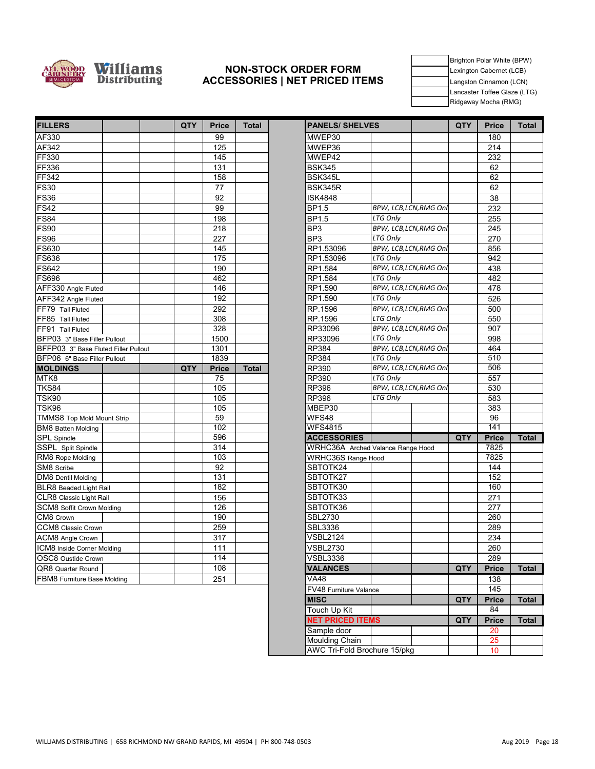

#### **NON-STOCK ORDER FORM ACCESSORIES | NET PRICED ITEMS**

Brighton Polar White (BPW) Lexington Cabernet (LCB) Langston Cinnamon (LCN) Lancaster Toffee Glaze (LTG) Ridgeway Mocha (RMG)

| <b>FILLERS</b>                       | QTY | <b>Price</b> | Total        | <b>IPANELS/ SHELVES</b>           |                        | QTY | <b>Price</b>     | To |
|--------------------------------------|-----|--------------|--------------|-----------------------------------|------------------------|-----|------------------|----|
| AF330                                |     | 99           |              | MWEP30                            |                        |     | 180              |    |
| AF342                                |     | 125          |              | MWEP36                            |                        |     | $\overline{214}$ |    |
| FF330                                |     | 145          |              | MWEP42                            |                        |     | 232              |    |
| <b>FF336</b>                         |     | 131          |              | <b>BSK345</b>                     |                        |     | 62               |    |
| <b>FF342</b>                         |     | 158          |              | BSK345L                           |                        |     | 62               |    |
| <b>FS30</b>                          |     | 77           |              | BSK345R                           |                        |     | 62               |    |
| <b>FS36</b>                          |     | 92           |              | <b>ISK4848</b>                    |                        |     | 38               |    |
| <b>FS42</b>                          |     | 99           |              | <b>BP1.5</b>                      | BPW, LCB, LCN, RMG Onl |     | 232              |    |
| <b>FS84</b>                          |     | 198          |              | <b>BP1.5</b>                      | <b>LTG Only</b>        |     | 255              |    |
| <b>FS90</b>                          |     | 218          |              | BP <sub>3</sub>                   | BPW, LCB, LCN, RMG Onl |     | 245              |    |
| <b>FS96</b>                          |     | 227          |              | BP <sub>3</sub>                   | <b>LTG Only</b>        |     | 270              |    |
| <b>FS630</b>                         |     | 145          |              | RP1.53096                         | BPW, LCB, LCN, RMG Onl |     | 856              |    |
| <b>FS636</b>                         |     | 175          |              | RP1.53096                         | <b>LTG Only</b>        |     | 942              |    |
| <b>FS642</b>                         |     | 190          |              | RP1.584                           | BPW, LCB, LCN, RMG Onl |     | 438              |    |
| <b>FS696</b>                         |     | 462          |              | RP1.584                           | LTG Only               |     | 482              |    |
| AFF330 Angle Fluted                  |     | 146          |              | RP1.590                           | BPW, LCB, LCN, RMG Onl |     | 478              |    |
| AFF342 Angle Fluted                  |     | 192          |              | RP1.590                           | LTG Only               |     | 526              |    |
| FF79 Tall Fluted                     |     | 292          |              | RP.1596                           | BPW, LCB, LCN, RMG Onl |     | 500              |    |
| FF85 Tall Fluted                     |     | 308          |              | RP.1596                           | LTG Only               |     | 550              |    |
| FF91 Tall Fluted                     |     | 328          |              | RP33096                           | BPW, LCB, LCN, RMG Onl |     | 907              |    |
| BFP03 3" Base Filler Pullout         |     | 1500         |              | RP33096                           | <b>LTG Only</b>        |     | 998              |    |
| BFFP03 3" Base Fluted Filler Pullout |     | 1301         |              | <b>RP384</b>                      | BPW, LCB, LCN, RMG Onl |     | 464              |    |
| BFP06 6" Base Filler Pullout         |     | 1839         |              | <b>RP384</b>                      | <b>LTG Only</b>        |     | 510              |    |
| <b>MOLDINGS</b>                      | QTY | <b>Price</b> | <b>Total</b> | RP390                             | BPW, LCB, LCN, RMG Onl |     | 506              |    |
| MTK8                                 |     | 75           |              | RP390                             | LTG Only               |     | 557              |    |
| <b>TKS84</b>                         |     | 105          |              | <b>RP396</b>                      | BPW, LCB, LCN, RMG Onl |     | 530              |    |
| <b>TSK90</b>                         |     | 105          |              | <b>RP396</b>                      | <b>LTG Only</b>        |     | 583              |    |
| TSK96                                |     | 105          |              | MBEP30                            |                        |     | 383              |    |
| TMMS8 Top Mold Mount Strip           |     | 59           |              | WFS48                             |                        |     | 96               |    |
| <b>BM8 Batten Molding</b>            |     | 102          |              | <b>WFS4815</b>                    |                        |     | 141              |    |
| <b>SPL</b> Spindle                   |     | 596          |              | <b>ACCESSORIES</b>                |                        | QTY | <b>Price</b>     | To |
| SSPL Split Spindle                   |     | 314          |              | WRHC36A Arched Valance Range Hood |                        |     | 7825             |    |
| RM8 Rope Molding                     |     | 103          |              | <b>WRHC36S Range Hood</b>         |                        |     | 7825             |    |
| SM8 Scribe                           |     | 92           |              | SBTOTK24                          |                        |     | 144              |    |
| DM8 Dentil Molding                   |     | 131          |              | SBTOTK27                          |                        |     | 152              |    |
| BLR8 Beaded Light Rail               |     | 182          |              | SBTOTK30                          |                        |     | 160              |    |
| CLR8 Classic Light Rail              |     | 156          |              | SBTOTK33                          |                        |     | 271              |    |
| <b>SCM8</b> Soffit Crown Molding     |     | 126          |              | SBTOTK36                          |                        |     | 277              |    |
| CM8 Crown                            |     | 190          |              | <b>SBL2730</b>                    |                        |     | 260              |    |
| CCM8 Classic Crown                   |     | 259          |              | <b>SBL3336</b>                    |                        |     | 289              |    |
| ACM8 Angle Crown                     |     | 317          |              | <b>VSBL2124</b>                   |                        |     | 234              |    |
| ICM8 Inside Corner Molding           |     | 111          |              | <b>VSBL2730</b>                   |                        |     | 260              |    |
| OSC8 Oustide Crown                   |     | 114          |              | <b>VSBL3336</b>                   |                        |     | 289              |    |
| <b>OR8</b> Quarter Round             |     | 108          |              | <b>VALANCES</b>                   |                        | QTY | <b>Price</b>     | To |
| FBM8 Furniture Base Molding          |     | 251          |              | <b>VA48</b>                       |                        |     | 138              |    |
|                                      |     |              |              | $T140 -$                          |                        |     | $\overline{AB}$  |    |

| <b>FILLERS</b>                       | QTY | <b>Price</b> | Total        | <b>PANELS/ SHELVES</b>            |                             | <b>QTY</b> | <b>Price</b> | <b>Total</b> |
|--------------------------------------|-----|--------------|--------------|-----------------------------------|-----------------------------|------------|--------------|--------------|
| AF330                                |     | 99           |              | MWEP30                            |                             |            | 180          |              |
| AF342                                |     | 125          |              | MWEP36                            |                             |            | 214          |              |
| FF330                                |     | 145          |              | MWEP42                            |                             |            | 232          |              |
| FF336                                |     | 131          |              | <b>BSK345</b>                     |                             |            | 62           |              |
| FF342                                |     | 158          |              | BSK345L                           |                             |            | 62           |              |
| <b>FS30</b>                          |     | 77           |              | <b>BSK345R</b>                    |                             |            | 62           |              |
| <b>FS36</b>                          |     | 92           |              | <b>ISK4848</b>                    |                             |            | 38           |              |
| $\overline{\text{FS42}}$             |     | 99           |              | <b>BP1.5</b>                      | BPW, LCB, LCN, RMG Onl      |            | 232          |              |
| <b>FS84</b>                          |     | 198          |              | <b>BP1.5</b>                      | <b>LTG Only</b>             |            | 255          |              |
| FS90                                 |     | 218          |              | BP <sub>3</sub>                   | BPW, LCB, LCN, RMG Onl      |            | 245          |              |
| FS96                                 |     | 227          |              | BP <sub>3</sub>                   | LTG Only                    |            | 270          |              |
| FS630                                |     | 145          |              | RP1.53096                         | BPW, LCB, LCN, RMG Onl      |            | 856          |              |
|                                      |     |              |              |                                   |                             |            |              |              |
| FS636                                |     | 175          |              | RP1.53096                         | <b>LTG Only</b>             |            | 942          |              |
| <b>FS642</b>                         |     | 190          |              | RP1.584                           | BPW, LCB, LCN, RMG Onl      |            | 438          |              |
| FS696                                |     | 462          |              | RP1.584                           | LTG Only                    |            | 482          |              |
| AFF330 Angle Fluted                  |     | 146          |              | RP1.590                           | BPW, LCB, LCN, RMG Onl      |            | 478          |              |
| AFF342 Angle Fluted                  |     | 192          |              | RP1.590                           | LTG Only                    |            | 526          |              |
| FF79 Tall Fluted                     |     | 292          |              | RP.1596                           | BPW, LCB, LCN, RMG Onl      |            | 500          |              |
| FF85 Tall Fluted                     |     | 308          |              | RP.1596                           | <b>LTG Only</b>             |            | 550          |              |
| FF91 Tall Fluted                     |     | 328          |              | RP33096                           | BPW, LCB,LCN,RMG Onl        |            | 907          |              |
| BFP03 3" Base Filler Pullout         |     | 1500         |              | RP33096                           | LTG Only                    |            | 998          |              |
| BFFP03 3" Base Fluted Filler Pullout |     | 1301         |              | RP384                             | BPW, LCB, LCN, RMG Onl      |            | 464          |              |
| BFP06 6" Base Filler Pullout         |     | 1839         |              | RP384                             | <b>LTG Only</b>             |            | 510          |              |
| <b>MOLDINGS</b>                      | QTY | <b>Price</b> | <b>Total</b> | RP390                             | <b>BPW, LCB,LCN,RMG Onl</b> |            | 506          |              |
| MTK8                                 |     | 75           |              | RP390                             | <b>LTG Only</b>             |            | 557          |              |
| TKS84                                |     | 105          |              | RP396                             | BPW, LCB, LCN, RMG Onl      |            | 530          |              |
| TSK90                                |     | 105          |              | RP396                             | <b>LTG Only</b>             |            | 583          |              |
| TSK96                                |     | 105          |              | MBEP30                            |                             |            | 383          |              |
| TMMS8 Top Mold Mount Strip           |     | 59           |              | WFS48                             |                             |            | 96           |              |
| <b>BM8 Batten Molding</b>            |     | 102          |              | <b>WFS4815</b>                    |                             |            | 141          |              |
| SPL Spindle                          |     | 596          |              | <b>ACCESSORIES</b>                |                             | <b>QTY</b> | <b>Price</b> |              |
| SSPL Split Spindle                   |     | 314          |              | WRHC36A Arched Valance Range Hood |                             |            | 7825         |              |
| RM8 Rope Molding                     |     | 103          |              | WRHC36S Range Hood                |                             |            | 7825         |              |
| SM8 Scribe                           |     | 92           |              | SBTOTK24                          |                             |            | 144          |              |
| DM8 Dentil Molding                   |     | 131          |              | SBTOTK27                          |                             |            | 152          |              |
| BLR8 Beaded Light Rail               |     | 182          |              | SBTOTK30                          |                             |            | 160          |              |
| CLR8 Classic Light Rail              |     | 156          |              | SBTOTK33                          |                             |            | 271          |              |
| SCM8 Soffit Crown Molding            |     | 126          |              | SBTOTK36                          |                             |            | 277          |              |
| CM8 Crown                            |     | 190          |              | <b>SBL2730</b>                    |                             |            | 260          |              |
| CCM8 Classic Crown                   |     | 259          |              | SBL3336                           |                             |            | 289          |              |
| ACM8 Angle Crown                     |     | 317          |              | VSBL2124                          |                             |            | 234          |              |
| ICM8 Inside Corner Molding           |     | 111          |              | <b>VSBL2730</b>                   |                             |            | 260          |              |
| OSC8 Oustide Crown                   |     | 114          |              | <b>VSBL3336</b>                   |                             |            | 289          |              |
| QR8 Quarter Round                    |     | 108          |              | <b>VALANCES</b>                   |                             | QTY        | <b>Price</b> |              |
|                                      |     |              |              |                                   |                             |            |              |              |
| FBM8 Furniture Base Molding          |     | 251          |              | VA48                              |                             |            | 138          |              |
|                                      |     |              |              | FV48 Furniture Valance            |                             |            | 145          |              |
|                                      |     |              |              | <b>MISC</b>                       |                             | <b>QTY</b> | <b>Price</b> |              |
|                                      |     |              |              | Touch Up Kit                      |                             |            | 84           |              |
|                                      |     |              |              | <b>NET PRICED ITEMS</b>           |                             | QTY        | <b>Price</b> |              |
|                                      |     |              |              | Sample door                       |                             |            | 20           |              |
|                                      |     |              |              | Moulding Chain                    |                             |            | 25           |              |
|                                      |     |              |              | AWC Tri-Fold Brochure 15/pkg      |                             |            | 10           |              |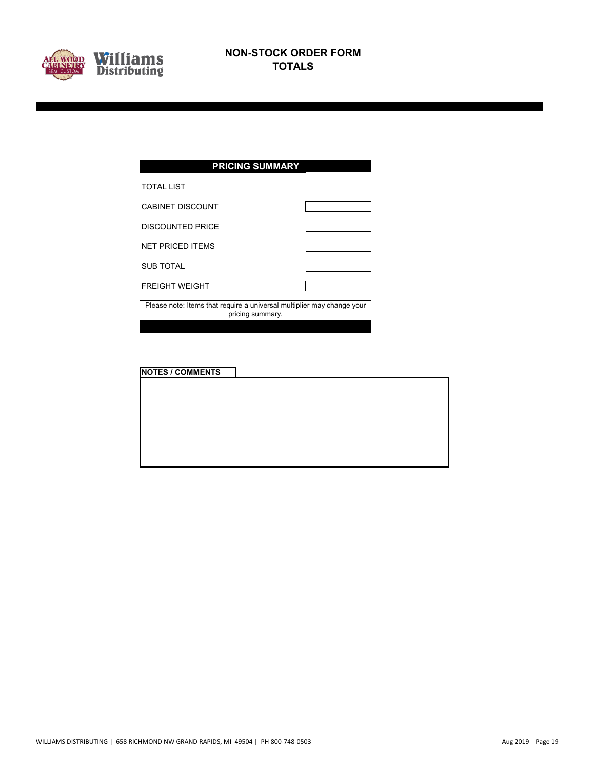

| <b>PRICING SUMMARY</b>                                                                     |  |  |  |  |  |  |  |
|--------------------------------------------------------------------------------------------|--|--|--|--|--|--|--|
| <b>TOTAL LIST</b>                                                                          |  |  |  |  |  |  |  |
| <b>CABINET DISCOUNT</b>                                                                    |  |  |  |  |  |  |  |
| <b>DISCOUNTED PRICE</b>                                                                    |  |  |  |  |  |  |  |
| <b>NET PRICED ITEMS</b>                                                                    |  |  |  |  |  |  |  |
| <b>SUB TOTAL</b>                                                                           |  |  |  |  |  |  |  |
| <b>FREIGHT WEIGHT</b>                                                                      |  |  |  |  |  |  |  |
| Please note: Items that require a universal multiplier may change your<br>pricing summary. |  |  |  |  |  |  |  |
|                                                                                            |  |  |  |  |  |  |  |

| <b>NOTES / COMMENTS</b> |  |
|-------------------------|--|
|                         |  |
|                         |  |
|                         |  |
|                         |  |
|                         |  |
|                         |  |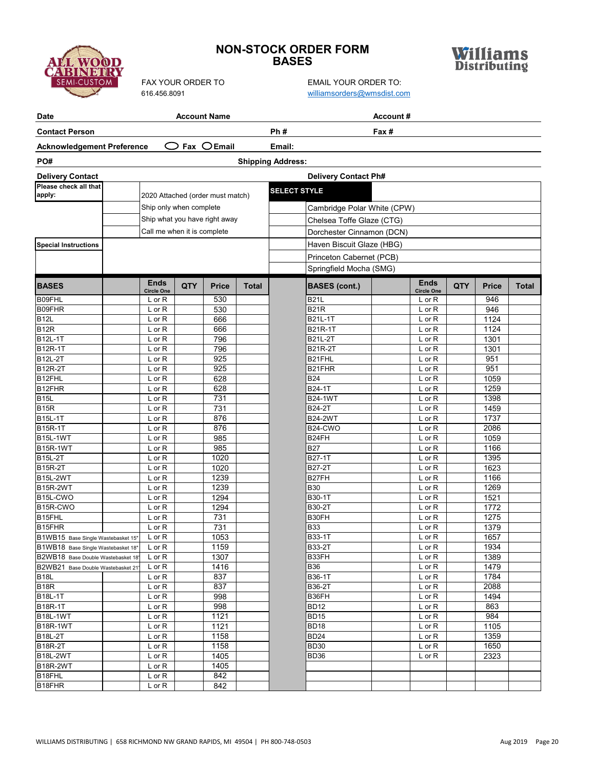## **NON-STOCK ORDER FORM BASES**



ABINEN

| Date                                                                    |                                  |     | <b>Account Name</b>              |              | Account#                 |                             |      |                                  |     |              |              |
|-------------------------------------------------------------------------|----------------------------------|-----|----------------------------------|--------------|--------------------------|-----------------------------|------|----------------------------------|-----|--------------|--------------|
| <b>Contact Person</b>                                                   |                                  |     |                                  |              | Ph#                      |                             | Fax# |                                  |     |              |              |
| <b>Acknowledgement Preference</b>                                       |                                  |     | $Fax$ $OEmail$                   |              | Email:                   |                             |      |                                  |     |              |              |
| PO#                                                                     |                                  |     |                                  |              | <b>Shipping Address:</b> |                             |      |                                  |     |              |              |
| <b>Delivery Contact</b>                                                 |                                  |     |                                  |              |                          | <b>Delivery Contact Ph#</b> |      |                                  |     |              |              |
| Please check all that                                                   |                                  |     |                                  |              |                          |                             |      |                                  |     |              |              |
| apply:                                                                  |                                  |     | 2020 Attached (order must match) |              | <b>SELECT STYLE</b>      |                             |      |                                  |     |              |              |
|                                                                         | Ship only when complete          |     |                                  |              |                          | Cambridge Polar White (CPW) |      |                                  |     |              |              |
|                                                                         |                                  |     | Ship what you have right away    |              |                          | Chelsea Toffe Glaze (CTG)   |      |                                  |     |              |              |
|                                                                         | Call me when it is complete      |     |                                  |              |                          | Dorchester Cinnamon (DCN)   |      |                                  |     |              |              |
| <b>Special Instructions</b>                                             |                                  |     |                                  |              |                          | Haven Biscuit Glaze (HBG)   |      |                                  |     |              |              |
|                                                                         |                                  |     |                                  |              |                          | Princeton Cabernet (PCB)    |      |                                  |     |              |              |
|                                                                         |                                  |     |                                  |              |                          | Springfield Mocha (SMG)     |      |                                  |     |              |              |
|                                                                         |                                  |     |                                  |              |                          |                             |      |                                  |     |              |              |
| <b>BASES</b>                                                            | <b>Ends</b><br><b>Circle One</b> | QTY | <b>Price</b>                     | <b>Total</b> |                          | <b>BASES (cont.)</b>        |      | <b>Ends</b><br><b>Circle One</b> | QTY | <b>Price</b> | <b>Total</b> |
| B09FHL                                                                  | $L$ or $R$                       |     | 530                              |              |                          | <b>B21L</b>                 |      | $L$ or $R$                       |     | 946          |              |
| B09FHR                                                                  | L or R                           |     | 530                              |              |                          | <b>B21R</b>                 |      | L or R                           |     | 946          |              |
| B <sub>12</sub> L                                                       | L or R                           |     | 666                              |              |                          | B21L-1T                     |      | $L$ or $R$                       |     | 1124         |              |
| B <sub>12R</sub>                                                        | L or R                           |     | 666                              |              |                          | B21R-1T                     |      | L or R                           |     | 1124         |              |
| B12L-1T                                                                 | $L$ or $R$                       |     | 796                              |              |                          | <b>B21L-2T</b>              |      | $L$ or $R$                       |     | 1301         |              |
| <b>B12R-1T</b>                                                          | L or R                           |     | 796                              |              |                          | <b>B21R-2T</b>              |      | $L$ or $R$                       |     | 1301         |              |
| <b>B12L-2T</b>                                                          | L or R                           |     | 925                              |              |                          | B21FHL                      |      | L or R                           |     | 951          |              |
| <b>B12R-2T</b>                                                          | $L$ or $R$                       |     | 925                              |              |                          | B21FHR                      |      | $L$ or $R$                       |     | 951          |              |
| B <sub>12FHL</sub><br>B <sub>12FHR</sub>                                | $L$ or $R$                       |     | 628<br>628                       |              |                          | B24<br>B24-1T               |      | L or R                           |     | 1059<br>1259 |              |
| <b>B15L</b>                                                             | $L$ or $R$<br>L or R             |     | 731                              |              |                          | <b>B24-1WT</b>              |      | $L$ or $R$<br>$L$ or $R$         |     | 1398         |              |
| $\overline{B1}$ <sub>5R</sub>                                           | $L$ or $R$                       |     | 731                              |              |                          | B24-2T                      |      | $L$ or $R$                       |     | 1459         |              |
| <b>B15L-1T</b>                                                          | $L$ or $R$                       |     | 876                              |              |                          | <b>B24-2WT</b>              |      | $L$ or $R$                       |     | 1737         |              |
| <b>B15R-1T</b>                                                          | $L$ or $R$                       |     | 876                              |              |                          | B24-CWO                     |      | $L$ or $R$                       |     | 2086         |              |
| <b>B15L-1WT</b>                                                         | $L$ or $R$                       |     | 985                              |              |                          | B24FH                       |      | $L$ or $R$                       |     | 1059         |              |
| <b>B15R-1WT</b>                                                         | L or R                           |     | 985                              |              |                          | <b>B27</b>                  |      | $L$ or $R$                       |     | 1166         |              |
| <b>B15L-2T</b>                                                          | $L$ or $R$                       |     | 1020                             |              |                          | <b>B27-1T</b>               |      | $L$ or $R$                       |     | 1395         |              |
| <b>B15R-2T</b>                                                          | L or R                           |     | 1020                             |              |                          | B27-2T                      |      | $L$ or $R$                       |     | 1623         |              |
| <b>B15L-2WT</b>                                                         | $L$ or $R$                       |     | 1239                             |              |                          | B27FH                       |      | L or R                           |     | 1166         |              |
| <b>B15R-2WT</b>                                                         | $L$ or $R$                       |     | 1239                             |              |                          | <b>B30</b>                  |      | $L$ or $R$                       |     | 1269         |              |
| B15L-CWO                                                                | L or R                           |     | 1294                             |              |                          | B30-1T                      |      | $L$ or $R$                       |     | 1521         |              |
| B15R-CWO                                                                | $L$ or $R$                       |     | 1294                             |              |                          | B30-2T                      |      | $L$ or $R$                       |     | 1772         |              |
| B <sub>15FHL</sub>                                                      | $L$ or $R$                       |     | 731                              |              |                          | B30FH                       |      | $L$ or $R$                       |     | 1275         |              |
| B <sub>15FHR</sub>                                                      | $L$ or $R$                       |     | 731                              |              |                          | <b>B33</b>                  |      | $L$ or $R$                       |     | 1379         |              |
| B1WB15 Base Single Wastebasket 15"                                      | $L$ or $R$<br>$L$ or $R$         |     | 1053<br>1159                     |              |                          | B33-1T<br><b>B33-2T</b>     |      | $L$ or $R$<br>$L$ or $R$         |     | 1657<br>1934 |              |
| B1WB18 Base Single Wastebasket 18"                                      |                                  |     | 1307                             |              |                          | B33FH                       |      |                                  |     | 1389         |              |
| B2WB18 Base Double Wastebasket 18'<br>B2WB21 Base Double Wastebasket 21 | $L$ or $R$<br>$L$ or $R$         |     | 1416                             |              |                          | B36                         |      | $L$ or $R$<br>$L$ or $R$         |     | 1479         |              |
| <b>B18L</b>                                                             | $L$ or $R$                       |     | 837                              |              |                          | B36-1T                      |      | $L$ or $R$                       |     | 1784         |              |
| B <sub>18R</sub>                                                        | $L$ or $R$                       |     | 837                              |              |                          | B36-2T                      |      | $L$ or $R$                       |     | 2088         |              |
| <b>B18L-1T</b>                                                          | L or R                           |     | 998                              |              |                          | B36FH                       |      | $L$ or $R$                       |     | 1494         |              |
| B18R-1T                                                                 | L or R                           |     | 998                              |              |                          | <b>BD12</b>                 |      | L or R                           |     | 863          |              |
| <b>B18L-1WT</b>                                                         | $L$ or $R$                       |     | 1121                             |              |                          | <b>BD15</b>                 |      | $L$ or $R$                       |     | 984          |              |
| B18R-1WT                                                                | L or R                           |     | 1121                             |              |                          | <b>BD18</b>                 |      | $L$ or $R$                       |     | 1105         |              |
| <b>B18L-2T</b>                                                          | L or R                           |     | 1158                             |              |                          | <b>BD24</b>                 |      | L or R                           |     | 1359         |              |
| <b>B18R-2T</b>                                                          | $L$ or $R$                       |     | 1158                             |              |                          | <b>BD30</b>                 |      | $L$ or $R$                       |     | 1650         |              |
| <b>B18L-2WT</b>                                                         | $L$ or $R$                       |     | 1405                             |              |                          | BD36                        |      | $L$ or $R$                       |     | 2323         |              |
| B18R-2WT                                                                | L or R                           |     | 1405                             |              |                          |                             |      |                                  |     |              |              |
| B18FHL                                                                  | L or R                           |     | 842                              |              |                          |                             |      |                                  |     |              |              |
| B <sub>18FHR</sub>                                                      | $L$ or $R$                       |     | 842                              |              |                          |                             |      |                                  |     |              |              |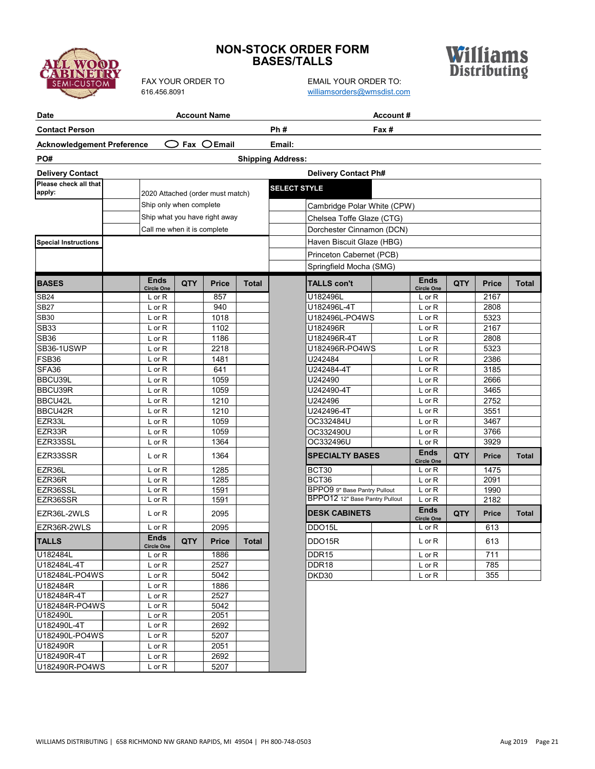

## **NON-STOCK ORDER FORM BASES/TALLS**



FAX YOUR ORDER TO EMAIL YOUR ORDER TO: [williamsorders@wmsdist.com](mailto:williamsorders@wmsdist.com)

| <b>Date</b>                       |                                  |            | <b>Account Name</b> |              | Account#                       |                                  |            |              |              |
|-----------------------------------|----------------------------------|------------|---------------------|--------------|--------------------------------|----------------------------------|------------|--------------|--------------|
| <b>Contact Person</b>             |                                  |            |                     |              | Ph#<br>Fax #                   |                                  |            |              |              |
| <b>Acknowledgement Preference</b> |                                  |            | Fax $OEmail$        |              | Email:                         |                                  |            |              |              |
| PO#                               |                                  |            |                     |              | <b>Shipping Address:</b>       |                                  |            |              |              |
| <b>Delivery Contact</b>           |                                  |            |                     |              | <b>Delivery Contact Ph#</b>    |                                  |            |              |              |
| Please check all that             |                                  |            |                     |              | <b>SELECT STYLE</b>            |                                  |            |              |              |
| apply:                            | 2020 Attached (order must match) |            |                     |              |                                |                                  |            |              |              |
|                                   | Ship only when complete          |            |                     |              | Cambridge Polar White (CPW)    |                                  |            |              |              |
|                                   | Ship what you have right away    |            |                     |              | Chelsea Toffe Glaze (CTG)      |                                  |            |              |              |
|                                   | Call me when it is complete      |            |                     |              | Dorchester Cinnamon (DCN)      |                                  |            |              |              |
| <b>Special Instructions</b>       |                                  |            |                     |              | Haven Biscuit Glaze (HBG)      |                                  |            |              |              |
|                                   |                                  |            |                     |              | Princeton Cabernet (PCB)       |                                  |            |              |              |
|                                   |                                  |            |                     |              |                                |                                  |            |              |              |
|                                   |                                  |            |                     |              | Springfield Mocha (SMG)        |                                  |            |              |              |
| <b>BASES</b>                      | <b>Ends</b><br><b>Circle One</b> | <b>QTY</b> | <b>Price</b>        | <b>Total</b> | <b>TALLS con't</b>             | <b>Ends</b><br><b>Circle One</b> | <b>QTY</b> | <b>Price</b> | <b>Total</b> |
| <b>SB24</b>                       | $L$ or $R$                       |            | 857                 |              | U182496L                       | $L$ or R                         |            | 2167         |              |
| <b>SB27</b>                       | L or R                           |            | 940                 |              | U182496L-4T                    | $L$ or $R$                       |            | 2808         |              |
| <b>SB30</b>                       | L or R                           |            | 1018                |              | U182496L-PO4WS                 | $L$ or $R$                       |            | 5323         |              |
| <b>SB33</b>                       | L or R                           |            | 1102                |              | U182496R                       | $L$ or $R$                       |            | 2167         |              |
| <b>SB36</b>                       | L or R                           |            | 1186                |              | U182496R-4T                    | L or R                           |            | 2808         |              |
| SB36-1USWP                        | L or R                           |            | 2218                |              | U182496R-PO4WS                 | $L$ or $R$                       |            | 5323         |              |
| FSB36                             | L or R                           |            | 1481                |              | U242484                        | $L$ or $R$                       |            | 2386         |              |
| SFA <sub>36</sub>                 | $L$ or $R$                       |            | 641                 |              | U242484-4T                     | $L$ or $R$                       |            | 3185         |              |
| BBCU39L                           | L or R                           |            | 1059                |              | U242490                        | $L$ or $R$                       |            | 2666         |              |
| BBCU39R                           | L or R                           |            | 1059                |              | U242490-4T                     | $L$ or $R$                       |            | 3465         |              |
| BBCU42L                           | L or R                           |            | 1210                |              | U242496                        | $L$ or $R$                       |            | 2752         |              |
| BBCU42R                           | L or R                           |            | 1210                |              | U242496-4T                     | $L$ or $R$                       |            | 3551         |              |
| EZR33L                            | L or R                           |            | 1059                |              | OC332484U                      | $L$ or $R$                       |            | 3467         |              |
| EZR33R                            | L or R                           |            | 1059                |              | OC332490U                      | $L$ or $R$                       |            | 3766         |              |
| EZR33SSL                          | L or R                           |            | 1364                |              | OC332496U                      | $L$ or $R$                       |            | 3929         |              |
| EZR33SSR                          | L or R                           |            | 1364                |              | <b>SPECIALTY BASES</b>         | <b>Ends</b>                      | QTY        | <b>Price</b> | Total        |
| EZR36L                            | L or R                           |            | 1285                |              | BCT30                          | <b>Circle One</b><br>L or R      |            | 1475         |              |
| EZR36R                            | L or R                           |            | 1285                |              | BCT36                          | $L$ or $R$                       |            | 2091         |              |
| EZR36SSL                          | L or R                           |            | 1591                |              | BPPO9 9" Base Pantry Pullout   | $L$ or $R$                       |            | 1990         |              |
| EZR36SSR                          | L or R                           |            | 1591                |              | BPPO12 12" Base Pantry Pullout | $L$ or $R$                       |            | 2182         |              |
| EZR36L-2WLS                       | L or R                           |            | 2095                |              | <b>DESK CABINETS</b>           | <b>Ends</b><br><b>Circle One</b> | QTY        | Price        | <b>Total</b> |
| EZR36R-2WLS                       | L or R                           |            | 2095                |              | DDO15L                         | $L$ or $R$                       |            | 613          |              |
| <b>TALLS</b>                      | <b>Ends</b><br><b>Circle One</b> | QTY        | <b>Price</b>        | <b>Total</b> | DDO15R                         | $L$ or $R$                       |            | 613          |              |
| U182484L                          | L or R                           |            | 1886                |              | DDR <sub>15</sub>              | L or R                           |            | 711          |              |
| U182484L-4T                       | L or R                           |            | 2527                |              | DDR18                          | L or R                           |            | 785          |              |
| U182484L-PO4WS                    | L or R                           |            | 5042                |              | DKD30                          | $L$ or $R$                       |            | 355          |              |
| U182484R                          | L or R                           |            | 1886                |              |                                |                                  |            |              |              |
| U182484R-4T                       | L or R                           |            | 2527                |              |                                |                                  |            |              |              |
| U182484R-PO4WS                    | $L$ or $R$                       |            | 5042                |              |                                |                                  |            |              |              |
| U182490L                          | L or R                           |            | 2051                |              |                                |                                  |            |              |              |
| U182490L-4T                       | $L$ or $R$                       |            | 2692                |              |                                |                                  |            |              |              |
| U182490L-PO4WS                    | L or R                           |            | 5207                |              |                                |                                  |            |              |              |
| U182490R                          | $L$ or $R$                       |            | 2051                |              |                                |                                  |            |              |              |
| U182490R-4T                       | $L$ or $R$                       |            | 2692                |              |                                |                                  |            |              |              |
| U182490R-PO4WS                    | $L$ or $R$                       |            | 5207                |              |                                |                                  |            |              |              |

U182490R-PO4WS Lor R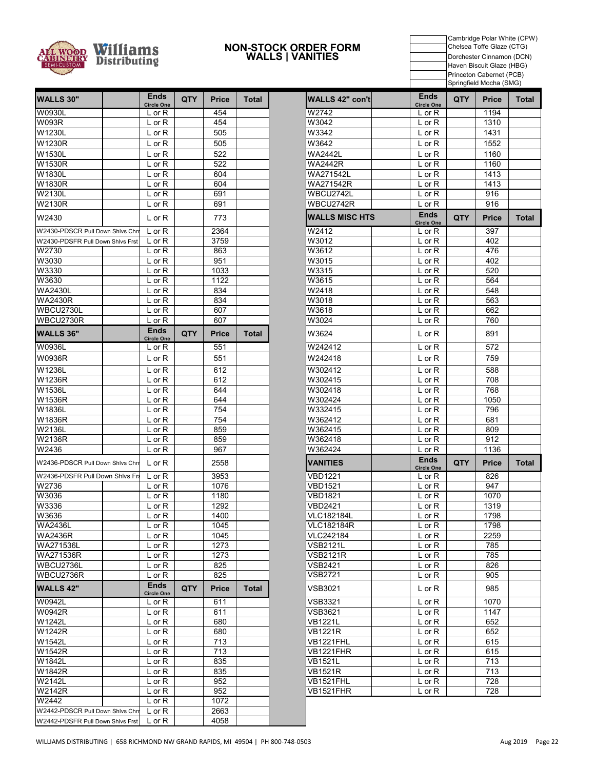

#### **NON-STOCK ORDER FORM WALLS | VANITIES**

Cambridge Polar White (CPW) Chelsea Toffe Glaze (CTG) Dorchester Cinnamon (DCN) Haven Biscuit Glaze (HBG) Princeton Cabernet (PCB) Springfield Mocha (SMG)

| <b>WALLS 30"</b>                 | Ends<br><b>Circle One</b>        | QTY        | Price        | <b>Total</b> | WALLS 42" con't       | <b>Ends</b><br><b>Circle One</b> | <b>QTY</b> | <b>Price</b> | To |
|----------------------------------|----------------------------------|------------|--------------|--------------|-----------------------|----------------------------------|------------|--------------|----|
| W0930L                           | $L$ or $R$                       |            | 454          |              | W2742                 | $L$ or $R$                       |            | 1194         |    |
| <b>W093R</b>                     | L or R                           |            | 454          |              | W3042                 | L or R                           |            | 1310         |    |
| W1230L                           | $L$ or $R$                       |            | 505          |              | W3342                 | $L$ or $R$                       |            | 1431         |    |
| W1230R                           | L or R                           |            | 505          |              | W3642                 | $L$ or $R$                       |            | 1552         |    |
| W1530L                           | L or R                           |            | 522          |              | <b>WA2442L</b>        | L or R                           |            | 1160         |    |
| W1530R                           | L or R                           |            | 522          |              | <b>WA2442R</b>        | $L$ or $R$                       |            | 1160         |    |
| W1830L                           | $L$ or $R$                       |            | 604          |              | WA271542L             | $L$ or $R$                       |            | 1413         |    |
| W1830R                           | L or R                           |            | 604          |              | WA271542R             | $L$ or $R$                       |            | 1413         |    |
| W2130L                           | $L$ or $R$                       |            | 691          |              | WBCU2742L             | L or R                           |            | 916          |    |
| <b>W2130R</b>                    | L or R                           |            | 691          |              | WBCU2742R             | L or R                           |            | 916          |    |
| W2430                            | $L$ or $R$                       |            | 773          |              | <b>WALLS MISC HTS</b> | <b>Ends</b><br><b>Circle One</b> | QTY        | <b>Price</b> | To |
| W2430-PDSCR Pull Down Shlvs Chrr | $L$ or $R$                       |            | 2364         |              | W2412                 | $L$ or $R$                       |            | 397          |    |
| W2430-PDSFR Pull Down Shivs Frst | $L$ or $R$                       |            | 3759         |              | W3012                 | L or R                           |            | 402          |    |
| W2730                            | $L$ or $R$                       |            | 863          |              | W3612                 | L or R                           |            | 476          |    |
| W3030                            | $L$ or $R$                       |            | 951          |              | W3015                 | $L$ or $R$                       |            | 402          |    |
| W3330                            | L or R                           |            | 1033         |              | W3315                 | L or R                           |            | 520          |    |
| W3630                            | $L$ or $R$                       |            | 1122         |              | W3615                 | $L$ or $R$                       |            | 564          |    |
| <b>WA2430L</b>                   | $L$ or $R$                       |            | 834          |              | W2418                 | $L$ or $R$                       |            | 548          |    |
| <b>WA2430R</b>                   | $L$ or $R$                       |            | 834          |              | W3018                 | $L$ or $R$                       |            | 563          |    |
| WBCU2730L                        | $L$ or $R$                       |            | 607          |              | W3618                 | L or R                           |            | 662          |    |
| WBCU2730R                        | $L$ or $R$                       |            | 607          |              | W3024                 | L or R                           |            | 760          |    |
| <b>WALLS 36"</b>                 | <b>Ends</b><br><b>Circle One</b> | <b>QTY</b> | <b>Price</b> | <b>Total</b> | W3624                 | $L$ or $R$                       |            | 891          |    |
| <b>W0936L</b>                    | L or R                           |            | 551          |              | W242412               | L or R                           |            | 572          |    |
| W0936R                           | $L$ or $R$                       |            | 551          |              | W242418               | $L$ or $R$                       |            | 759          |    |
| W1236L                           | L or R                           |            | 612          |              | W302412               | L or R                           |            | 588          |    |
| W1236R                           | L or R                           |            | 612          |              | W302415               | $L$ or $R$                       |            | 708          |    |
| W1536L                           | $L$ or $R$                       |            | 644          |              | W302418               | $L$ or $R$                       |            | 768          |    |
| W1536R                           | $L$ or $R$                       |            | 644          |              | W302424               | $L$ or $R$                       |            | 1050         |    |
| W1836L                           | L or R                           |            | 754          |              | W332415               | L or R                           |            | 796          |    |
| W1836R                           | $L$ or $R$                       |            | 754          |              | W362412               | $L$ or $R$                       |            | 681          |    |
| W2136L                           | L or R                           |            | 859          |              | W362415               | $L$ or $R$                       |            | 809          |    |
| W2136R                           | $L$ or $R$                       |            | 859          |              | W362418               | L or R                           |            | 912          |    |
| W2436                            | L or R                           |            | 967          |              | W362424               | L or R                           |            | 1136         |    |
| W2436-PDSCR Pull Down Shivs Chrr | L or R                           |            | 2558         |              | <b>VANITIES</b>       | <b>Ends</b><br><b>Circle One</b> | <b>QTY</b> | <b>Price</b> | To |
| W2436-PDSFR Pull Down Shivs Frs  | $L$ or $R$                       |            | 3953         |              | <b>VBD1221</b>        | L or R                           |            | 826          |    |
| W2736                            | $L$ or $R$                       |            | 1076         |              | <b>VBD1521</b>        | L or R                           |            | 947          |    |
| W3036                            | $L$ or $R$                       |            | 1180         |              | <b>VBD1821</b>        | $L$ or $R$                       |            | 1070         |    |
| W3336                            | L or R                           |            | 1292         |              | <b>VBD2421</b>        | L or R                           |            | 1319         |    |
| W3636                            | L or R                           |            | 1400         |              | <b>VLC182184L</b>     | L or R                           |            | 1798         |    |
| <b>WA2436L</b>                   | L or R                           |            | 1045         |              | <b>VLC182184R</b>     | L or R                           |            | 1798         |    |
| <b>WA2436R</b>                   | L or R                           |            | 1045         |              | VLC242184             | L or R                           |            | 2259         |    |
| WA271536L                        | L or R                           |            | 1273         |              | VSB2121L              | $L$ or $R$                       |            | 785          |    |
| WA271536R                        | L or R                           |            | 1273         |              | <b>VSB2121R</b>       | L or R                           |            | 785          |    |
| WBCU2736L                        | L or R                           |            | 825          |              | VSB2421               | L or R                           |            | 826          |    |
| WBCU2736R                        | $L$ or $R$                       |            | 825          |              | <b>VSB2721</b>        | $L$ or $R$                       |            | 905          |    |
| <b>WALLS 42"</b>                 | <b>Ends</b><br><b>Circle One</b> | <b>QTY</b> | <b>Price</b> | <b>Total</b> | <b>VSB3021</b>        | L or R                           |            | 985          |    |
| W0942L                           | $L$ or $R$                       |            | 611          |              | <b>VSB3321</b>        | L or R                           |            | 1070         |    |
| W0942R                           | $L$ or $R$                       |            | 611          |              | <b>VSB3621</b>        | L or R                           |            | 1147         |    |
| W1242L                           | L or R                           |            | 680          |              | <b>VB1221L</b>        | $L$ or $R$                       |            | 652          |    |
| W1242R                           | L or R                           |            | 680          |              | <b>VB1221R</b>        | L or R                           |            | 652          |    |
| W1542L                           | $L$ or $R$                       |            | 713          |              | VB1221FHL             | L or R                           |            | 615          |    |
| W1542R                           | L or R                           |            | 713          |              | <b>VB1221FHR</b>      | $L$ or $R$                       |            | 615          |    |
| W1842L                           | L or R                           |            | 835          |              | <b>VB1521L</b>        | L or R                           |            | 713          |    |
| W1842R                           | L or R                           |            | 835          |              | <b>VB1521R</b>        | L or R                           |            | 713          |    |
| W2142L                           | $L$ or $R$                       |            | 952          |              | VB1521FHL             | L or R                           |            | 728          |    |
| <b>W2142R</b>                    | L or R                           |            | 952          |              | VB1521FHR             | L or R                           |            | 728          |    |
| W2442                            | $L$ or $R$                       |            | 1072         |              |                       |                                  |            |              |    |
| W2442-PDSCR Pull Down Shivs Chri | L or R                           |            | 2663         |              |                       |                                  |            |              |    |
| W2442-PDSFR Pull Down Shivs Frst | $L$ or $R$                       |            | 4058         |              |                       |                                  |            |              |    |

| <b>Ends</b>                      |            |              |              |                               | <b>Ends</b>                      |            |              |              |
|----------------------------------|------------|--------------|--------------|-------------------------------|----------------------------------|------------|--------------|--------------|
| <b>Circle One</b>                | <b>QTY</b> | <b>Price</b> | Total        | <b>WALLS 42" con'tl</b>       | <b>Circle One</b>                | <b>QTY</b> | <b>Price</b> | Total        |
| $L$ or $R$                       |            | 454          |              | W2742                         | L or R                           |            | 1194         |              |
| L or R                           |            | 454          |              | W3042                         | L or R                           |            | 1310         |              |
| $L$ or $R$                       |            | 505          |              | W3342                         | L or R                           |            | 1431         |              |
| $L$ or $R$                       |            | 505          |              | W3642                         | $L$ or $R$                       |            | 1552         |              |
| $L$ or $R$                       |            | 522          |              | WA2442L                       | L or R                           |            | 1160         |              |
| $L$ or $R$                       |            | 522          |              | <b>WA2442R</b>                | L or R                           |            | 1160         |              |
| $L$ or $R$                       |            | 604          |              | WA271542L                     | L or R                           |            | 1413         |              |
| $L$ or $R$                       |            | 604          |              | WA271542R                     | L or R                           |            | 1413         |              |
| $L$ or $R$                       |            | 691          |              | WBCU2742L                     | L or R                           |            | 916          |              |
| $L$ or R                         |            | 691          |              | WBCU2742R                     | L or R                           |            | 916          |              |
| $L$ or $R$                       |            | 773          |              | <b>WALLS MISC HTS</b>         | <b>Ends</b><br><b>Circle One</b> | QTY.       | Price        | Total        |
| $L$ or $R$                       |            | 2364         |              | W2412                         | L or R                           |            | 397          |              |
| $L$ or $R$                       |            | 3759         |              | W3012                         | L or R                           |            | 402          |              |
| $L$ or $R$                       |            | 863          |              | W3612                         | L or R                           |            | 476          |              |
| $L$ or $R$                       |            | 951          |              | W3015                         | L or R                           |            | 402          |              |
| $L$ or $R$                       |            | 1033         |              | W3315                         | L or R                           |            | 520          |              |
| $L$ or $R$                       |            | 1122         |              | W3615                         | L or R                           |            | 564          |              |
| $L$ or $R$                       |            | 834          |              | W2418                         | L or R                           |            | 548          |              |
| $L$ or R                         |            | 834          |              | W3018                         | L or R                           |            | 563          |              |
| $L$ or $R$                       |            | 607          |              | W3618                         | L or R                           |            | 662          |              |
| $L$ or $R$                       |            | 607          |              | W3024                         | L or R                           |            | 760          |              |
| <b>Ends</b><br><b>Circle One</b> | <b>QTY</b> | <b>Price</b> | <b>Total</b> | W3624                         | L or R                           |            | 891          |              |
| $L$ or $R$                       |            | 551          |              | W242412                       | L or R                           |            | 572          |              |
| $L$ or $R$                       |            | 551          |              | W242418                       | $L$ or $R$                       |            | 759          |              |
| $L$ or $R$                       |            | 612          |              | W302412                       | $L$ or $R$                       |            | 588          |              |
| $L$ or $R$                       |            | 612          |              | W302415                       | L or R                           |            | 708          |              |
| $L$ or $R$                       |            | 644          |              | W302418                       | L or R                           |            | 768          |              |
| $L$ or $R$                       |            | 644          |              | W302424                       | $L$ or $R$                       |            | 1050         |              |
| $L$ or $R$                       |            | 754          |              | W332415                       | L or R                           |            | 796          |              |
| $L$ or $R$                       |            | 754          |              | W362412                       | L or R                           |            | 681          |              |
| $L$ or $R$                       |            | 859          |              | W362415                       | L or R                           |            | 809          |              |
| $L$ or $R$                       |            | 859          |              | W362418                       | L or R                           |            | 912          |              |
| $L$ or $R$                       |            | 967          |              | W362424                       | L or R                           |            | 1136         |              |
| $L$ or $R$                       |            | 2558         |              | <b>VANITIES</b>               | <b>Ends</b><br><b>Circle One</b> | <b>QTY</b> | Price        | <b>Total</b> |
| $L$ or $R$                       |            | 3953         |              | VBD1221                       | $L$ or $R$                       |            | 826          |              |
| $L$ or $R$                       |            | 1076         |              | VBD1521                       | L or R                           |            | 947          |              |
| $L$ or $R$                       |            | 1180         |              | <b>VBD1821</b>                | L or R                           |            | 1070         |              |
| L or R                           |            | 1292         |              | VBD2421                       | $L$ or $R$                       |            | 1319         |              |
| $L$ or $R$                       |            | 1400         |              | VLC182184L                    | $L$ or $R$                       |            | 1798         |              |
| L or R                           |            | 1045         |              | <b>VLC182184R</b>             | L or R                           |            | 1798         |              |
| L or R                           |            | 1045         |              | VLC242184                     | L or R                           |            | 2259         |              |
| L or R                           |            | 1273         |              | VSB2121L                      | $L$ or $R$                       |            | 785          |              |
| $\overline{L}$ or R              |            | 1273         |              | <b>VSB2121R</b>               | $L$ or $R$                       |            | 785          |              |
| L or R<br>L or R                 |            | 825<br>825   |              | VSB2421<br>VSB2721            | L or R<br>L or R                 |            | 826<br>905   |              |
| <b>Ends</b>                      |            |              |              |                               |                                  |            |              |              |
| <b>Circle One</b>                | <b>QTY</b> | <b>Price</b> | Total        | VSB3021                       | $L$ or R                         |            | 985          |              |
| L or R                           |            | 611          |              | VSB3321                       | $L$ or $R$                       |            | 1070         |              |
| L or R                           |            | 611          |              | VSB3621                       | L or R                           |            | 1147         |              |
| L or R                           |            | 680          |              | <b>VB1221L</b>                | $L$ or $R$                       |            | 652          |              |
| $L$ or $R$                       |            | 680          |              | <b>VB1221R</b>                | L or R                           |            | 652          |              |
| L or R                           |            | 713          |              | VB1221FHL                     | $L$ or $R$                       |            | 615          |              |
| L or R                           |            | 713          |              | VB1221FHR                     | $L$ or $R$                       |            | 615          |              |
| L or R                           |            | 835          |              | VB1521L                       | L or R                           |            | 713          |              |
| $\overline{L}$ or R              |            | 835          |              | <b>VB1521R</b>                | $L$ or $R$                       |            | 713          |              |
| L or R                           |            | 952          |              | VB1521FHL<br><b>VB1521FHR</b> | $L$ or $R$                       |            | 728          |              |
| $L$ or $R$                       |            | 952<br>1072  |              |                               | $L$ or $R$                       |            | 728          |              |
| $L$ or R                         |            |              |              |                               |                                  |            |              |              |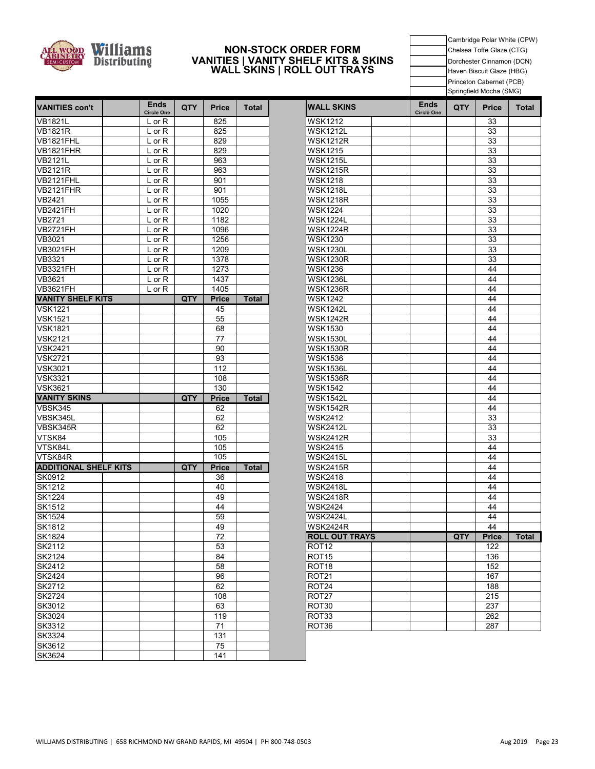

#### **VANITIES | VANITY SHELF KITS & SKINS NON-STOCK ORDER FORM WALL SKINS | ROLL OUT TRAYS**

Cambridge Polar White (CPW) Chelsea Toffe Glaze (CTG) Dorchester Cinnamon (DCN) Haven Biscuit Glaze (HBG) Princeton Cabernet (PCB) Springfield Mocha (SMG)

| <b>VANITIES con't</b>        | <b>Ends</b><br><b>Circle One</b> | <b>QTY</b> | <b>Price</b> | <b>Total</b> | <b>WALL SKINS</b>     | <b>Ends</b><br><b>Circle One</b> | <b>QTY</b> | <b>Price</b> | Tota |
|------------------------------|----------------------------------|------------|--------------|--------------|-----------------------|----------------------------------|------------|--------------|------|
| <b>VB1821L</b>               | L or R                           |            | 825          |              | <b>WSK1212</b>        |                                  |            | 33           |      |
| <b>VB1821R</b>               | L or R                           |            | 825          |              | <b>WSK1212L</b>       |                                  |            | 33           |      |
| VB1821FHL                    | $L$ or $R$                       |            | 829          |              | <b>WSK1212R</b>       |                                  |            | 33           |      |
| VB1821FHR                    | L or R                           |            | 829          |              | <b>WSK1215</b>        |                                  |            | 33           |      |
| <b>VB2121L</b>               | L or R                           |            | 963          |              | <b>WSK1215L</b>       |                                  |            | 33           |      |
| <b>VB2121R</b>               | $L$ or $R$                       |            | 963          |              | <b>WSK1215R</b>       |                                  |            | 33           |      |
| VB2121FHL                    | L or R                           |            | 901          |              | <b>WSK1218</b>        |                                  |            | 33           |      |
| VB2121FHR                    | $L$ or $R$                       |            | 901          |              | <b>WSK1218L</b>       |                                  |            | 33           |      |
| VB2421                       | L or R                           |            | 1055         |              | <b>WSK1218R</b>       |                                  |            | 33           |      |
| <b>VB2421FH</b>              | L or R                           |            | 1020         |              | <b>WSK1224</b>        |                                  |            | 33           |      |
| VB2721                       | L or R                           |            | 1182         |              | <b>WSK1224L</b>       |                                  |            | 33           |      |
| <b>VB2721FH</b>              | L or R                           |            | 1096         |              | <b>WSK1224R</b>       |                                  |            | 33           |      |
| VB3021                       | $L$ or $R$                       |            | 1256         |              | <b>WSK1230</b>        |                                  |            | 33           |      |
| <b>VB3021FH</b>              | L or R                           |            | 1209         |              | <b>WSK1230L</b>       |                                  |            | 33           |      |
| VB3321                       | L or R                           |            | 1378         |              | <b>WSK1230R</b>       |                                  |            | 33           |      |
| <b>VB3321FH</b>              | $L$ or $R$                       |            | 1273         |              | <b>WSK1236</b>        |                                  |            | 44           |      |
| VB3621                       | $L$ or $R$                       |            | 1437         |              | <b>WSK1236L</b>       |                                  |            | 44           |      |
| <b>VB3621FH</b>              | L or R                           |            | 1405         |              | <b>WSK1236R</b>       |                                  |            | 44           |      |
| <b>VANITY SHELF KITS</b>     |                                  | QTY        | <b>Price</b> | <b>Total</b> | <b>WSK1242</b>        |                                  |            | 44           |      |
| <b>VSK1221</b>               |                                  |            | 45           |              | <b>WSK1242L</b>       |                                  |            | 44           |      |
| <b>VSK1521</b>               |                                  |            | 55           |              | <b>WSK1242R</b>       |                                  |            | 44           |      |
| <b>VSK1821</b>               |                                  |            | 68           |              | <b>WSK1530</b>        |                                  |            | 44           |      |
| <b>VSK2121</b>               |                                  |            | 77           |              | <b>WSK1530L</b>       |                                  |            | 44           |      |
| <b>VSK2421</b>               |                                  |            | 90           |              | <b>WSK1530R</b>       |                                  |            | 44           |      |
| <b>VSK2721</b>               |                                  |            | 93           |              | <b>WSK1536</b>        |                                  |            | 44           |      |
| <b>VSK3021</b>               |                                  |            | 112          |              | <b>WSK1536L</b>       |                                  |            | 44           |      |
| <b>VSK3321</b>               |                                  |            | 108          |              | <b>WSK1536R</b>       |                                  |            | 44           |      |
| <b>VSK3621</b>               |                                  |            | 130          |              | <b>WSK1542</b>        |                                  |            | 44           |      |
| <b>VANITY SKINS</b>          |                                  | QTY        | <b>Price</b> | <b>Total</b> | <b>WSK1542L</b>       |                                  |            | 44           |      |
| VBSK345                      |                                  |            | 62           |              | <b>WSK1542R</b>       |                                  |            | 44           |      |
| VBSK345L                     |                                  |            | 62           |              | <b>WSK2412</b>        |                                  |            | 33           |      |
| VBSK345R                     |                                  |            | 62           |              | <b>WSK2412L</b>       |                                  |            | 33           |      |
| VTSK84                       |                                  |            | 105          |              | <b>WSK2412R</b>       |                                  |            | 33           |      |
| VTSK84L                      |                                  |            | 105          |              | <b>WSK2415</b>        |                                  |            | 44           |      |
| VTSK84R                      |                                  |            | 105          |              | <b>WSK2415L</b>       |                                  |            | 44           |      |
| <b>ADDITIONAL SHELF KITS</b> |                                  | <b>QTY</b> | <b>Price</b> | <b>Total</b> | <b>WSK2415R</b>       |                                  |            | 44           |      |
| SK0912                       |                                  |            | 36           |              | <b>WSK2418</b>        |                                  |            | 44           |      |
| <b>SK1212</b>                |                                  |            | 40           |              | <b>WSK2418L</b>       |                                  |            | 44           |      |
| <b>SK1224</b>                |                                  |            | 49           |              | <b>WSK2418R</b>       |                                  |            | 44           |      |
| SK1512                       |                                  |            | 44           |              | <b>WSK2424</b>        |                                  |            | 44           |      |
| <b>SK1524</b>                |                                  |            | 59           |              | <b>WSK2424L</b>       |                                  |            | 44           |      |
| SK1812                       |                                  |            | 49           |              | <b>WSK2424R</b>       |                                  |            | 44           |      |
| SK1824                       |                                  |            | 72           |              | <b>ROLL OUT TRAYS</b> |                                  | QTY        | <b>Price</b> | Tota |
| SK2112                       |                                  |            | 53           |              | ROT <sub>12</sub>     |                                  |            | 122          |      |
| SK2124                       |                                  |            | 84           |              | ROT <sub>15</sub>     |                                  |            | 136          |      |
| SK2412                       |                                  |            | 58           |              | ROT <sub>18</sub>     |                                  |            | 152          |      |
| SK2424                       |                                  |            | 96           |              | ROT <sub>21</sub>     |                                  |            | 167          |      |
| <b>SK2712</b>                |                                  |            | 62           |              | ROT24                 |                                  |            | 188          |      |
| <b>SK2724</b>                |                                  |            | 108          |              | ROT <sub>27</sub>     |                                  |            | 215          |      |
| SK3012                       |                                  |            | 63           |              | ROT30                 |                                  |            | 237          |      |
| SK3024                       |                                  |            | 119          |              | ROT33                 |                                  |            | 262          |      |
| SK3312                       |                                  |            | 71           |              | ROT36                 |                                  |            | 287          |      |
| SK3324                       |                                  |            | 131          |              |                       |                                  |            |              |      |
| SK3612                       |                                  |            | 75           |              |                       |                                  |            |              |      |
| SK3624                       |                                  |            | 141          |              |                       |                                  |            |              |      |

| <b>Ends</b><br><b>Circle One</b> | <b>QTY</b> | <b>Price</b> | <b>Total</b> | <b>WALL SKINS</b>     | <b>Ends</b><br><b>Circle One</b> | <b>QTY</b> | <b>Price</b> | <b>Total</b> |
|----------------------------------|------------|--------------|--------------|-----------------------|----------------------------------|------------|--------------|--------------|
| $L$ or $R$                       |            | 825          |              | <b>WSK1212</b>        |                                  |            | 33           |              |
| $L$ or $R$                       |            | 825          |              | <b>WSK1212L</b>       |                                  |            | 33           |              |
| L or R                           |            | 829          |              | <b>WSK1212R</b>       |                                  |            | 33           |              |
| L or R                           |            | 829          |              | <b>WSK1215</b>        |                                  |            | 33           |              |
| L or R                           |            | 963          |              | <b>WSK1215L</b>       |                                  |            | 33           |              |
| $L$ or $R$                       |            | 963          |              | <b>WSK1215R</b>       |                                  |            | 33           |              |
| $L$ or $R$                       |            | 901          |              | <b>WSK1218</b>        |                                  |            | 33           |              |
| L or R                           |            | 901          |              | <b>WSK1218L</b>       |                                  |            | 33           |              |
| $L$ or $R$                       |            | 1055         |              | <b>WSK1218R</b>       |                                  |            | 33           |              |
| $L$ or $R$                       |            | 1020         |              | <b>WSK1224</b>        |                                  |            | 33           |              |
| L or R                           |            | 1182         |              | <b>WSK1224L</b>       |                                  |            | 33           |              |
| L or R                           |            | 1096         |              | <b>WSK1224R</b>       |                                  |            | 33           |              |
| L or R                           |            | 1256         |              | <b>WSK1230</b>        |                                  |            | 33           |              |
| L or R                           |            | 1209         |              | <b>WSK1230L</b>       |                                  |            | 33           |              |
| $L$ or $R$                       |            | 1378         |              | <b>WSK1230R</b>       |                                  |            | 33           |              |
| $L$ or $R$                       |            | 1273         |              | <b>WSK1236</b>        |                                  |            | 44           |              |
| L or R                           |            | 1437         |              | <b>WSK1236L</b>       |                                  |            | 44           |              |
| L or R                           |            | 1405         |              | <b>WSK1236R</b>       |                                  |            | 44           |              |
|                                  | QTY        | Price        | <b>Total</b> | <b>WSK1242</b>        |                                  |            | 44           |              |
|                                  |            | 45           |              | WSK1242L              |                                  |            | 44           |              |
|                                  |            | 55           |              | <b>WSK1242R</b>       |                                  |            | 44           |              |
|                                  |            | 68           |              | <b>WSK1530</b>        |                                  |            | 44           |              |
|                                  |            | 77           |              | <b>WSK1530L</b>       |                                  |            | 44           |              |
|                                  |            | 90           |              | <b>WSK1530R</b>       |                                  |            | 44           |              |
|                                  |            | 93           |              | <b>WSK1536</b>        |                                  |            | 44           |              |
|                                  |            | 112          |              | <b>WSK1536L</b>       |                                  |            | 44           |              |
|                                  |            | 108          |              | <b>WSK1536R</b>       |                                  |            | 44           |              |
|                                  |            | 130          |              | <b>WSK1542</b>        |                                  |            | 44           |              |
|                                  | QTY        | Price        | <b>Total</b> | <b>WSK1542L</b>       |                                  |            | 44           |              |
|                                  |            | 62           |              | <b>WSK1542R</b>       |                                  |            | 44           |              |
|                                  |            | 62           |              | <b>WSK2412</b>        |                                  |            | 33           |              |
|                                  |            | 62           |              | <b>WSK2412L</b>       |                                  |            | 33           |              |
|                                  |            | 105          |              | <b>WSK2412R</b>       |                                  |            | 33           |              |
|                                  |            |              |              |                       |                                  |            |              |              |
|                                  |            | 105<br>105   |              | <b>WSK2415</b>        |                                  |            | 44           |              |
|                                  |            |              |              | <b>WSK2415L</b>       |                                  |            | 44           |              |
|                                  | QTY        | <b>Price</b> | <b>Total</b> | WSK2415R              |                                  |            | 44           |              |
|                                  |            | 36           |              | <b>WSK2418</b>        |                                  |            | 44           |              |
|                                  |            | 40           |              | <b>WSK2418L</b>       |                                  |            | 44           |              |
|                                  |            | 49           |              | <b>WSK2418R</b>       |                                  |            | 44           |              |
|                                  |            | 44           |              | <b>WSK2424</b>        |                                  |            | 44           |              |
|                                  |            | 59           |              | <b>WSK2424L</b>       |                                  |            | 44           |              |
|                                  |            | 49           |              | <b>WSK2424R</b>       |                                  |            | 44           |              |
|                                  |            | 72           |              | <b>ROLL OUT TRAYS</b> |                                  | QTY        | Price        | Total        |
|                                  |            | 53           |              | ROT <sub>12</sub>     |                                  |            | 122          |              |
|                                  |            | 84           |              | ROT <sub>15</sub>     |                                  |            | 136          |              |
|                                  |            | 58           |              | ROT <sub>18</sub>     |                                  |            | 152          |              |
|                                  |            | 96           |              | ROT <sub>21</sub>     |                                  |            | 167          |              |
|                                  |            | 62           |              | ROT24                 |                                  |            | 188          |              |
|                                  |            | 108          |              | ROT27                 |                                  |            | 215          |              |
|                                  |            | 63           |              | ROT30                 |                                  |            | 237          |              |
|                                  |            | 119          |              | ROT33                 |                                  |            | 262          |              |
|                                  |            | 71           |              | ROT36                 |                                  |            | 287          |              |
|                                  |            | 131          |              |                       |                                  |            |              |              |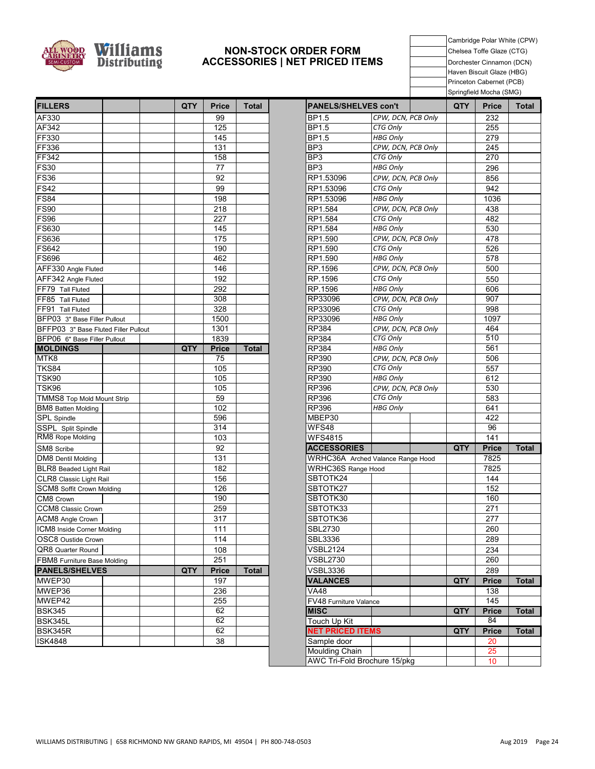

#### **NON-STOCK ORDER FORM ACCESSORIES | NET PRICED ITEMS**

Cambridge Polar White (CPW) Chelsea Toffe Glaze (CTG) Dorchester Cinnamon (DCN) Haven Biscuit Glaze (HBG) Princeton Cabernet (PCB) Springfield Mocha (SMG)

| <b>FILLERS</b>                                           |  | <b>QTY</b> | <b>Price</b>    | <b>Total</b> | <b>PANELS/SHELVES con't</b> |                                   | QTY | Price                | Tota        |
|----------------------------------------------------------|--|------------|-----------------|--------------|-----------------------------|-----------------------------------|-----|----------------------|-------------|
| AF330                                                    |  |            | 99              |              | <b>BP1.5</b>                | CPW, DCN, PCB Only                |     | 232                  |             |
| AF342                                                    |  |            | 125             |              | BP1.5                       | CTG Only                          |     | 255                  |             |
| <b>FF330</b>                                             |  |            | 145             |              | BP1.5                       | <b>HBG Only</b>                   |     | 279                  |             |
| FF336                                                    |  |            | 131             |              | BP3                         | CPW, DCN, PCB Only                |     | 245                  |             |
| <b>FF342</b>                                             |  |            | 158             |              | BP <sub>3</sub>             | CTG Only                          |     | 270                  |             |
| <b>FS30</b>                                              |  |            | 77              |              | BP3                         | <b>HBG Only</b>                   |     | 296                  |             |
| <b>FS36</b>                                              |  |            | 92              |              | RP1.53096                   | CPW, DCN, PCB Only                |     | 856                  |             |
| <b>FS42</b>                                              |  |            | 99              |              | RP1.53096                   | CTG Only                          |     | 942                  |             |
| <b>FS84</b>                                              |  |            | 198             |              | RP1.53096                   | <b>HBG Only</b>                   |     | 1036                 |             |
| <b>FS90</b>                                              |  |            | 218             |              | RP1.584                     | CPW, DCN, PCB Only                |     | 438                  |             |
| <b>FS96</b>                                              |  |            | 227             |              | RP1.584                     | CTG Only                          |     | 482                  |             |
| FS630                                                    |  |            | 145             |              | RP1.584                     | <b>HBG Only</b>                   |     | 530                  |             |
| <b>FS636</b>                                             |  |            | 175             |              | RP1.590                     | CPW, DCN, PCB Only                |     | 478                  |             |
| FS642                                                    |  |            | 190             |              | RP1.590                     | CTG Only                          |     | 526                  |             |
| <b>FS696</b>                                             |  |            | 462             |              | RP1.590                     | <b>HBG Only</b>                   |     | 578                  |             |
| AFF330 Angle Fluted                                      |  |            | 146             |              | RP.1596                     | CPW, DCN, PCB Only                |     | 500                  |             |
| AFF342 Angle Fluted                                      |  |            | 192             |              | RP.1596                     | CTG Only                          |     | 550                  |             |
| FF79 Tall Fluted                                         |  |            | 292             |              | RP.1596                     | <b>HBG Only</b>                   |     | 606                  |             |
| FF85 Tall Fluted                                         |  |            | 308             |              | RP33096                     | CPW, DCN, PCB Only                |     | 907                  |             |
| FF91 Tall Fluted                                         |  |            | 328             |              | RP33096                     | CTG Only                          |     | 998                  |             |
| BFP03 3" Base Filler Pullout                             |  |            | 1500            |              | RP33096                     | <b>HBG Only</b>                   |     | 1097                 |             |
| BFFP03 3" Base Fluted Filler Pullout                     |  |            | 1301            |              | <b>RP384</b>                | CPW, DCN, PCB Only                |     | 464                  |             |
| BFP06 6" Base Filler Pullout                             |  |            | 1839            |              | RP384                       | CTG Only                          |     | 510                  |             |
| <b>MOLDINGS</b>                                          |  | QTY        | <b>Price</b>    | <b>Total</b> | RP384                       | <b>HBG Only</b>                   |     | 561                  |             |
| MTK8                                                     |  |            | 75              |              | RP390                       | CPW, DCN, PCB Only                |     | 506                  |             |
| <b>TKS84</b>                                             |  |            | 105             |              | RP390                       | CTG Only                          |     | 557                  |             |
| <b>TSK90</b>                                             |  |            | 105             |              | RP390                       | <b>HBG Only</b>                   |     | 612                  |             |
| TSK96                                                    |  |            | 105             |              | RP396                       | CPW, DCN, PCB Only                |     | 530                  |             |
| <b>TMMS8 Top Mold Mount Strip</b>                        |  |            | 59              |              | RP396                       | CTG Only                          |     | 583                  |             |
| <b>BM8</b> Batten Molding                                |  |            | 102             |              | RP396                       | <b>HBG Only</b>                   |     | 641                  |             |
| SPL Spindle                                              |  |            | 596             |              | MBEP30                      |                                   |     | 422                  |             |
| SSPL Split Spindle<br>RM8 Rope Molding                   |  |            | 314<br>103      |              | WFS48                       |                                   |     | 96<br>141            |             |
|                                                          |  |            |                 |              | <b>WFS4815</b>              |                                   |     |                      |             |
| SM8 Scribe                                               |  |            | 92<br>131       |              | <b>ACCESSORIES</b>          |                                   | QTY | <b>Price</b><br>7825 | Total       |
| DM8 Dentil Molding                                       |  |            | 182             |              | WRHC36S Range Hood          | WRHC36A Arched Valance Range Hood |     | 7825                 |             |
| <b>BLR8</b> Beaded Light Rail<br>CLR8 Classic Light Rail |  |            | 156             |              | SBTOTK24                    |                                   |     | 144                  |             |
| SCM8 Soffit Crown Molding                                |  |            | 126             |              | SBTOTK27                    |                                   |     | 152                  |             |
| CM8 Crown                                                |  |            | 190             |              | SBTOTK30                    |                                   |     | 160                  |             |
| CCM8 Classic Crown                                       |  |            | 259             |              | SBTOTK33                    |                                   |     | 271                  |             |
| ACM8 Angle Crown                                         |  |            | 317             |              | SBTOTK36                    |                                   |     | 277                  |             |
| ICM8 Inside Corner Molding                               |  |            | 111             |              | <b>SBL2730</b>              |                                   |     | 260                  |             |
| OSC8 Oustide Crown                                       |  |            | $\frac{1}{114}$ |              | <b>SBL3336</b>              |                                   |     | 289                  |             |
| QR8 Quarter Round                                        |  |            |                 |              | <b>VSBL2124</b>             |                                   |     |                      |             |
|                                                          |  |            | 108<br>251      |              | <b>VSBL2730</b>             |                                   |     | 234<br>260           |             |
| FBM8 Furniture Base Molding<br><b>PANELS/SHELVES</b>     |  | QTY        | <b>Price</b>    | <b>Total</b> | <b>VSBL3336</b>             |                                   |     | 289                  |             |
| MWEP30                                                   |  |            | 197             |              | <b>VALANCES</b>             |                                   | QTY | <b>Price</b>         | Total       |
| MWEP36                                                   |  |            | 236             |              | V <sub>A48</sub>            |                                   |     | 138                  |             |
| MWEP42                                                   |  |            | 255             |              | FV48 Furniture Valance      |                                   |     | 145                  |             |
| <b>BSK345</b>                                            |  |            | 62              |              | <b>MISC</b>                 |                                   | QTY | <b>Price</b>         | <b>Tota</b> |
| BSK345L                                                  |  |            | 62              |              | Touch Up Kit                |                                   |     | 84                   |             |
| BSK345R                                                  |  |            | 62              |              | <b>NET PRICED ITEMS</b>     |                                   | QTY | <b>Price</b>         | Total       |
| <b>ISK4848</b>                                           |  |            | 38              |              | Sample door                 |                                   |     | 20                   |             |
|                                                          |  |            |                 |              | Moulding Chain              |                                   |     | 25                   |             |

|                                     |                    | -pg        |              | .,           |
|-------------------------------------|--------------------|------------|--------------|--------------|
| <b>PANELS/SHELVES con't</b>         |                    | <b>QTY</b> | <b>Price</b> | <b>Total</b> |
| BP1.5                               | CPW, DCN, PCB Only |            | 232          |              |
| BP1.5                               | <b>CTG Only</b>    |            | 255          |              |
| BP1.5                               | <b>HBG Only</b>    |            | 279          |              |
| BP3                                 | CPW, DCN, PCB Only |            | 245          |              |
| BP <sub>3</sub>                     | CTG Only           |            | 270          |              |
| BP3                                 | <b>HBG Only</b>    |            | 296          |              |
| RP1.53096                           | CPW, DCN, PCB Only |            | 856          |              |
| RP1.53096                           | CTG Only           |            | 942          |              |
| RP1.53096                           | <b>HBG Only</b>    |            | 1036         |              |
| RP1.584                             | CPW, DCN, PCB Only |            | 438          |              |
| RP1.584                             | CTG Only           |            | 482          |              |
| RP1.584                             | <b>HBG Only</b>    |            | 530          |              |
| RP1.590                             | CPW, DCN, PCB Only |            | 478          |              |
| RP1.590                             | CTG Only           |            | 526          |              |
| RP1.590                             | <b>HBG Only</b>    |            | 578          |              |
| RP.1596                             | CPW, DCN, PCB Only |            | 500          |              |
| RP.1596                             | CTG Only           |            | 550          |              |
| RP.1596                             | <b>HBG Only</b>    |            | 606          |              |
| RP33096                             | CPW, DCN, PCB Only |            | 907          |              |
| RP33096                             | CTG Only           |            | 998          |              |
| RP33096                             | <b>HBG Only</b>    |            | 1097         |              |
| RP384                               | CPW, DCN, PCB Only |            | 464          |              |
| RP384                               | <b>CTG Only</b>    |            | 510          |              |
| RP384                               | <b>HBG Only</b>    |            | 561          |              |
| RP390                               | CPW, DCN, PCB Only |            | 506          |              |
| RP390                               | CTG Only           |            | 557          |              |
| RP390                               | <b>HBG Only</b>    |            | 612          |              |
| RP396                               | CPW, DCN, PCB Only |            | 530          |              |
| RP396                               | CTG Only           |            | 583          |              |
| RP396                               | <b>HBG Only</b>    |            | 641          |              |
| MBEP30                              |                    |            | 422          |              |
| WFS48                               |                    |            | 96           |              |
| WFS4815                             |                    |            | 141          |              |
| <b>ACCESSORIES</b>                  |                    | QTY .      | <b>Price</b> | <b>Total</b> |
| WRHC36A Arched Valance Range Hood   |                    |            | 7825         |              |
| <b>WRHC36S Range Hood</b>           |                    |            | 7825         |              |
| SBTOTK24                            |                    |            | 144          |              |
| SBTOTK27                            |                    |            | 152          |              |
| SBTOTK30                            |                    |            | 160          |              |
| SBTOTK33                            |                    |            | 271          |              |
| SBTOTK36                            |                    |            | 277          |              |
| <b>SBL2730</b>                      |                    |            | 260          |              |
| <b>SBL3336</b>                      |                    |            | 289          |              |
| <b>VSBL2124</b>                     |                    |            | 234          |              |
| VSBL2730                            |                    |            | 260          |              |
| <b>VSBL3336</b>                     |                    |            | 289          |              |
| <b>VALANCES</b>                     |                    | QTY        | <b>Price</b> | <b>Total</b> |
| <b>VA48</b>                         |                    |            | 138          |              |
| FV48 Furniture Valance              |                    |            | 145          |              |
| <b>MISC</b>                         |                    | QTY        | <b>Price</b> | <b>Total</b> |
| Touch Up Kit                        |                    |            | 84           |              |
| <b>NET PRICED ITEMS</b>             |                    | QTY        | <b>Price</b> | <b>Total</b> |
| Sample door                         |                    |            | 20           |              |
| <b>Moulding Chain</b>               |                    |            | 25           |              |
| <b>AWC Tri-Fold Brochure 15/pkg</b> |                    |            | 10           |              |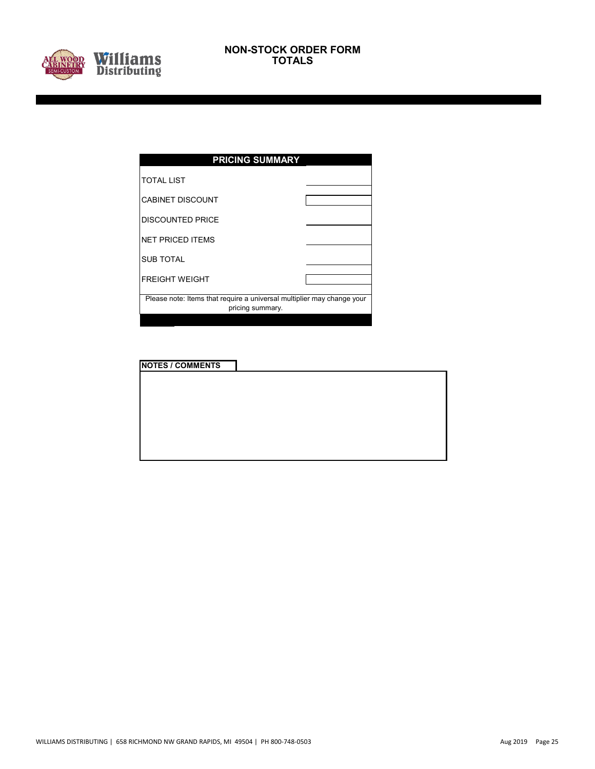

| <b>PRICING SUMMARY</b>                                                                     |  |  |  |  |  |  |  |
|--------------------------------------------------------------------------------------------|--|--|--|--|--|--|--|
| <b>TOTAL LIST</b>                                                                          |  |  |  |  |  |  |  |
| <b>CABINET DISCOUNT</b>                                                                    |  |  |  |  |  |  |  |
| <b>DISCOUNTED PRICE</b>                                                                    |  |  |  |  |  |  |  |
| <b>NET PRICED ITEMS</b>                                                                    |  |  |  |  |  |  |  |
| <b>SUB TOTAL</b>                                                                           |  |  |  |  |  |  |  |
| <b>FREIGHT WEIGHT</b>                                                                      |  |  |  |  |  |  |  |
| Please note: Items that require a universal multiplier may change your<br>pricing summary. |  |  |  |  |  |  |  |
|                                                                                            |  |  |  |  |  |  |  |

**NOTES / COMMENTS**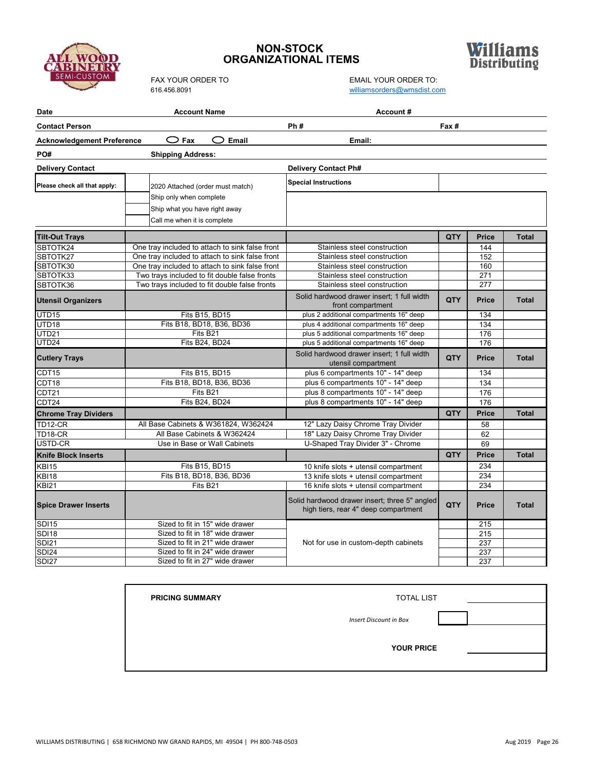

### **NON-STOCK ORGANIZATIONAL ITEMS**

FAX YOUR ORDER TO EMAIL YOUR ORDER TO:



[williamsorders@wmsdist.com](mailto:williamsorders@wmsdist.com)

| <b>Date</b>                       | <b>Account Name</b>                             |                                                                                       |            |              |              |
|-----------------------------------|-------------------------------------------------|---------------------------------------------------------------------------------------|------------|--------------|--------------|
| <b>Contact Person</b>             | Fax #                                           |                                                                                       |            |              |              |
| <b>Acknowledgement Preference</b> |                                                 |                                                                                       |            |              |              |
| PO#                               | <b>Shipping Address:</b>                        |                                                                                       |            |              |              |
| <b>Delivery Contact</b>           |                                                 | <b>Delivery Contact Ph#</b>                                                           |            |              |              |
| Please check all that apply:      | 2020 Attached (order must match)                | <b>Special Instructions</b>                                                           |            |              |              |
|                                   | Ship only when complete                         |                                                                                       |            |              |              |
|                                   | Ship what you have right away                   |                                                                                       |            |              |              |
|                                   | Call me when it is complete                     |                                                                                       |            |              |              |
|                                   |                                                 |                                                                                       |            |              |              |
| <b>Tilt-Out Trays</b>             |                                                 |                                                                                       | <b>QTY</b> | <b>Price</b> | <b>Total</b> |
| SBTOTK24                          | One tray included to attach to sink false front | Stainless steel construction                                                          |            | 144          |              |
| SBTOTK27                          | One trav included to attach to sink false front | Stainless steel construction                                                          |            | 152          |              |
| SBTOTK30                          | One tray included to attach to sink false front | Stainless steel construction                                                          |            | 160          |              |
| SBTOTK33                          | Two trays included to fit double false fronts   | Stainless steel construction                                                          |            | 271          |              |
| SBTOTK36                          | Two trays included to fit double false fronts   | Stainless steel construction                                                          |            | 277          |              |
| <b>Utensil Organizers</b>         |                                                 | Solid hardwood drawer insert: 1 full width<br>front compartment                       | QTY        | <b>Price</b> | <b>Total</b> |
| UTD <sub>15</sub>                 | Fits B15, BD15                                  | plus 2 additional compartments 16" deep                                               |            | 134          |              |
| UTD18                             | Fits B18, BD18, B36, BD36                       | plus 4 additional compartments 16" deep                                               |            | 134          |              |
| UTD21                             | Fits B21                                        | plus 5 additional compartments 16" deep                                               |            | 176          |              |
| UTD24                             | Fits B24, BD24                                  | plus 5 additional compartments 16" deep                                               |            | 176          |              |
| <b>Cutlery Trays</b>              |                                                 | Solid hardwood drawer insert; 1 full width<br>utensil compartment                     | QTY        | Price        | <b>Total</b> |
| CDT15                             | Fits B15, BD15                                  | plus 6 compartments 10" - 14" deep                                                    |            | 134          |              |
| CDT <sub>18</sub>                 | Fits B18, BD18, B36, BD36                       | plus 6 compartments 10" - 14" deep                                                    |            | 134          |              |
| CDT21                             | Fits B21                                        | plus 8 compartments 10" - 14" deep                                                    |            | 176          |              |
| CDT24                             | Fits B24, BD24                                  | plus 8 compartments 10" - 14" deep                                                    |            | 176          |              |
| <b>Chrome Tray Dividers</b>       |                                                 |                                                                                       | QTY        | <b>Price</b> | <b>Total</b> |
| TD12-CR                           | All Base Cabinets & W361824, W362424            | 12" Lazy Daisy Chrome Tray Divider                                                    |            | 58           |              |
| TD18-CR                           | All Base Cabinets & W362424                     | 18" Lazy Daisy Chrome Tray Divider                                                    |            | 62           |              |
| USTD-CR                           | Use in Base or Wall Cabinets                    | U-Shaped Tray Divider 3" - Chrome                                                     |            | 69           |              |
| <b>Knife Block Inserts</b>        |                                                 |                                                                                       | QTY        | <b>Price</b> | <b>Total</b> |
| <b>KBI15</b>                      | Fits B15, BD15                                  | 10 knife slots + utensil compartment                                                  |            | 234          |              |
| KBI18                             | Fits B18, BD18, B36, BD36                       | 13 knife slots + utensil compartment                                                  |            | 234          |              |
| <b>KBI21</b>                      | Fits B21                                        | 16 knife slots + utensil compartment                                                  |            | 234          |              |
| <b>Spice Drawer Inserts</b>       |                                                 | Solid hardwood drawer insert; three 5" angled<br>high tiers, rear 4" deep compartment | QTY        | <b>Price</b> | <b>Total</b> |
| S <sub>D115</sub>                 | Sized to fit in 15" wide drawer                 |                                                                                       |            | 215          |              |
| <b>SDI18</b>                      | Sized to fit in 18" wide drawer                 |                                                                                       |            | 215          |              |
| SDI21                             | Sized to fit in 21" wide drawer                 | Not for use in custom-depth cabinets                                                  |            | 237          |              |
| <b>SDI24</b>                      | Sized to fit in 24" wide drawer                 |                                                                                       |            | 237          |              |
| SDI <sub>27</sub>                 | Sized to fit in 27" wide drawer                 |                                                                                       |            | 237          |              |

| <b>PRICING SUMMARY</b> | <b>TOTAL LIST</b>             |  |
|------------------------|-------------------------------|--|
|                        | <b>Insert Discount in Box</b> |  |
|                        | <b>YOUR PRICE</b>             |  |
|                        |                               |  |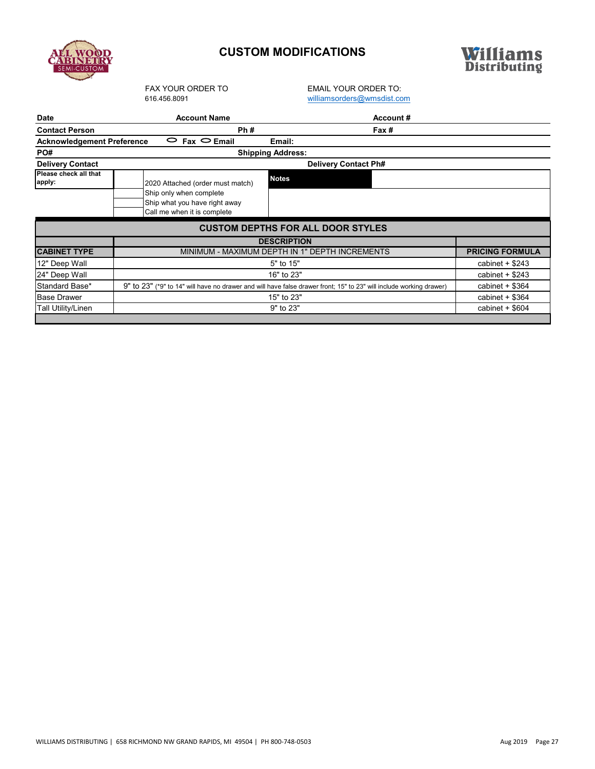

# **CUSTOM MODIFICATIONS**



FAX YOUR ORDER TO<br>
616.456.8091<br>
Williamsorders@wmsdist.co [williamsorders@wmsdist.com](mailto:williamsorders@wmsdist.com)

| <b>Date</b>                                            | <b>Account Name</b>                                                                                                 | Account#                                 |                   |  |  |  |  |
|--------------------------------------------------------|---------------------------------------------------------------------------------------------------------------------|------------------------------------------|-------------------|--|--|--|--|
| <b>Contact Person</b>                                  | Ph#                                                                                                                 | Fax#                                     |                   |  |  |  |  |
| <b>Acknowledgement Preference</b>                      | $\circ$ Fax $\circ$ Email                                                                                           | Email:                                   |                   |  |  |  |  |
| PO#                                                    |                                                                                                                     | <b>Shipping Address:</b>                 |                   |  |  |  |  |
| <b>Delivery Contact</b><br><b>Delivery Contact Ph#</b> |                                                                                                                     |                                          |                   |  |  |  |  |
| Please check all that<br>apply:                        | 2020 Attached (order must match)                                                                                    | <b>Notes</b>                             |                   |  |  |  |  |
|                                                        | Ship only when complete<br>Ship what you have right away<br>Call me when it is complete                             |                                          |                   |  |  |  |  |
|                                                        |                                                                                                                     | <b>CUSTOM DEPTHS FOR ALL DOOR STYLES</b> |                   |  |  |  |  |
|                                                        |                                                                                                                     | <b>DESCRIPTION</b>                       |                   |  |  |  |  |
| <b>CABINET TYPE</b>                                    | MINIMUM - MAXIMUM DEPTH IN 1" DEPTH INCREMENTS                                                                      | <b>PRICING FORMULA</b>                   |                   |  |  |  |  |
| 12" Deep Wall                                          |                                                                                                                     | cabinet $+$ \$243                        |                   |  |  |  |  |
| 24" Deep Wall                                          |                                                                                                                     | cabinet $+$ \$243                        |                   |  |  |  |  |
| Standard Base*                                         | 9" to 23" (*9" to 14" will have no drawer and will have false drawer front; 15" to 23" will include working drawer) | cabinet $+$ \$364                        |                   |  |  |  |  |
| <b>Base Drawer</b>                                     |                                                                                                                     | cabinet $+$ \$364                        |                   |  |  |  |  |
| Tall Utility/Linen                                     |                                                                                                                     | 9" to 23"                                | cabinet $+$ \$604 |  |  |  |  |
|                                                        |                                                                                                                     |                                          |                   |  |  |  |  |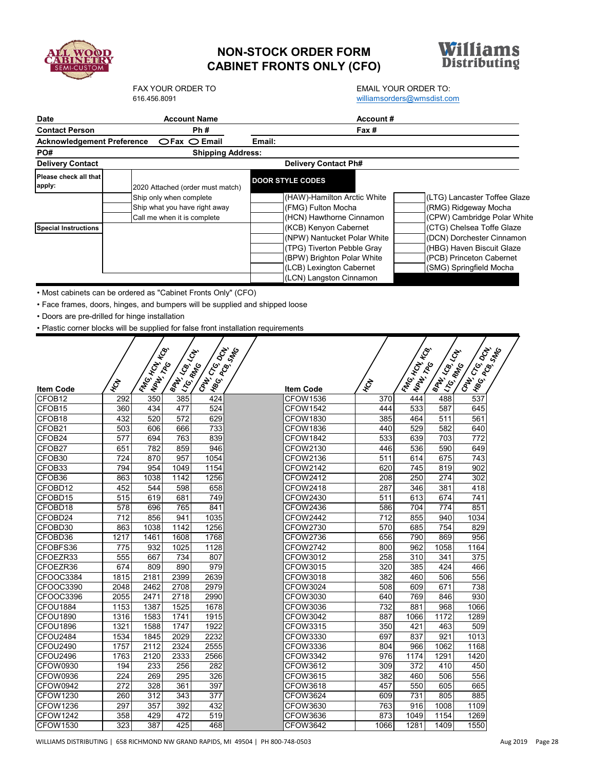

# **NON-STOCK ORDER FORM CABINET FRONTS ONLY (CFO)**



# FAX YOUR ORDER TO<br>
FAX YOUR ORDER TO:<br>
FALL YOUR ORDER TO:<br>
FALL YOUR ORDER TO:

|                                                                                    |              | 616.456.8091                        |                           |                                  |                          |                                                     | williamsorders@wmsdist.com |                             |                        |                                     |                              |
|------------------------------------------------------------------------------------|--------------|-------------------------------------|---------------------------|----------------------------------|--------------------------|-----------------------------------------------------|----------------------------|-----------------------------|------------------------|-------------------------------------|------------------------------|
| <b>Date</b>                                                                        |              |                                     | <b>Account Name</b>       |                                  |                          |                                                     | <b>Account #</b>           |                             |                        |                                     |                              |
| <b>Contact Person</b>                                                              |              |                                     |                           | Ph#                              |                          |                                                     | Fax#                       |                             |                        |                                     |                              |
| <b>Acknowledgement Preference</b>                                                  |              |                                     |                           | $CFax$ $OEmail$                  | Email:                   |                                                     |                            |                             |                        |                                     |                              |
| PO#                                                                                |              |                                     |                           |                                  | <b>Shipping Address:</b> |                                                     |                            |                             |                        |                                     |                              |
| <b>Delivery Contact</b>                                                            |              |                                     |                           |                                  |                          | <b>Delivery Contact Ph#</b>                         |                            |                             |                        |                                     |                              |
| Please check all that                                                              |              |                                     |                           |                                  |                          |                                                     |                            |                             |                        |                                     |                              |
| apply:                                                                             |              |                                     |                           | 2020 Attached (order must match) |                          | <b>DOOR STYLE CODES</b>                             |                            |                             |                        |                                     |                              |
|                                                                                    |              | Ship only when complete             |                           |                                  |                          | (HAW)-Hamilton Arctic White                         |                            |                             |                        |                                     | (LTG) Lancaster Toffee Glaze |
|                                                                                    |              |                                     |                           | Ship what you have right away    |                          | (FMG) Fulton Mocha                                  |                            |                             |                        | (RMG) Ridgeway Mocha                |                              |
|                                                                                    |              | Call me when it is complete         |                           |                                  |                          | (HCN) Hawthorne Cinnamon                            |                            |                             |                        |                                     | (CPW) Cambridge Polar White  |
| <b>Special Instructions</b>                                                        |              |                                     |                           |                                  |                          | (KCB) Kenyon Cabernet                               |                            |                             |                        |                                     | (CTG) Chelsea Toffe Glaze    |
|                                                                                    |              |                                     |                           |                                  |                          | (NPW) Nantucket Polar White                         |                            |                             |                        |                                     | (DCN) Dorchester Cinnamon    |
|                                                                                    |              |                                     |                           |                                  |                          | (TPG) Tiverton Pebble Gray                          |                            |                             |                        |                                     | (HBG) Haven Biscuit Glaze    |
|                                                                                    |              |                                     |                           |                                  |                          | (BPW) Brighton Polar White                          |                            |                             |                        | (PCB) Princeton Cabernet            |                              |
|                                                                                    |              |                                     |                           |                                  |                          | (LCB) Lexington Cabernet<br>(LCN) Langston Cinnamon |                            |                             |                        | (SMG) Springfield Mocha             |                              |
|                                                                                    |              |                                     |                           |                                  |                          |                                                     |                            |                             |                        |                                     |                              |
| • Most cabinets can be ordered as "Cabinet Fronts Only" (CFO)                      |              |                                     |                           |                                  |                          |                                                     |                            |                             |                        |                                     |                              |
| · Face frames, doors, hinges, and bumpers will be supplied and shipped loose       |              |                                     |                           |                                  |                          |                                                     |                            |                             |                        |                                     |                              |
| • Doors are pre-drilled for hinge installation                                     |              |                                     |                           |                                  |                          |                                                     |                            |                             |                        |                                     |                              |
| . Plastic corner blocks will be supplied for false front installation requirements |              |                                     |                           |                                  |                          |                                                     |                            |                             |                        |                                     |                              |
|                                                                                    |              |                                     |                           |                                  |                          |                                                     |                            |                             |                        |                                     |                              |
|                                                                                    |              |                                     |                           |                                  |                          |                                                     |                            |                             |                        |                                     |                              |
|                                                                                    |              |                                     |                           |                                  |                          |                                                     |                            |                             |                        |                                     |                              |
|                                                                                    |              |                                     |                           |                                  |                          |                                                     |                            |                             |                        |                                     |                              |
|                                                                                    | <b>HCN</b>   |                                     |                           |                                  |                          |                                                     | <b>HON</b>                 |                             |                        |                                     |                              |
| <b>Item Code</b>                                                                   |              | Irw <sub>G. Hope</sub><br>INPAT TRO | Ispanica Lab<br>ILITG MAN | <b>Cally Creating</b>            |                          | <b>Item Code</b>                                    |                            | IFING HON KCB<br>INATIVE TO | <b>SOT FOR THRIDGE</b> | <b>Call Kac Cream</b><br>ILITS RANG |                              |
| CFOB12                                                                             | 292          | 350<br>434                          | 385                       | 424                              |                          | <b>CFOW1536</b>                                     | 370                        | 444                         | 488                    | 537                                 |                              |
| CFOB <sub>15</sub><br>CFOB <sub>18</sub>                                           | 360<br>432   | 520                                 | 477<br>572                | 524<br>629                       |                          | <b>CFOW1542</b><br><b>CFOW1830</b>                  | 444<br>385                 | 533<br>464                  | 587<br>511             | 645<br>561                          |                              |
| CFOB21                                                                             | 503          | 606                                 | 666                       | 733                              |                          | <b>CFOW1836</b>                                     | 440                        | 529                         | 582                    | 640                                 |                              |
| CFOB24                                                                             | 577          | 694                                 | 763                       | 839                              |                          | <b>CFOW1842</b>                                     | 533                        | 639                         | 703                    | 772                                 |                              |
| CFOB27                                                                             | 651          | 782                                 | 859                       | 946                              |                          | CFOW2130                                            | 446                        | 536                         | 590                    | 649                                 |                              |
| CFOB30                                                                             | 724          | 870                                 | 957                       | 1054                             |                          | CFOW2136                                            | 511                        | 614                         | 675                    | 743                                 |                              |
| CFOB33                                                                             | 794          | 954                                 | 1049                      | 1154                             |                          | CFOW2142                                            | 620                        | 745                         | 819                    | 902                                 |                              |
| CFOB36                                                                             | 863          | 1038                                | 1142                      | 1256                             |                          | <b>CFOW2412</b>                                     | 208                        | 250                         | 274                    | 302                                 |                              |
| CFOBD12                                                                            | 452          | 544                                 | 598                       | 658                              |                          | CFOW2418                                            | 287                        | 346                         | 381                    | 418                                 |                              |
| CFOBD15                                                                            | 515          | 619                                 | 681                       | 749                              |                          | <b>CFOW2430</b>                                     | 511                        | 613                         | 674                    | 741                                 |                              |
| CFOBD18                                                                            | 578          | 696                                 | 765                       | 841                              |                          | <b>CFOW2436</b>                                     | 586                        | 704                         | 774                    | 851                                 |                              |
| CFOBD24<br>CFOBD30                                                                 | 712<br>863   | 856<br>1038                         | 941<br>1142               | 1035<br>1256                     |                          | <b>CFOW2442</b><br><b>CFOW2730</b>                  | 712<br>570                 | 855<br>685                  | 940<br>754             | 1034<br>829                         |                              |
| CFOBD36                                                                            | 1217         | 1461                                | 1608                      | 1768                             |                          | <b>CFOW2736</b>                                     | 656                        | 790                         | 869                    | 956                                 |                              |
| CFOBFS36                                                                           | 775          | 932                                 | 1025                      | 1128                             |                          | <b>CFOW2742</b>                                     | 800                        | 962                         | 1058                   | 1164                                |                              |
| CFOEZR33                                                                           | 555          | 667                                 | 734                       | 807                              |                          | CFOW3012                                            | 258                        | 310                         | 341                    | 375                                 |                              |
| CFOEZR36                                                                           | 674          | 809                                 | 890                       | 979                              |                          | CFOW3015                                            | 320                        | 385                         | 424                    | 466                                 |                              |
| CFOOC3384                                                                          | 1815         | 2181                                | 2399                      | 2639                             |                          | CFOW3018                                            | 382                        | 460                         | 506                    | 556                                 |                              |
| CFOOC3390                                                                          | 2048         | 2462                                | 2708                      | 2979                             |                          | CFOW3024                                            | 508                        | 609                         | 671                    | 738                                 |                              |
| CFOOC3396                                                                          | 2055         | 2471                                | 2718                      | 2990                             |                          | CFOW3030                                            | 640                        | 769                         | 846                    | 930                                 |                              |
| CFOU1884                                                                           | 1153         | 1387                                | 1525                      | 1678                             |                          | CFOW3036                                            | 732                        | 881                         | 968                    | 1066                                |                              |
| CFOU1890                                                                           | 1316         | 1583                                | 1741                      | 1915                             |                          | CFOW3042                                            | 887                        | 1066                        | 1172                   | 1289                                |                              |
| CFOU1896                                                                           | 1321         | 1588                                | 1747                      | 1922                             |                          | CFOW3315                                            | 350                        | 421                         | 463                    | 509                                 |                              |
| CFOU2484                                                                           | 1534         | 1845                                | 2029                      | 2232                             |                          | CFOW3330                                            | 697                        | 837                         | 921                    | 1013                                |                              |
| <b>CFOU2490</b><br>CFOU2496                                                        | 1757<br>1763 | 2112                                | 2324                      | 2555<br>2566                     |                          | CFOW3336<br>CFOW3342                                | 804<br>976                 | 966<br>1174                 | 1062<br>1291           | 1168<br>1420                        |                              |
| CFOW0930                                                                           | 194          | 2120<br>233                         | 2333<br>256               | 282                              |                          | CFOW3612                                            | 309                        | 372                         | 410                    | 450                                 |                              |
| CFOW0936                                                                           | 224          | 269                                 | 295                       | 326                              |                          | CFOW3615                                            | 382                        | 460                         | 506                    | 556                                 |                              |
| <b>CFOW0942</b>                                                                    | 272          | 328                                 | 361                       | 397                              |                          | CFOW3618                                            | 457                        | 550                         | 605                    | 665                                 |                              |
| <b>CFOW1230</b>                                                                    | 260          | 312                                 | 343                       | 377                              |                          | <b>CFOW3624</b>                                     | 609                        | 731                         | 805                    | 885                                 |                              |
| CFOW1236                                                                           | 297          | 357                                 | 392                       | 432                              |                          | CFOW3630                                            | 763                        | 916                         | 1008                   | 1109                                |                              |
| <b>CFOW1242</b>                                                                    | 358          | 429                                 | 472                       | 519                              |                          | CFOW3636                                            | 873                        | 1049                        | 1154                   | 1269                                |                              |

CFOW1530 | 323| 387| 425| 468| |CFOW3642 | 1066| 1281| 1409| 1550